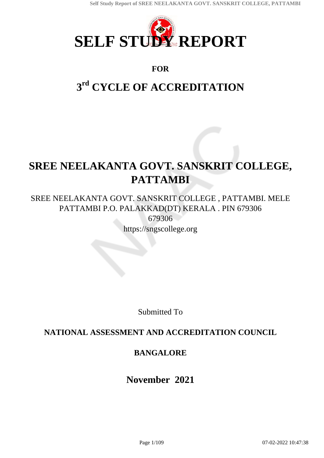

## **FOR**

# **3 rd CYCLE OF ACCREDITATION**

# **SREE NEELAKANTA GOVT. SANSKRIT COLLEGE, PATTAMBI**

SREE NEELAKANTA GOVT. SANSKRIT COLLEGE , PATTAMBI. MELE PATTAMBI P.O. PALAKKAD(DT) KERALA . PIN 679306 679306 https://sngscollege.org

Submitted To

## **NATIONAL ASSESSMENT AND ACCREDITATION COUNCIL**

## **BANGALORE**

**November 2021**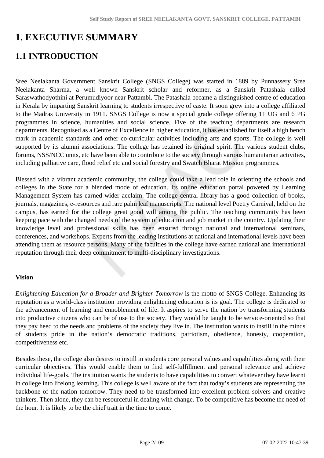# **1. EXECUTIVE SUMMARY**

## **1.1 INTRODUCTION**

Sree Neelakanta Government Sanskrit College (SNGS College) was started in 1889 by Punnassery Sree Neelakanta Sharma, a well known Sanskrit scholar and reformer, as a Sanskrit Patashala called Saraswathodyothini at Perumudiyoor near Pattambi. The Patashala became a distinguished centre of education in Kerala by imparting Sanskrit learning to students irrespective of caste. It soon grew into a college affiliated to the Madras University in 1911. SNGS College is now a special grade college offering 11 UG and 6 PG programmes in science, humanities and social science. Five of the teaching departments are research departments. Recognised as a Centre of Excellence in higher education, it has established for itself a high bench mark in academic standards and other co-curricular activities including arts and sports. The college is well supported by its alumni associations. The college has retained its original spirit. The various student clubs, forums, NSS/NCC units, etc have been able to contribute to the society through various humanitarian activities, including palliative care, flood relief etc and social forestry and Swatch Bharat Mission programmes.

Blessed with a vibrant academic community, the college could take a lead role in orienting the schools and colleges in the State for a blended mode of education. Its online education portal powered by Learning Management System has earned wider acclaim. The college central library has a good collection of books, journals, magazines, e-resources and rare palm leaf manuscripts. The national level Poetry Carnival, held on the campus, has earned for the college great good will among the public. The teaching community has been keeping pace with the changed needs of the system of education and job market in the country. Updating their knowledge level and professional skills has been ensured through national and international seminars, conferences, and workshops. Experts from the leading institutions at national and international levels have been attending them as resource persons. Many of the faculties in the college have earned national and international reputation through their deep commitment to multi-disciplinary investigations.

#### **Vision**

*Enlightening Education for a Broader and Brighter Tomorrow* is the motto of SNGS College. Enhancing its reputation as a world-class institution providing enlightening education is its goal. The college is dedicated to the advancement of learning and ennoblement of life. It aspires to serve the nation by transforming students into productive citizens who can be of use to the society. They would be taught to be service-oriented so that they pay heed to the needs and problems of the society they live in. The institution wants to instill in the minds of students pride in the nation's democratic traditions, patriotism, obedience, honesty, cooperation, competitiveness etc.

Besides these, the college also desires to instill in students core personal values and capabilities along with their curricular objectives. This would enable them to find self-fulfillment and personal relevance and achieve individual life-goals. The institution wants the students to have capabilities to convert whatever they have learnt in college into lifelong learning. This college is well aware of the fact that today's students are representing the backbone of the nation tomorrow. They need to be transformed into excellent problem solvers and creative thinkers. Then alone, they can be resourceful in dealing with change. To be competitive has become the need of the hour. It is likely to be the chief trait in the time to come.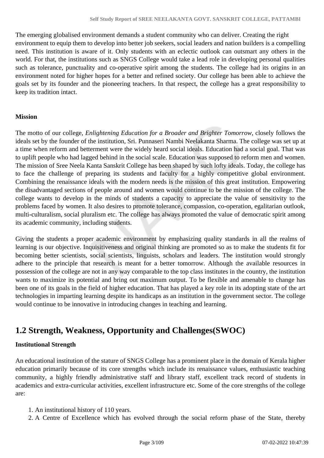The emerging globalised environment demands a student community who can deliver. Creating the right environment to equip them to develop into better job seekers, social leaders and nation builders is a compelling need. This institution is aware of it. Only students with an eclectic outlook can outsmart any others in the world. For that, the institutions such as SNGS College would take a lead role in developing personal qualities such as tolerance, punctuality and co-operative spirit among the students. The college had its origins in an environment noted for higher hopes for a better and refined society. Our college has been able to achieve the goals set by its founder and the pioneering teachers. In that respect, the college has a great responsibility to keep its tradition intact.

#### **Mission**

The motto of our college, *Enlightening Education for a Broader and Brighter Tomorrow*, closely follows the ideals set by the founder of the institution, Sri. Punnaseri Nambi Neelakanta Sharma. The college was set up at a time when reform and betterment were the widely heard social ideals. Education had a social goal. That was to uplift people who had lagged behind in the social scale. Education was supposed to reform men and women. The mission of Sree Neela Kanta Sanskrit College has been shaped by such lofty ideals. Today, the college has to face the challenge of preparing its students and faculty for a highly competitive global environment. Combining the renaissance ideals with the modern needs is the mission of this great institution. Empowering the disadvantaged sections of people around and women would continue to be the mission of the college. The college wants to develop in the minds of students a capacity to appreciate the value of sensitivity to the problems faced by women. It also desires to promote tolerance, compassion, co-operation, egalitarian outlook, multi-culturalism, social pluralism etc. The college has always promoted the value of democratic spirit among its academic community, including students.

Giving the students a proper academic environment by emphasizing quality standards in all the realms of learning is our objective. Inquisitiveness and original thinking are promoted so as to make the students fit for becoming better scientists, social scientists, linguists, scholars and leaders. The institution would strongly adhere to the principle that research is meant for a better tomorrow. Although the available resources in possession of the college are not in any way comparable to the top class institutes in the country, the institution wants to maximize its potential and bring out maximum output. To be flexible and amenable to change has been one of its goals in the field of higher education. That has played a key role in its adopting state of the art technologies in imparting learning despite its handicaps as an institution in the government sector. The college would continue to be innovative in introducing changes in teaching and learning.

## **1.2 Strength, Weakness, Opportunity and Challenges(SWOC)**

#### **Institutional Strength**

An educational institution of the stature of SNGS College has a prominent place in the domain of Kerala higher education primarily because of its core strengths which include its renaissance values, enthusiastic teaching community, a highly friendly administrative staff and library staff, excellent track record of students in academics and extra-curricular activities, excellent infrastructure etc. Some of the core strengths of the college are:

- 1. An institutional history of 110 years.
- 2. A Centre of Excellence which has evolved through the social reform phase of the State, thereby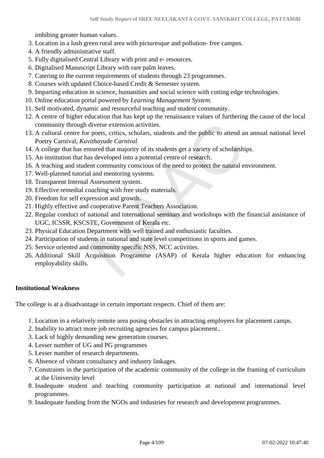imbibing greater human values.

- 3. Location in a lush green rural area with picturesque and pollution- free campus.
- 4. A friendly administrative staff.
- 5. Fully digitalised Central Library with print and e- resources.
- 6. Digitalised Manuscript Library with rare palm leaves.
- 7. Catering to the current requirements of students through 23 programmes.
- 8. Courses with updated Choice-based Credit & Semester system.
- 9. Imparting education in science, humanities and social science with cutting edge technologies.
- 10. Online education portal powered by *Learning Management System.*
- 11. Self motivated, dynamic and resourceful teaching and student community.
- 12. A centre of higher education that has kept up the renaissance values of furthering the cause of the local community through diverse extension activities.
- 13. A cultural centre for poets, critics, scholars, students and the public to attend an annual national level Poetry Carnival, *Kavithayude Carnival*
- 14. A college that has ensured that majority of its students get a variety of scholarships.
- 15. An institution that has developed into a potential centre of research.
- 16. A teaching and student community conscious of the need to protect the natural environment.
- 17. Well-planned tutorial and mentoring systems.
- 18. Transparent Internal Assessment system.
- 19. Effective remedial coaching with free study materials.
- 20. Freedom for self expression and growth.
- 21. Highly effective and cooperative Parent Teachers Association.
- 22. Regular conduct of national and international seminars and workshops with the financial assistance of UGC, ICSSR, KSCSTE, Government of Kerala etc.
- 23. Physical Education Department with well trained and enthusiastic faculties.
- 24. Participation of students in national and state level competitions in sports and games.
- 25. Service oriented and community specific NSS, NCC activities.
- 26. Additional Skill Acquisition Programme (ASAP) of Kerala higher education for enhancing employability skills.

#### **Institutional Weakness**

The college is at a disadvantage in certain important respects. Chief of them are:

- 1. Location in a relatively remote area posing obstacles in attracting employers for placement camps.
- 2. Inability to attract more job recruiting agencies for campus placement..
- 3. Lack of highly demanding new generation courses.
- 4. Lesser number of UG and PG programmes
- 5. Lesser number of research departments.
- 6. Absence of vibrant consultancy and industry linkages.
- 7. Constraints in the participation of the academic community of the college in the framing of curriculum at the Uiniversity level
- 8. Inadequate student and teaching community participation at national and international level programmes.
- 9. Inadequate funding from the NGOs and industries for research and development programmes.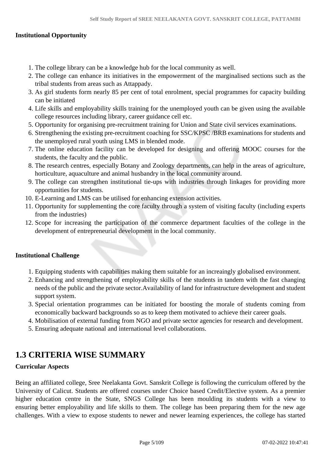#### **Institutional Opportunity**

- 1. The college library can be a knowledge hub for the local community as well.
- 2. The college can enhance its initiatives in the empowerment of the marginalised sections such as the tribal students from areas such as Attappady.
- 3. As girl students form nearly 85 per cent of total enrolment, special programmes for capacity building can be initiated
- 4. Life skills and employability skills training for the unemployed youth can be given using the available college resources including library, career guidance cell etc.
- 5. Opportunity for organising pre-recruitment training for Union and State civil services examinations.
- 6. Strengthening the existing pre-recruitment coaching for SSC/KPSC /BRB examinations for students and the unemployed rural youth using LMS in blended mode.
- 7. The online education facility can be developed for designing and offering MOOC courses for the students, the faculty and the public.
- 8. The research centres, especially Botany and Zoology departments, can help in the areas of agriculture, horticulture, aquaculture and animal husbandry in the local community around.
- 9. The college can strengthen institutional tie-ups with industries through linkages for providing more opportunities for students.
- 10. E-Learning and LMS can be utilised for enhancing extension activities.
- 11. Opportunity for supplementing the core faculty through a system of visiting faculty (including experts from the industries)
- 12. Scope for increasing the participation of the commerce department faculties of the college in the development of entrepreneurial development in the local community.

#### **Institutional Challenge**

- 1. Equipping students with capabilities making them suitable for an increaingly globalised environment.
- 2. Enhancing and strengthening of employability skills of the students in tandem with the fast changing needs of the public and the private sector.Availability of land for infrastructure development and student support system.
- 3. Special orientation programmes can be initiated for boosting the morale of students coming from economically backward backgrounds so as to keep them motivated to achieve their career goals.
- 4. Mobilisation of external funding from NGO and private sector agencies for research and development.
- 5. Ensuring adequate national and international level collaborations.

## **1.3 CRITERIA WISE SUMMARY**

#### **Curricular Aspects**

Being an affiliated college, Sree Neelakanta Govt. Sanskrit College is following the curriculum offered by the University of Calicut. Students are offered courses under Choice based Credit/Elective system. As a premier higher education centre in the State, SNGS College has been moulding its students with a view to ensuring better employability and life skills to them. The college has been preparing them for the new age challenges. With a view to expose students to newer and newer learning experiences, the college has started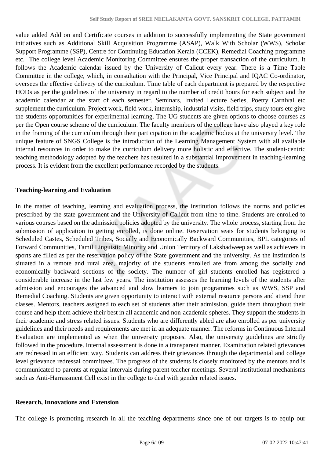value added Add on and Certificate courses in addition to successfully implementing the State government initiatives such as Additional Skill Acquisition Programme (ASAP), Walk With Scholar (WWS), Scholar Support Programme (SSP), Centre for Continuing Education Kerala (CCEK), Remedial Coaching programme etc. The college level Academic Monitoring Committee ensures the proper transaction of the curriculum. It follows the Academic calendar issued by the University of Calicut every year. There is a Time Table Committee in the college, which, in consultation with the Principal, Vice Principal and IQAC Co-ordinator, oversees the effective delivery of the curriculum. Time table of each department is prepared by the respective HODs as per the guidelines of the university in regard to the number of credit hours for each subject and the academic calendar at the start of each semester. Seminars, Invited Lecture Series, Poetry Carnival etc supplement the curriculum. Project work, field work, internship, industrial visits, field trips, study tours etc give the students opportunities for experimental learning. The UG students are given options to choose courses as per the Open course scheme of the curriculum. The faculty members of the college have also played a key role in the framing of the curriculum through their participation in the academic bodies at the university level. The unique feature of SNGS College is the introduction of the Learning Management System with all available internal resources in order to make the curriculum delivery more holistic and effective. The student-centric teaching methodology adopted by the teachers has resulted in a substantial improvement in teaching-learning process. It is evident from the excellent performance recorded by the students.

#### **Teaching-learning and Evaluation**

In the matter of teaching, learning and evaluation process, the institution follows the norms and policies prescribed by the state government and the University of Calicut from time to time. Students are enrolled to various courses based on the admission policies adopted by the university. The whole process, starting from the submission of application to getting enrolled, is done online. Reservation seats for students belonging to Scheduled Castes, Scheduled Tribes, Socially and Economically Backward Communities, BPL categories of Forward Communities, Tamil Linguistic Minority and Union Territory of Lakshadweep as well as achievers in sports are filled as per the reservation policy of the State government and the university. As the institution is situated in a remote and rural area, majority of the students enrolled are from among the socially and economically backward sections of the society. The number of girl students enrolled has registered a considerable increase in the last few years. The institution assesses the learning levels of the students after admission and encourages the advanced and slow learners to join programmes such as WWS, SSP and Remedial Coaching. Students are given opportunity to interact with external resource persons and attend their classes. Mentors, teachers assigned to each set of students after their admission, guide them throughout their course and help them achieve their best in all academic and non-academic spheres. They support the students in their academic and stress related issues. Students who are differently abled are also enrolled as per university guidelines and their needs and requirements are met in an adequate manner. The reforms in Continuous Internal Evaluation are implemented as when the university proposes. Also, the university guidelines are strictly followed in the procedure. Internal assessment is done in a transparent manner. Examination related grievances are redressed in an efficient way. Students can address their grievances through the departmental and college level grievance redressal committees. The progress of the students is closely monitored by the mentors and is communicated to parents at regular intervals during parent teacher meetings. Several institutional mechanisms such as Anti-Harrassment Cell exist in the college to deal with gender related issues.

#### **Research, Innovations and Extension**

The college is promoting research in all the teaching departments since one of our targets is to equip our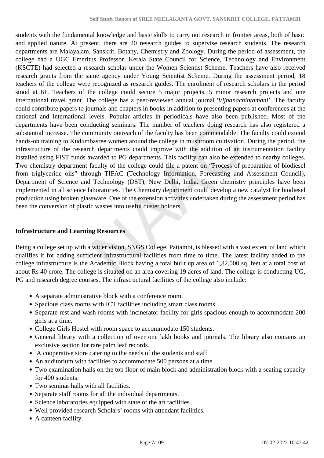students with the fundamental knowledge and basic skills to carry out research in frontier areas, both of basic and applied nature. At present, there are 20 research guides to supervise research students. The research departments are Malayalam, Sanskrit, Botany, Chemistry and Zoology. During the period of assessment, the college had a UGC Emeritus Professor. Kerala State Council for Science, Technology and Environment (KSCTE) had selected a research scholar under the Women Scientist Scheme. Teachers have also received research grants from the same agency under Young Scientist Scheme. During the assessment period, 18 teachers of the college were recognized as research guides. The enrolment of research scholars in the period stood at 61. Teachers of the college could secure 5 major projects, 5 minor research projects and one international travel grant. The college has a peer-reviewed annual journal '*Vijnanachintamani*'. The faculty could contribute papers to journals and chapters in books in addition to presenting papers at conferences at the national and international levels. Popular articles in periodicals have also been published. Most of the departments have been conducting seminars. The number of teachers doing research has also registered a substantial increase. The community outreach of the faculty has been commendable. The faculty could extend hands-on training to Kudumbasree women around the college in mushroom cultivation. During the period, the infrastructure of the research departments could improve with the addition of an instrumentation facility installed using FIST funds awarded to PG departments. This facility can also be extended to nearby colleges. Two chemistry department faculty of the college could file a patent on "Process of preparation of biodiesel from triglyceride oils" through TIFAC (Technology Information, Forecasting and Assessment Council), Department of Science and Technology (DST), New Delhi, India. Green chemistry principles have been implemented in all science laboratories. The Chemistry department could develop a new catalyst for biodiesel production using broken glassware. One of the extension activities undertaken during the assessment period has been the conversion of plastic wastes into useful duster holders.

#### **Infrastructure and Learning Resources**

Being a college set up with a wider vision, SNGS College, Pattambi, is blessed with a vast extent of land which qualifies it for adding sufficient infrastructural facilities from time to time. The latest facility added to the college infrastructure is the Academic Block having a total built up area of 1,82,000 sq. feet at a total cost of about Rs 40 crore. The college is situated on an area covering 19 acres of land. The college is conducting UG, PG and research degree courses. The infrastructural facilities of the college also include:

- A separate administrative block with a conference room.
- Spacious class rooms with ICT facilities including smart class rooms.
- Separate rest and wash rooms with incinerator facility for girls spacious enough to accommodate 200 girls at a time.
- College Girls Hostel with room space to accommodate 150 students.
- General library with a collection of over one lakh books and journals. The library also contains an exclusive section for rare palm leaf records.
- A cooperative store catering to the needs of the students and staff.
- An auditorium with facilities to accommodate 500 persons at a time.
- Two examination halls on the top floor of main block and administration block with a seating capacity for 400 students.
- Two seminar halls with all facilities.
- Separate staff rooms for all the individual departments.
- Science laboratories equipped with state of the art facilities.
- Well provided research Scholars' rooms with attendant facilities.
- A canteen facility.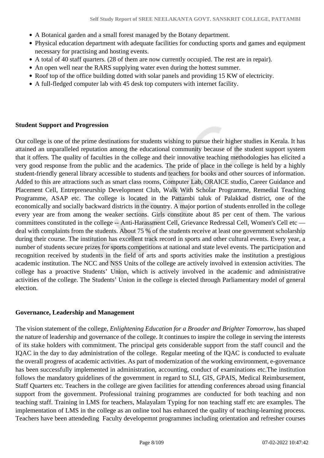- A Botanical garden and a small forest managed by the Botany department.
- Physical education department with adequate facilities for conducting sports and games and equipment necessary for practising and hosting events.
- A total of 40 staff quarters. (28 of them are now currently occupied. The rest are in repair).
- An open well near the RARS supplying water even during the hottest summer.
- Roof top of the office building dotted with solar panels and providing 15 KW of electricity.
- A full-fledged computer lab with 45 desk top computers with internet facility.

#### **Student Support and Progression**

Our college is one of the prime destinations for students wishing to pursue their higher studies in Kerala. It has attained an unparalleled reputation among the educational community because of the student support system that it offers. The quality of faculties in the college and their innovative teaching methodologies has elicited a very good response from the public and the academics. The pride of place in the college is held by a highly student-friendly general library accessible to students and teachers for books and other sources of information. Added to this are attractions such as smart class rooms, Computer Lab, ORAICE studio, Career Guidance and Placement Cell, Entrepreneurship Development Club, Walk With Scholar Programme, Remedial Teaching Programme, ASAP etc. The college is located in the Pattambi taluk of Palakkad district, one of the economically and socially backward districts in the country. A major portion of students enrolled in the college every year are from among the weaker sections. Girls constitute about 85 per cent of them. The various committees constituted in the college -- Anti-Harassment Cell, Grievance Redressal Cell, Women's Cell etc deal with complaints from the students. About 75 % of the students receive at least one government scholarship during their course. The institution has excellent track record in sports and other cultural events. Every year, a number of students secure prizes for sports competitions at national and state level events. The participation and recognition received by students in the field of arts and sports activities make the institution a prestigious academic institution. The NCC and NSS Units of the college are actively involved in extension activities. The college has a proactive Students' Union, which is actively involved in the academic and administrative activities of the college. The Students' Union in the college is elected through Parliamentary model of general election.

#### **Governance, Leadership and Management**

The vision statement of the college, *Enlightening Education for a Broader and Brighter Tomorrow*, has shaped the nature of leadership and governance of the college. It continues to inspire the college in serving the interests of its stake holders with commitment. The principal gets considerable support from the staff council and the IQAC in the day to day administration of the college. Regular meeting of the IQAC is conducted to evaluate the overall progress of academic activities. As part of modernization of the working environment, e-governance has been successfully implemented in administration, accounting, conduct of examinations etc.The institution follows the mandatory guidelines of the government in regard to SLI, GIS, GPAIS, Medical Reimbursement, Staff Quarters etc. Teachers in the college are given facilities for attending conferences abroad using financial support from the government. Professional training programmes are conducted for both teaching and non teaching staff. Training in LMS for teachers, Malayalam Typing for non teaching staff etc are examples. The implementation of LMS in the college as an online tool has enhanced the quality of teaching-learning process. Teachers have been attendeding Faculty developemnt programmes including orientation and refresher courses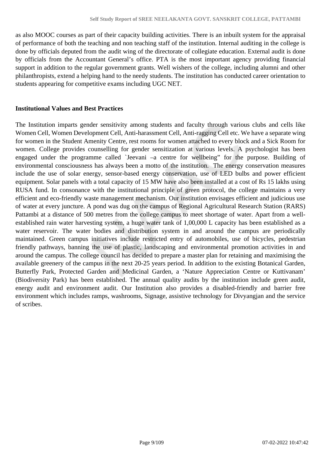as also MOOC courses as part of their capacity building activities. There is an inbuilt system for the appraisal of performance of both the teaching and non teaching staff of the institution. Internal auditing in the college is done by officials deputed from the audit wing of the directorate of collegiate education. External audit is done by officials from the Accountant General's office. PTA is the most important agency providing financial support in addition to the regular government grants. Well wishers of the college, including alumni and other philanthropists, extend a helping hand to the needy students. The institution has conducted career orientation to students appearing for competitive exams including UGC NET.

#### **Institutional Values and Best Practices**

The Institution imparts gender sensitivity among students and faculty through various clubs and cells like Women Cell, Women Development Cell, Anti-harassment Cell, Anti-ragging Cell etc. We have a separate wing for women in the Student Amenity Centre, rest rooms for women attached to every block and a Sick Room for women. College provides counselling for gender sensitization at various levels. A psychologist has been engaged under the programme called `Jeevani –a centre for wellbeing" for the purpose. Building of environmental consciousness has always been a motto of the institution. The energy conservation measures include the use of solar energy, sensor-based energy conservation, use of LED bulbs and power efficient equipment. Solar panels with a total capacity of 15 MW have also been installed at a cost of Rs 15 lakhs using RUSA fund. In consonance with the institutional principle of green protocol, the college maintains a very efficient and eco-friendly waste management mechanism. Our institution envisages efficient and judicious use of water at every juncture. A pond was dug on the campus of Regional Agricultural Research Station (RARS) Pattambi at a distance of 500 metres from the college campus to meet shortage of water. Apart from a wellestablished rain water harvesting system, a huge water tank of 1,00,000 L capacity has been established as a water reservoir. The water bodies and distribution system in and around the campus are periodically maintained. Green campus initiatives include restricted entry of automobiles, use of bicycles, pedestrian friendly pathways, banning the use of plastic, landscaping and environmental promotion activities in and around the campus. The college council has decided to prepare a master plan for retaining and maximising the available greenery of the campus in the next 20-25 years period. In addition to the existing Botanical Garden, Butterfly Park, Protected Garden and Medicinal Garden, a 'Nature Appreciation Centre or Kuttivanam' (Biodiversity Park) has been established. The annual quality audits by the institution include green audit, energy audit and environment audit. Our Institution also provides a disabled-friendly and barrier free environment which includes ramps, washrooms, Signage, assistive technology for Divyangjan and the service of scribes.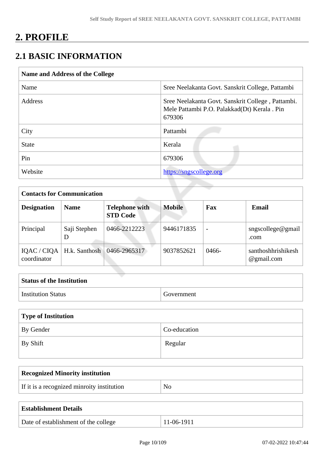# **2. PROFILE**

## **2.1 BASIC INFORMATION**

| Name and Address of the College |                                                                                                             |
|---------------------------------|-------------------------------------------------------------------------------------------------------------|
| Name                            | Sree Neelakanta Govt. Sanskrit College, Pattambi                                                            |
| Address                         | Sree Neelakanta Govt. Sanskrit College, Pattambi.<br>Mele Pattambi P.O. Palakkad(Dt) Kerala . Pin<br>679306 |
| City                            | Pattambi                                                                                                    |
| <b>State</b>                    | Kerala                                                                                                      |
| Pin                             | 679306                                                                                                      |
| Website                         | https://sngscollege.org                                                                                     |

| <b>Contacts for Communication</b> |                   |                                          |               |                          |                                  |
|-----------------------------------|-------------------|------------------------------------------|---------------|--------------------------|----------------------------------|
| <b>Designation</b>                | <b>Name</b>       | <b>Telephone with</b><br><b>STD Code</b> | <b>Mobile</b> | Fax                      | <b>Email</b>                     |
| Principal                         | Saji Stephen<br>D | 0466-2212223                             | 9446171835    | $\overline{\phantom{a}}$ | sngscollege@gmail<br>.com        |
| IQAC / CIQA<br>coordinator        | H.k. Santhosh     | 0466-2965317                             | 9037852621    | 0466-                    | santhoshhrishikesh<br>@gmail.com |

| <b>Status of the Institution</b> |            |
|----------------------------------|------------|
| <b>Institution Status</b>        | Government |

| Type of Institution |              |  |
|---------------------|--------------|--|
| By Gender           | Co-education |  |
| $\vert$ By Shift    | Regular      |  |

| <b>Recognized Minority institution</b>     |    |
|--------------------------------------------|----|
| If it is a recognized minroity institution | No |
|                                            |    |

| <b>Establishment Details</b>         |            |
|--------------------------------------|------------|
| Date of establishment of the college | 11-06-1911 |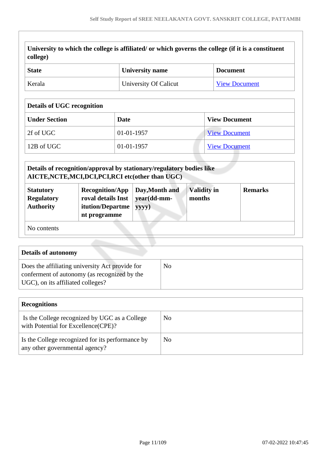| University to which the college is affiliated/ or which governs the college (if it is a constituent<br>college) |  |  |  |  |
|-----------------------------------------------------------------------------------------------------------------|--|--|--|--|
| University name<br><b>State</b><br><b>Document</b>                                                              |  |  |  |  |
| University Of Calicut<br>Kerala<br><b>View Document</b>                                                         |  |  |  |  |

## **Details of UGC recognition**

| <b>Under Section</b> | Date         | <b>View Document</b> |
|----------------------|--------------|----------------------|
| 2f of UGC            | 01-01-1957   | <b>View Document</b> |
| 12B of UGC           | $01-01-1957$ | <b>View Document</b> |

|                                                           | Details of recognition/approval by stationary/regulatory bodies like<br>AICTE, NCTE, MCI, DCI, PCI, RCI etc (other than UGC) |                                        |                              |                |
|-----------------------------------------------------------|------------------------------------------------------------------------------------------------------------------------------|----------------------------------------|------------------------------|----------------|
| <b>Statutory</b><br><b>Regulatory</b><br><b>Authority</b> | <b>Recognition/App</b><br>roval details Inst<br>itution/Departme<br>nt programme                                             | Day, Month and<br>year(dd-mm-<br>yyyy) | <b>Validity in</b><br>months | <b>Remarks</b> |
| No contents                                               |                                                                                                                              |                                        |                              |                |

| <b>Details of autonomy</b>                                                                                                           |    |
|--------------------------------------------------------------------------------------------------------------------------------------|----|
| Does the affiliating university Act provide for<br>conferment of autonomy (as recognized by the<br>UGC), on its affiliated colleges? | No |

| <b>Recognitions</b>                                                                  |    |
|--------------------------------------------------------------------------------------|----|
| Is the College recognized by UGC as a College<br>with Potential for Excellence(CPE)? | No |
| Is the College recognized for its performance by<br>any other governmental agency?   | No |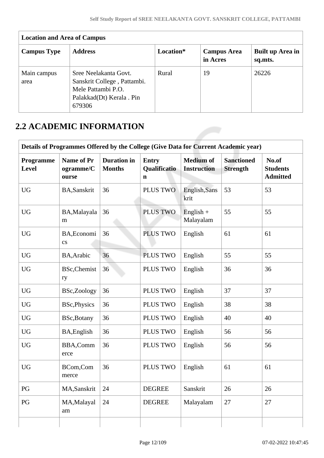| <b>Location and Area of Campus</b> |                                                                                                                   |           |                                |                             |
|------------------------------------|-------------------------------------------------------------------------------------------------------------------|-----------|--------------------------------|-----------------------------|
| <b>Campus Type</b>                 | <b>Address</b>                                                                                                    | Location* | <b>Campus Area</b><br>in Acres | Built up Area in<br>sq.mts. |
| Main campus<br>area                | Sree Neelakanta Govt.<br>Sanskrit College, Pattambi.<br>Mele Pattambi P.O.<br>Palakkad(Dt) Kerala . Pin<br>679306 | Rural     | 19                             | 26226                       |

## **2.2 ACADEMIC INFORMATION**

|                    | Details of Programmes Offered by the College (Give Data for Current Academic year) |                                     |                                             |                                        |                                      |                                             |
|--------------------|------------------------------------------------------------------------------------|-------------------------------------|---------------------------------------------|----------------------------------------|--------------------------------------|---------------------------------------------|
| Programme<br>Level | <b>Name of Pr</b><br>ogramme/C<br>ourse                                            | <b>Duration</b> in<br><b>Months</b> | <b>Entry</b><br>Qualificatio<br>$\mathbf n$ | <b>Medium</b> of<br><b>Instruction</b> | <b>Sanctioned</b><br><b>Strength</b> | No.of<br><b>Students</b><br><b>Admitted</b> |
| <b>UG</b>          | BA, Sanskrit                                                                       | 36                                  | <b>PLUS TWO</b>                             | English, Sans<br>krit                  | 53                                   | 53                                          |
| <b>UG</b>          | BA, Malayala<br>m                                                                  | 36                                  | <b>PLUS TWO</b>                             | $English +$<br>Malayalam               | 55                                   | 55                                          |
| <b>UG</b>          | BA, Economi<br>$\mathbf{c}\mathbf{s}$                                              | 36                                  | <b>PLUS TWO</b>                             | English                                | 61                                   | 61                                          |
| <b>UG</b>          | BA, Arabic                                                                         | 36                                  | <b>PLUS TWO</b>                             | English                                | 55                                   | 55                                          |
| <b>UG</b>          | <b>BSc, Chemist</b><br>ry                                                          | 36                                  | <b>PLUS TWO</b>                             | English                                | 36                                   | 36                                          |
| <b>UG</b>          | BSc,Zoology                                                                        | 36                                  | <b>PLUS TWO</b>                             | English                                | 37                                   | 37                                          |
| <b>UG</b>          | <b>BSc, Physics</b>                                                                | 36                                  | <b>PLUS TWO</b>                             | English                                | 38                                   | 38                                          |
| <b>UG</b>          | BSc, Botany                                                                        | 36                                  | <b>PLUS TWO</b>                             | English                                | 40                                   | 40                                          |
| <b>UG</b>          | BA, English                                                                        | 36                                  | <b>PLUS TWO</b>                             | English                                | 56                                   | 56                                          |
| <b>UG</b>          | BBA,Comm<br>erce                                                                   | 36                                  | <b>PLUS TWO</b>                             | English                                | 56                                   | 56                                          |
| <b>UG</b>          | BCom,Com<br>merce                                                                  | 36                                  | <b>PLUS TWO</b>                             | English                                | 61                                   | 61                                          |
| PG                 | MA, Sanskrit                                                                       | 24                                  | <b>DEGREE</b>                               | Sanskrit                               | 26                                   | 26                                          |
| PG                 | MA, Malayal<br>am                                                                  | 24                                  | <b>DEGREE</b>                               | Malayalam                              | 27                                   | 27                                          |
|                    |                                                                                    |                                     |                                             |                                        |                                      |                                             |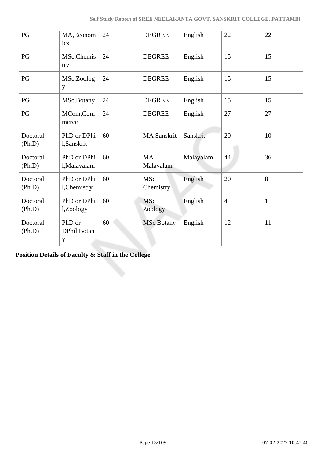| PG                 | MA, Econom<br>ics           | 24 | <b>DEGREE</b>          | English   | 22             | 22           |
|--------------------|-----------------------------|----|------------------------|-----------|----------------|--------------|
| PG                 | MSc, Chemis<br>try          | 24 | <b>DEGREE</b>          | English   | 15             | 15           |
| PG                 | MSc,Zoolog<br>y             | 24 | <b>DEGREE</b>          | English   | 15             | 15           |
| PG                 | MSc, Botany                 | 24 | <b>DEGREE</b>          | English   | 15             | 15           |
| PG                 | MCom,Com<br>merce           | 24 | <b>DEGREE</b>          | English   | 27             | 27           |
| Doctoral<br>(Ph.D) | PhD or DPhi<br>1,Sanskrit   | 60 | <b>MA Sanskrit</b>     | Sanskrit  | 20             | 10           |
| Doctoral<br>(Ph.D) | PhD or DPhi<br>l,Malayalam  | 60 | <b>MA</b><br>Malayalam | Malayalam | 44             | 36           |
| Doctoral<br>(Ph.D) | PhD or DPhi<br>1, Chemistry | 60 | MSc<br>Chemistry       | English   | 20             | 8            |
| Doctoral<br>(Ph.D) | PhD or DPhi<br>l,Zoology    | 60 | <b>MSc</b><br>Zoology  | English   | $\overline{4}$ | $\mathbf{1}$ |
| Doctoral<br>(Ph.D) | PhD or<br>DPhil, Botan<br>y | 60 | <b>MSc Botany</b>      | English   | 12             | 11           |

**Position Details of Faculty & Staff in the College**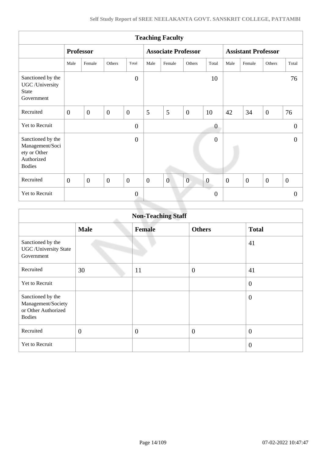|                                                                                     | <b>Teaching Faculty</b> |                |                |                  |                            |                |                |                  |                            |                |                |                |
|-------------------------------------------------------------------------------------|-------------------------|----------------|----------------|------------------|----------------------------|----------------|----------------|------------------|----------------------------|----------------|----------------|----------------|
|                                                                                     | <b>Professor</b>        |                |                |                  | <b>Associate Professor</b> |                |                |                  | <b>Assistant Professor</b> |                |                |                |
|                                                                                     | Male                    | Female         | Others         | Total            | Male                       | Female         | Others         | Total            | Male                       | Female         | Others         | Total          |
| Sanctioned by the<br>UGC /University<br><b>State</b><br>Government                  |                         |                |                | $\overline{0}$   |                            |                |                | 10               |                            |                |                | 76             |
| Recruited                                                                           | $\overline{0}$          | $\overline{0}$ | $\mathbf{0}$   | $\overline{0}$   | 5                          | 5              | $\overline{0}$ | 10               | 42                         | 34             | $\overline{0}$ | 76             |
| Yet to Recruit                                                                      |                         |                |                | $\boldsymbol{0}$ |                            |                |                | $\boldsymbol{0}$ |                            |                |                | $\theta$       |
| Sanctioned by the<br>Management/Soci<br>ety or Other<br>Authorized<br><b>Bodies</b> |                         |                |                | $\overline{0}$   |                            |                |                | $\overline{0}$   |                            |                |                | $\theta$       |
| Recruited                                                                           | $\overline{0}$          | $\overline{0}$ | $\overline{0}$ | $\theta$         | $\boldsymbol{0}$           | $\overline{0}$ | $\overline{0}$ | $\boldsymbol{0}$ | $\overline{0}$             | $\overline{0}$ | $\overline{0}$ | $\overline{0}$ |
| Yet to Recruit                                                                      |                         |                |                | $\overline{0}$   |                            |                |                | $\overline{0}$   |                            |                |                | $\Omega$       |
|                                                                                     |                         |                |                |                  |                            |                |                |                  |                            |                |                |                |

|                                                                                 | <b>Non-Teaching Staff</b> |                |                  |                  |  |  |  |  |  |  |  |
|---------------------------------------------------------------------------------|---------------------------|----------------|------------------|------------------|--|--|--|--|--|--|--|
|                                                                                 | <b>Male</b>               | <b>Female</b>  | <b>Others</b>    | <b>Total</b>     |  |  |  |  |  |  |  |
| Sanctioned by the<br><b>UGC</b> / University State<br>Government                |                           |                |                  | 41               |  |  |  |  |  |  |  |
| Recruited                                                                       | 30                        | 11             | $\boldsymbol{0}$ | 41               |  |  |  |  |  |  |  |
| <b>Yet to Recruit</b>                                                           |                           |                |                  | $\overline{0}$   |  |  |  |  |  |  |  |
| Sanctioned by the<br>Management/Society<br>or Other Authorized<br><b>Bodies</b> |                           |                |                  | $\overline{0}$   |  |  |  |  |  |  |  |
| Recruited                                                                       | $\overline{0}$            | $\overline{0}$ | $\overline{0}$   | $\boldsymbol{0}$ |  |  |  |  |  |  |  |
| Yet to Recruit                                                                  |                           |                |                  | $\overline{0}$   |  |  |  |  |  |  |  |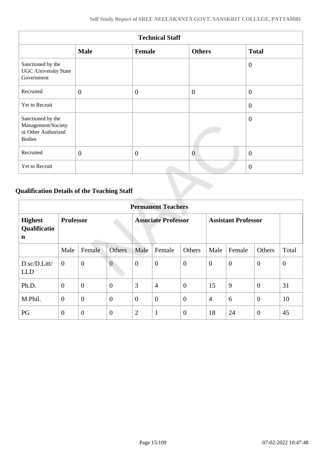|                                                                                 |                | <b>Technical Staff</b> |                |                |
|---------------------------------------------------------------------------------|----------------|------------------------|----------------|----------------|
|                                                                                 | <b>Male</b>    | Female                 | <b>Others</b>  | <b>Total</b>   |
| Sanctioned by the<br><b>UGC</b> / University State<br>Government                |                |                        |                | $\mathbf{0}$   |
| Recruited                                                                       | $\overline{0}$ | $\boldsymbol{0}$       | $\mathbf{0}$   | $\mathbf{0}$   |
| Yet to Recruit                                                                  |                |                        |                | $\overline{0}$ |
| Sanctioned by the<br>Management/Society<br>or Other Authorized<br><b>Bodies</b> |                |                        |                | $\mathbf{0}$   |
| Recruited                                                                       | $\mathbf{0}$   | $\boldsymbol{0}$       | $\overline{0}$ | $\overline{0}$ |
| Yet to Recruit                                                                  |                |                        |                | $\overline{0}$ |

## **Qualification Details of the Teaching Staff**

|                                     | <b>Permanent Teachers</b> |                |                |                            |                  |                |                            |                |                |                |  |  |
|-------------------------------------|---------------------------|----------------|----------------|----------------------------|------------------|----------------|----------------------------|----------------|----------------|----------------|--|--|
| <b>Highest</b><br>Qualificatio<br>n | <b>Professor</b>          |                |                | <b>Associate Professor</b> |                  |                | <b>Assistant Professor</b> |                |                |                |  |  |
|                                     | Male                      | Female         | Others         | Male                       | Female           | Others         | Male                       | Female         | Others         | Total          |  |  |
| D.sc/D.Litt/<br><b>LLD</b>          | $\overline{0}$            | $\overline{0}$ | $\overline{0}$ | $\mathbf{0}$               | $\boldsymbol{0}$ | $\overline{0}$ | $\theta$                   | $\overline{0}$ | $\overline{0}$ | $\overline{0}$ |  |  |
| Ph.D.                               | $\overline{0}$            | $\overline{0}$ | $\overline{0}$ | 3                          | $\overline{4}$   | $\overline{0}$ | 15                         | 9              | $\overline{0}$ | 31             |  |  |
| M.Phil.                             | $\boldsymbol{0}$          | $\overline{0}$ | $\overline{0}$ | $\overline{0}$             | $\overline{0}$   | $\overline{0}$ | $\overline{4}$             | 6              | $\overline{0}$ | 10             |  |  |
| PG                                  | $\overline{0}$            | $\overline{0}$ | $\overline{0}$ | $\overline{2}$             | $\mathbf{1}$     | $\overline{0}$ | 18                         | 24             | $\overline{0}$ | 45             |  |  |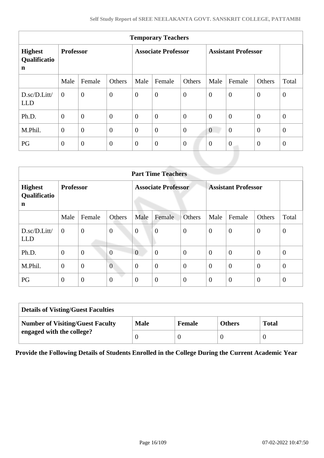| <b>Temporary Teachers</b>                     |                  |                  |                  |                            |                  |                |                            |                  |                  |                  |  |
|-----------------------------------------------|------------------|------------------|------------------|----------------------------|------------------|----------------|----------------------------|------------------|------------------|------------------|--|
| <b>Highest</b><br>Qualificatio<br>$\mathbf n$ | <b>Professor</b> |                  |                  | <b>Associate Professor</b> |                  |                | <b>Assistant Professor</b> |                  |                  |                  |  |
|                                               | Male             | Female           | Others           | Male                       | Female           | Others         | Male                       | Female           | Others           | Total            |  |
| D.sc/D.Litt/<br><b>LLD</b>                    | $\mathbf{0}$     | $\overline{0}$   | $\boldsymbol{0}$ | $\mathbf{0}$               | $\boldsymbol{0}$ | $\theta$       | $\mathbf{0}$               | $\overline{0}$   | $\overline{0}$   | $\boldsymbol{0}$ |  |
| Ph.D.                                         | $\theta$         | $\boldsymbol{0}$ | $\overline{0}$   | $\overline{0}$             | $\overline{0}$   | $\overline{0}$ | $\mathbf{0}$               | $\mathbf{0}$     | $\mathbf{0}$     | $\mathbf{0}$     |  |
| M.Phil.                                       | $\overline{0}$   | $\boldsymbol{0}$ | $\overline{0}$   | $\mathbf{0}$               | $\mathbf{0}$     | $\overline{0}$ | $\overline{0}$             | $\overline{0}$   | $\boldsymbol{0}$ | $\mathbf{0}$     |  |
| PG                                            | $\boldsymbol{0}$ | $\boldsymbol{0}$ | $\boldsymbol{0}$ | $\overline{0}$             | $\boldsymbol{0}$ | $\theta$       | $\boldsymbol{0}$           | $\boldsymbol{0}$ | $\overline{0}$   | $\boldsymbol{0}$ |  |
|                                               |                  |                  |                  |                            |                  |                |                            |                  |                  |                  |  |

|                                     | <b>Part Time Teachers</b> |                  |                |                            |                |                |                            |                  |                |                |  |  |
|-------------------------------------|---------------------------|------------------|----------------|----------------------------|----------------|----------------|----------------------------|------------------|----------------|----------------|--|--|
| <b>Highest</b><br>Qualificatio<br>n | <b>Professor</b>          |                  |                | <b>Associate Professor</b> |                |                | <b>Assistant Professor</b> |                  |                |                |  |  |
|                                     | Male                      | Female           | <b>Others</b>  | Male                       | Female         | Others         | Male                       | Female           | Others         | Total          |  |  |
| D.sc/D.Litt/<br><b>LLD</b>          | $\overline{0}$            | $\boldsymbol{0}$ | $\overline{0}$ | $\mathbf{0}$               | $\overline{0}$ | $\overline{0}$ | $\overline{0}$             | $\overline{0}$   | $\mathbf{0}$   | $\overline{0}$ |  |  |
| Ph.D.                               | $\boldsymbol{0}$          | $\overline{0}$   | $\overline{0}$ | $\overline{0}$             | $\overline{0}$ | $\mathbf{0}$   | $\theta$                   | $\boldsymbol{0}$ | $\overline{0}$ | $\mathbf{0}$   |  |  |
| M.Phil.                             | $\boldsymbol{0}$          | $\overline{0}$   | $\overline{0}$ | $\boldsymbol{0}$           | $\overline{0}$ | $\theta$       | $\overline{0}$             | $\overline{0}$   | $\overline{0}$ | $\overline{0}$ |  |  |
| PG                                  | $\overline{0}$            | $\overline{0}$   | $\overline{0}$ | $\overline{0}$             | $\overline{0}$ | $\overline{0}$ | $\overline{0}$             | $\overline{0}$   | $\overline{0}$ | $\mathbf{0}$   |  |  |

| <b>Details of Visting/Guest Faculties</b> |             |               |               |              |  |  |  |  |
|-------------------------------------------|-------------|---------------|---------------|--------------|--|--|--|--|
| <b>Number of Visiting/Guest Faculty</b>   | <b>Male</b> | <b>Female</b> | <b>Others</b> | <b>Total</b> |  |  |  |  |
| engaged with the college?                 |             |               |               |              |  |  |  |  |

**Provide the Following Details of Students Enrolled in the College During the Current Academic Year**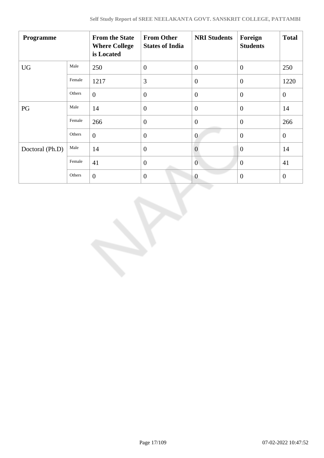| Programme       |        | <b>From the State</b><br><b>Where College</b><br>is Located | <b>From Other</b><br><b>States of India</b> | <b>NRI Students</b> | Foreign<br><b>Students</b> | <b>Total</b>   |
|-----------------|--------|-------------------------------------------------------------|---------------------------------------------|---------------------|----------------------------|----------------|
| <b>UG</b>       | Male   | 250                                                         | $\overline{0}$                              | $\overline{0}$      | $\overline{0}$             | 250            |
|                 | Female | 1217                                                        | 3                                           | $\theta$            | $\overline{0}$             | 1220           |
|                 | Others | $\overline{0}$                                              | $\mathbf{0}$                                | $\overline{0}$      | $\overline{0}$             | $\overline{0}$ |
| PG              | Male   | 14                                                          | $\overline{0}$                              | $\overline{0}$      | $\overline{0}$             | 14             |
|                 | Female | 266                                                         | $\mathbf{0}$                                | $\overline{0}$      | $\overline{0}$             | 266            |
|                 | Others | $\overline{0}$                                              | $\boldsymbol{0}$                            | $\overline{0}$      | $\overline{0}$             | $\mathbf{0}$   |
| Doctoral (Ph.D) | Male   | 14                                                          | $\overline{0}$                              | $\overline{0}$      | $\overline{0}$             | 14             |
|                 | Female | 41                                                          | $\overline{0}$                              | $\overline{0}$      | $\overline{0}$             | 41             |
|                 | Others | $\overline{0}$                                              | $\overline{0}$                              | $\overline{0}$      | $\overline{0}$             | $\mathbf{0}$   |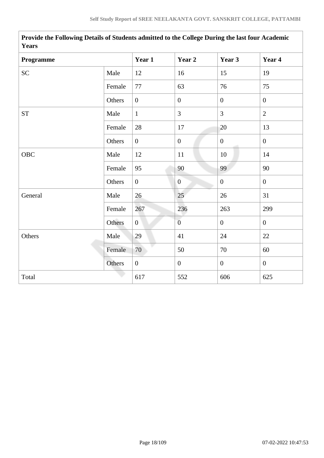| 1 yal 5   |        |                |                  |                  |                |
|-----------|--------|----------------|------------------|------------------|----------------|
| Programme |        | Year 1         | Year 2           | Year 3           | Year 4         |
| SC        | Male   | 12             | 16               | 15               | 19             |
|           | Female | 77             | 63               | 76               | 75             |
|           | Others | $\overline{0}$ | $\boldsymbol{0}$ | $\overline{0}$   | $\mathbf{0}$   |
| <b>ST</b> | Male   | $\mathbf{1}$   | $\overline{3}$   | $\overline{3}$   | $\overline{2}$ |
|           | Female | 28             | 17               | 20               | 13             |
|           | Others | $\overline{0}$ | $\boldsymbol{0}$ | $\mathbf{0}$     | $\overline{0}$ |
| OBC       | Male   | 12             | 11               | 10               | 14             |
|           | Female | 95             | 90               | 99               | 90             |
|           | Others | $\overline{0}$ | $\overline{0}$   | $\boldsymbol{0}$ | $\overline{0}$ |
| General   | Male   | 26             | 25               | 26               | 31             |
|           | Female | 267            | 236              | 263              | 299            |
|           | Others | $\overline{0}$ | $\overline{0}$   | $\overline{0}$   | $\overline{0}$ |
| Others    | Male   | 29             | 41               | 24               | 22             |
|           | Female | 70             | 50               | 70               | 60             |
|           | Others | $\overline{0}$ | $\mathbf{0}$     | $\overline{0}$   | $\overline{0}$ |
| Total     |        | 617            | 552              | 606              | 625            |

**Provide the Following Details of Students admitted to the College During the last four Academic Years**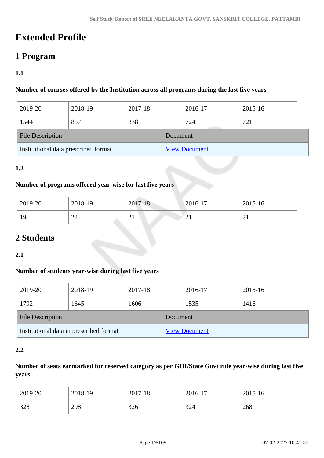## **Extended Profile**

## **1 Program**

## **1.1**

### **Number of courses offered by the Institution across all programs during the last five years**

| 2019-20                              | 2018-19 | 2017-18 |          | 2016-17              | 2015-16 |  |
|--------------------------------------|---------|---------|----------|----------------------|---------|--|
| 1544                                 | 857     | 838     |          | 724                  | 721     |  |
| <b>File Description</b>              |         |         | Document |                      |         |  |
| Institutional data prescribed format |         |         |          | <b>View Document</b> |         |  |

## **1.2**

#### **Number of programs offered year-wise for last five years**

| 2019-20 | 2018-19  | 2017-18                   | $2016-17$ | 2015-16 |
|---------|----------|---------------------------|-----------|---------|
| 19      | nn<br>∠∠ | $\sim$<br>$\overline{21}$ | $\sim$ 1  | ◢       |

## **2 Students**

### **2.1**

### **Number of students year-wise during last five years**

| 2019-20                                 | 2018-19 | 2017-18  |                      | 2016-17 | 2015-16 |  |
|-----------------------------------------|---------|----------|----------------------|---------|---------|--|
| 1792                                    | 1645    | 1606     |                      | 1535    | 1416    |  |
| <b>File Description</b>                 |         | Document |                      |         |         |  |
| Institutional data in prescribed format |         |          | <b>View Document</b> |         |         |  |

#### **2.2**

## **Number of seats earmarked for reserved category as per GOI/State Govt rule year-wise during last five years**

| 2019-20 | 2018-19 | 2017-18 | 2016-17 | 2015-16 |
|---------|---------|---------|---------|---------|
| 328     | 298     | 326     | 324     | 268     |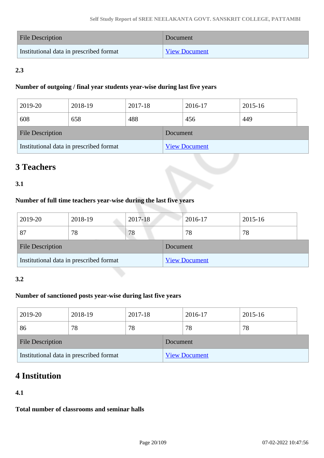| <b>File Description</b>                 | Document             |
|-----------------------------------------|----------------------|
| Institutional data in prescribed format | <b>View Document</b> |

## **2.3**

### **Number of outgoing / final year students year-wise during last five years**

| 2019-20                 | 2018-19                                 | 2017-18  |  | 2016-17              | 2015-16 |  |
|-------------------------|-----------------------------------------|----------|--|----------------------|---------|--|
| 608                     | 658                                     | 488      |  | 456                  | 449     |  |
| <b>File Description</b> |                                         | Document |  |                      |         |  |
|                         | Institutional data in prescribed format |          |  | <b>View Document</b> |         |  |

## **3 Teachers**

## **3.1**

## **Number of full time teachers year-wise during the last five years**

| 2019-20                                 | 2018-19 | 2017-18 |                      | 2016-17 | 2015-16 |
|-----------------------------------------|---------|---------|----------------------|---------|---------|
| 87                                      | 78      | 78      |                      | 78      | 78      |
| <b>File Description</b>                 |         |         | Document             |         |         |
| Institutional data in prescribed format |         |         | <b>View Document</b> |         |         |

## **3.2**

## **Number of sanctioned posts year-wise during last five years**

| 2019-20                                 | 2018-19 | 2017-18  |                      | 2016-17 | 2015-16 |
|-----------------------------------------|---------|----------|----------------------|---------|---------|
| 86                                      | 78      | 78       |                      | 78      | 78      |
| <b>File Description</b>                 |         | Document |                      |         |         |
| Institutional data in prescribed format |         |          | <b>View Document</b> |         |         |

## **4 Institution**

## **4.1**

**Total number of classrooms and seminar halls**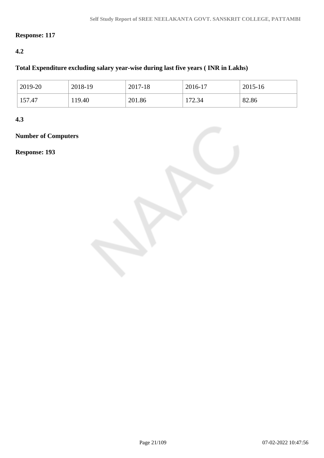## **Response: 117**

## **4.2**

### **Total Expenditure excluding salary year-wise during last five years ( INR in Lakhs)**

| 2019-20 | 2018-19 | 2017-18 | 2016-17 | 2015-16 |
|---------|---------|---------|---------|---------|
| 157.47  | 119.40  | 201.86  | 172.34  | 82.86   |

**4.3**

**Number of Computers**

**Response: 193**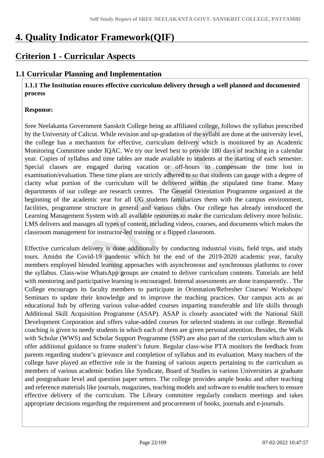# **4. Quality Indicator Framework(QIF)**

## **Criterion 1 - Curricular Aspects**

## **1.1 Curricular Planning and Implementation**

 **1.1.1 The Institution ensures effective curriculum delivery through a well planned and documented process**

## **Response:**

Sree Neelakanta Government Sanskrit College being an affiliated college, follows the syllabus prescribed by the University of Calicut. While revision and up-gradation of the syllabi are done at the university level, the college has a mechanism for effective, curriculum delivery which is monitored by an Academic Monitoring Committee under IQAC. We try our level best to provide 180 days of teaching in a calendar year. Copies of syllabus and time tables are made available to students at the starting of each semester. Special classes are engaged during vacation or off-hours to compensate the time lost in examination/evaluation. These time plans are strictly adhered to so that students can gauge with a degree of clarity what portion of the curriculum will be delivered within the stipulated time frame. Many departments of our college are research centres. The General Orientation Programme organized at the beginning of the academic year for all UG students familiarizes them with the campus environment, facilities, programme structure in general and various clubs. Our college has already introduced the Learning Management System with all available resources to make the curriculum delivery more holistic. LMS delivers and manages all types of content, including videos, courses, and documents which makes the classroom management for instructor-led training or a flipped classroom.

Effective curriculum delivery is done additionally by conducting industrial visits, field trips, and study tours. Amidst the Covid-19 pandemic which hit the end of the 2019-2020 academic year, faculty members employed blended learning approaches with asynchronous and synchronous platforms to cover the syllabus. Class-wise WhatsApp groups are created to deliver curriculum contents. Tutorials are held with mentoring and participative learning is encouraged. Internal assessments are done transparently. . The College encourages its faculty members to participate in Orientation/Refresher Courses/ Workshops/ Seminars to update their knowledge and to improve the teaching practices. Our campus acts as an educational hub by offering various value-added courses imparting transferable and life skills through Additional Skill Acquisition Programme (ASAP). ASAP is closely associated with the National Skill Development Corporation and offers value-added courses for selected students in our college. Remedial coaching is given to needy students in which each of them are given personal attention. Besides, the Walk with Scholar (WWS) and Scholar Support Programme (SSP) are also part of the curriculum which aim to offer additional guidance to frame student's future. Regular class-wise PTA monitors the feedback from parents regarding student's grievance and completion of syllabus and its evaluation. Many teachers of the college have played an effective role in the framing of various aspects pertaining to the curriculum as members of various academic bodies like Syndicate, Board of Studies in various Universities at graduate and postgraduate level and question paper setters. The college provides ample books and other teaching and reference materials like journals, magazines, teaching models and software to enable teachers to ensure effective delivery of the curriculum. The Library committee regularly conducts meetings and takes appropriate decisions regarding the requirement and procurement of books, journals and e-journals.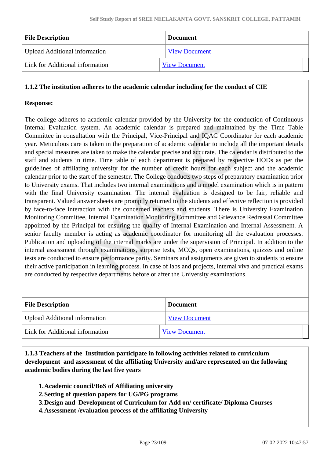| <b>File Description</b>              | <b>Document</b>      |  |
|--------------------------------------|----------------------|--|
| <b>Upload Additional information</b> | <b>View Document</b> |  |
| Link for Additional information      | <b>View Document</b> |  |

#### **1.1.2 The institution adheres to the academic calendar including for the conduct of CIE**

#### **Response:**

The college adheres to academic calendar provided by the University for the conduction of Continuous Internal Evaluation system. An academic calendar is prepared and maintained by the Time Table Committee in consultation with the Principal, Vice-Principal and IQAC Coordinator for each academic year. Meticulous care is taken in the preparation of academic calendar to include all the important details and special measures are taken to make the calendar precise and accurate. The calendar is distributed to the staff and students in time. Time table of each department is prepared by respective HODs as per the guidelines of affiliating university for the number of credit hours for each subject and the academic calendar prior to the start of the semester. The College conducts two steps of preparatory examination prior to University exams. That includes two internal examinations and a model examination which is in pattern with the final University examination. The internal evaluation is designed to be fair, reliable and transparent. Valued answer sheets are promptly returned to the students and effective reflection is provided by face-to-face interaction with the concerned teachers and students. There is University Examination Monitoring Committee, Internal Examination Monitoring Committee and Grievance Redressal Committee appointed by the Principal for ensuring the quality of Internal Examination and Internal Assessment. A senior faculty member is acting as academic coordinator for monitoring all the evaluation processes. Publication and uploading of the internal marks are under the supervision of Principal. In addition to the internal assessment through examinations, surprise tests, MCQs, open examinations, quizzes and online tests are conducted to ensure performance parity. Seminars and assignments are given to students to ensure their active participation in learning process. In case of labs and projects, internal viva and practical exams are conducted by respective departments before or after the University examinations.

| <b>File Description</b>              | <b>Document</b>      |  |
|--------------------------------------|----------------------|--|
| <b>Upload Additional information</b> | <b>View Document</b> |  |
| Link for Additional information      | <b>View Document</b> |  |

 **1.1.3 Teachers of the Institution participate in following activities related to curriculum development and assessment of the affiliating University and/are represented on the following academic bodies during the last five years** 

- **1.Academic council/BoS of Affiliating university**
- **2.Setting of question papers for UG/PG programs**
- **3.Design and Development of Curriculum for Add on/ certificate/ Diploma Courses**
- **4.Assessment /evaluation process of the affiliating University**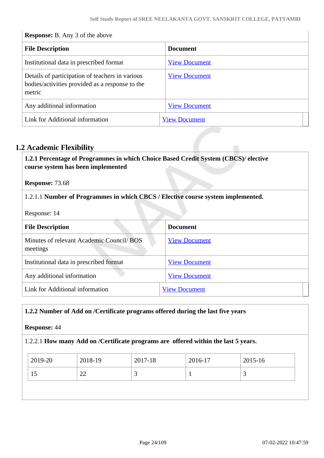| <b>Response.</b> D. Ally 3 01 the above                                                                      |                      |
|--------------------------------------------------------------------------------------------------------------|----------------------|
| <b>File Description</b>                                                                                      | <b>Document</b>      |
| Institutional data in prescribed format                                                                      | <b>View Document</b> |
| Details of participation of teachers in various<br>bodies/activities provided as a response to the<br>metric | <b>View Document</b> |
| Any additional information                                                                                   | <b>View Document</b> |
| Link for Additional information                                                                              | <b>View Document</b> |

### **Response:** B. Any 3 of the above

## **1.2 Academic Flexibility**

 **1.2.1 Percentage of Programmes in which Choice Based Credit System (CBCS)/ elective course system has been implemented** 

#### **Response:** 73.68

#### 1.2.1.1 **Number of Programmes in which CBCS / Elective course system implemented.**

Response: 14

| <b>File Description</b>                               | <b>Document</b>      |
|-------------------------------------------------------|----------------------|
| Minutes of relevant Academic Council/ BOS<br>meetings | <b>View Document</b> |
| Institutional data in prescribed format               | <b>View Document</b> |
| Any additional information                            | <b>View Document</b> |
| Link for Additional information                       | <b>View Document</b> |

#### **1.2.2 Number of Add on /Certificate programs offered during the last five years**

**Response:** 44

#### 1.2.2.1 **How many Add on /Certificate programs are offered within the last 5 years.**

| 2019-20<br>2018-19<br>$2015 - 16$<br>2017-18<br>2016-17 |  |
|---------------------------------------------------------|--|
| 15<br>22<br>ت                                           |  |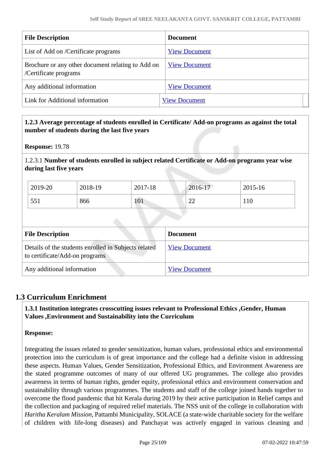| <b>File Description</b>                                                    | <b>Document</b>      |
|----------------------------------------------------------------------------|----------------------|
| List of Add on /Certificate programs                                       | <b>View Document</b> |
| Brochure or any other document relating to Add on<br>/Certificate programs | <b>View Document</b> |
| Any additional information                                                 | <b>View Document</b> |
| Link for Additional information                                            | <b>View Document</b> |

### **1.2.3 Average percentage of students enrolled in Certificate/ Add-on programs as against the total number of students during the last five years**

**Response:** 19.78

## 1.2.3.1 **Number of students enrolled in subject related Certificate or Add-on programs year wise during last five years**

| 2019-20     | 2018-19 | 2017-18 | 2016-17      | 2015-16 |
|-------------|---------|---------|--------------|---------|
| 551<br>JJ 1 | 866     | 101     | $\sim$<br>∠∠ | 110     |

| <b>File Description</b>                                                                | <b>Document</b>      |
|----------------------------------------------------------------------------------------|----------------------|
| Details of the students enrolled in Subjects related<br>to certificate/Add-on programs | <b>View Document</b> |
| Any additional information                                                             | <b>View Document</b> |

## **1.3 Curriculum Enrichment**

 **1.3.1 Institution integrates crosscutting issues relevant to Professional Ethics ,Gender, Human Values ,Environment and Sustainability into the Curriculum**

## **Response:**

Integrating the issues related to gender sensitization, human values, professional ethics and environmental protection into the curriculum is of great importance and the college had a definite vision in addressing these aspects. Human Values, Gender Sensitization, Professional Ethics, and Environment Awareness are the stated programme outcomes of many of our offered UG programmes. The college also provides awareness in terms of human rights, gender equity, professional ethics and environment conservation and sustainability through various programmes. The students and staff of the college joined hands together to overcome the flood pandemic that hit Kerala during 2019 by their active participation in Relief camps and the collection and packaging of required relief materials. The NSS unit of the college in collaboration with *Haritha Keralam Mission*, Pattambi Municipality, SOLACE (a state-wide charitable society for the welfare of children with life-long diseases) and Panchayat was actively engaged in various cleaning and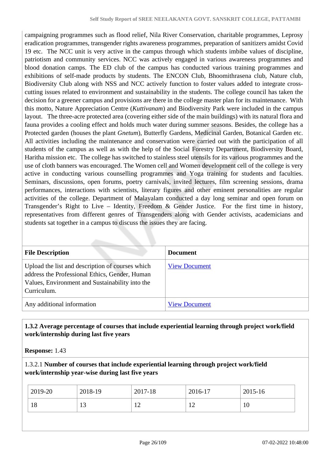campaigning programmes such as flood relief, Nila River Conservation, charitable programmes, Leprosy eradication programmes, transgender rights awareness programmes, preparation of sanitizers amidst Covid 19 etc. The NCC unit is very active in the campus through which students imbibe values of discipline, patriotism and community services. NCC was actively engaged in various awareness programmes and blood donation camps. The ED club of the campus has conducted various training programmes and exhibitions of self-made products by students. The ENCON Club, Bhoomithrasena club, Nature club, Biodiversity Club along with NSS and NCC actively function to foster values added to integrate crosscutting issues related to environment and sustainability in the students. The college council has taken the decision for a greener campus and provisions are there in the college master plan for its maintenance. With this motto, Nature Appreciation Centre (*Kuttivanam*) and Biodiversity Park were included in the campus layout. The three-acre protected area (covering either side of the main buildings) with its natural flora and fauna provides a cooling effect and holds much water during summer seasons. Besides, the college has a Protected garden (houses the plant *Gnetum*), Butterfly Gardens, Medicinal Garden, Botanical Garden etc. All activities including the maintenance and conservation were carried out with the participation of all students of the campus as well as with the help of the Social Forestry Department, Biodiversity Board, Haritha mission etc. The college has switched to stainless steel utensils for its various programmes and the use of cloth banners was encouraged. The Women cell and Women development cell of the college is very active in conducting various counselling programmes and Yoga training for students and faculties. Seminars, discussions, open forums, poetry carnivals, invited lectures, film screening sessions, drama performances, interactions with scientists, literary figures and other eminent personalities are regular activities of the college. Department of Malayalam conducted a day long seminar and open forum on Transgender's Right to Live – Identity, Freedom & Gender Justice. For the first time in history, representatives from different genres of Transgenders along with Gender activists, academicians and students sat together in a campus to discuss the issues they are facing.

| <b>File Description</b>                                                                                                                                              | <b>Document</b>      |
|----------------------------------------------------------------------------------------------------------------------------------------------------------------------|----------------------|
| Upload the list and description of courses which<br>address the Professional Ethics, Gender, Human<br>Values, Environment and Sustainability into the<br>Curriculum. | <b>View Document</b> |
| Any additional information                                                                                                                                           | <b>View Document</b> |

## **1.3.2 Average percentage of courses that include experiential learning through project work/field work/internship during last five years**

**Response:** 1.43

## 1.3.2.1 **Number of courses that include experiential learning through project work/field work/internship year-wise during last five years**

| 18<br>10<br>1 ^<br>┸<br>IJ<br>┸ <del></del> | $2019-20$ | 2018-19 | 2017-18 | 2016-17 | 2015-16 |
|---------------------------------------------|-----------|---------|---------|---------|---------|
|                                             |           |         |         |         |         |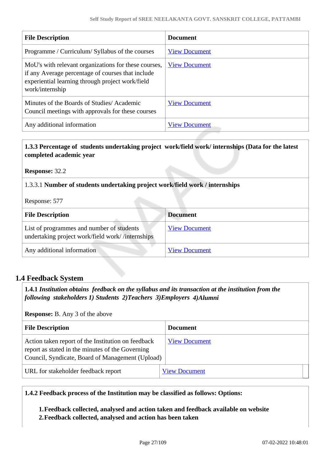| <b>File Description</b>                                                                                                                                                          | <b>Document</b>      |
|----------------------------------------------------------------------------------------------------------------------------------------------------------------------------------|----------------------|
| Programme / Curriculum/ Syllabus of the courses                                                                                                                                  | <b>View Document</b> |
| MoU's with relevant organizations for these courses,<br>if any Average percentage of courses that include<br>experiential learning through project work/field<br>work/internship | <b>View Document</b> |
| Minutes of the Boards of Studies/Academic<br>Council meetings with approvals for these courses                                                                                   | <b>View Document</b> |
| Any additional information                                                                                                                                                       | <b>View Document</b> |

### **1.3.3 Percentage of students undertaking project work/field work/ internships (Data for the latest completed academic year**

**Response:** 32.2

#### 1.3.3.1 **Number of students undertaking project work/field work / internships**

Response: 577

| <b>File Description</b>                                                                       | <b>Document</b>      |
|-----------------------------------------------------------------------------------------------|----------------------|
| List of programmes and number of students<br>undertaking project work/field work//internships | <b>View Document</b> |
| Any additional information                                                                    | <b>View Document</b> |

## **1.4 Feedback System**

 **1.4.1** *Institution obtains feedback on the syllabus and its transaction at the institution from the following stakeholders 1) Students 2)Teachers 3)Employers 4)Alumni* 

**Response:** B. Any 3 of the above

| <b>File Description</b>                                                                                                                                    | <b>Document</b>      |
|------------------------------------------------------------------------------------------------------------------------------------------------------------|----------------------|
| Action taken report of the Institution on feedback<br>report as stated in the minutes of the Governing<br>Council, Syndicate, Board of Management (Upload) | <b>View Document</b> |
| URL for stakeholder feedback report                                                                                                                        | <b>View Document</b> |

#### **1.4.2 Feedback process of the Institution may be classified as follows: Options:**

## **1.Feedback collected, analysed and action taken and feedback available on website**

**2.Feedback collected, analysed and action has been taken**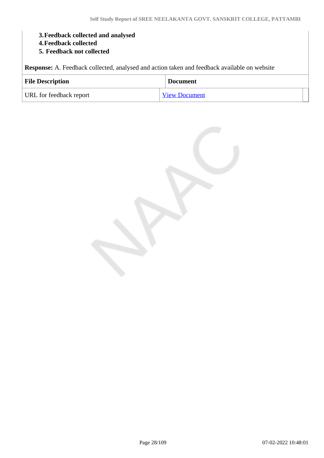- **3.Feedback collected and analysed**
- **4.Feedback collected**
- **5. Feedback not collected**

**Response:** A. Feedback collected, analysed and action taken and feedback available on website

| <b>File Description</b> | <b>Document</b>      |
|-------------------------|----------------------|
| URL for feedback report | <b>View Document</b> |

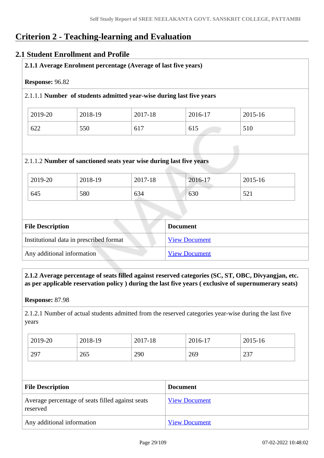## **Criterion 2 - Teaching-learning and Evaluation**

## **2.1 Student Enrollment and Profile**

| Response: 96.82                                                      |                                         |         |                                                                     |         |
|----------------------------------------------------------------------|-----------------------------------------|---------|---------------------------------------------------------------------|---------|
| 2.1.1.1 Number of students admitted year-wise during last five years |                                         |         |                                                                     |         |
|                                                                      |                                         |         |                                                                     |         |
| 2019-20                                                              | 2018-19                                 | 2017-18 | 2016-17                                                             | 2015-16 |
| 622                                                                  | 550                                     | 617     | 615                                                                 | 510     |
|                                                                      |                                         |         | 2.1.1.2 Number of sanctioned seats year wise during last five years |         |
| 2019-20                                                              | 2018-19                                 | 2017-18 | 2016-17                                                             | 2015-16 |
| 645                                                                  | 580                                     | 634     | 630                                                                 | 521     |
|                                                                      |                                         |         |                                                                     |         |
|                                                                      |                                         |         |                                                                     |         |
| <b>File Description</b>                                              |                                         |         | <b>Document</b>                                                     |         |
|                                                                      |                                         |         |                                                                     |         |
|                                                                      | Institutional data in prescribed format |         | <b>View Document</b>                                                |         |

### **2.1.2 Average percentage of seats filled against reserved categories (SC, ST, OBC, Divyangjan, etc. as per applicable reservation policy ) during the last five years ( exclusive of supernumerary seats)**

**Response:** 87.98

2.1.2.1 Number of actual students admitted from the reserved categories year-wise during the last five years

| 2019-20 | 2018-19 | 2017-18 | 2016-17 | 2015-16 |
|---------|---------|---------|---------|---------|
| 297     | 265     | 290     | 269     | 237     |

| <b>File Description</b>                                      | <b>Document</b>      |
|--------------------------------------------------------------|----------------------|
| Average percentage of seats filled against seats<br>reserved | <b>View Document</b> |
| Any additional information                                   | <b>View Document</b> |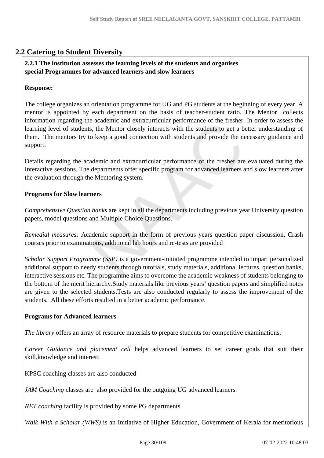## **2.2 Catering to Student Diversity**

### **2.2.1 The institution assesses the learning levels of the students and organises special Programmes for advanced learners and slow learners**

#### **Response:**

The college organizes an orientation programme for UG and PG students at the beginning of every year. A mentor is appointed by each department on the basis of teacher-student ratio. The Mentor collects information regarding the academic and extracurricular performance of the fresher. In order to assess the learning level of students, the Mentor closely interacts with the students to get a better understanding of them. The mentors try to keep a good connection with students and provide the necessary guidance and support.

Details regarding the academic and extracurricular performance of the fresher are evaluated during the Interactive sessions. The departments offer specific program for advanced learners and slow learners after the evaluation through the Mentoring system.

#### **Programs for Slow learners**

*Comprehensive Question banks* are kept in all the departments including previous year University question papers, model questions and Multiple Choice Questions.

*Remedial measures:* Academic support in the form of previous years question paper discussion, Crash courses prior to examinations, additional lab hours and re-tests are provided

*Scholar Support Programme (SSP)* is a government-initiated programme intended to impart personalized additional support to needy students through tutorials, study materials, additional lectures, question banks, interactive sessions etc. The programme aims to overcome the academic weakness of students belonging to the bottom of the merit hierarchy.Study materials like previous years' question papers and simplified notes are given to the selected students.Tests are also conducted regularly to assess the improvement of the students. All these efforts resulted in a better academic performance.

#### **Programs for Advanced learners**

*The library* offers an array of resource materials to prepare students for competitive examinations.

*Career Guidance and placement cell* helps advanced learners to set career goals that suit their skill,knowledge and interest.

KPSC coaching classes are also conducted

*JAM Coaching* classes are also provided for the outgoing UG advanced learners.

*NET coaching* facility is provided by some PG departments.

*Walk With a Scholar (WWS)* is an Initiative of Higher Education, Government of Kerala for meritorious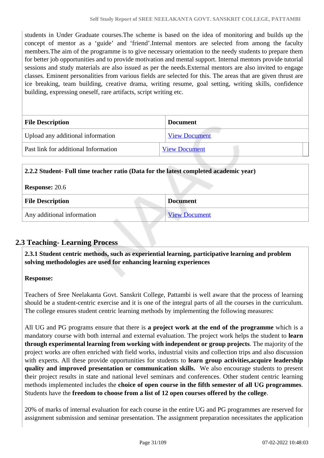students in Under Graduate courses.The scheme is based on the idea of monitoring and builds up the concept of mentor as a 'guide' and 'friend'.Internal mentors are selected from among the faculty members.The aim of the programme is to give necessary orientation to the needy students to prepare them for better job opportunities and to provide motivation and mental support. Internal mentors provide tutorial sessions and study materials are also issued as per the needs.External mentors are also invited to engage classes. Eminent personalities from various fields are selected for this. The areas that are given thrust are ice breaking, team building, creative drama, writing resume, goal setting, writing skills, confidence building, expressing oneself, rare artifacts, script writing etc.

| <b>File Description</b>              | <b>Document</b>      |  |
|--------------------------------------|----------------------|--|
| Upload any additional information    | <b>View Document</b> |  |
| Past link for additional Information | <b>View Document</b> |  |

| 2.2.2 Student- Full time teacher ratio (Data for the latest completed academic year) |                 |
|--------------------------------------------------------------------------------------|-----------------|
| <b>Response: 20.6</b>                                                                |                 |
| <b>File Description</b>                                                              | <b>Document</b> |
| Any additional information<br><b>View Document</b>                                   |                 |

## **2.3 Teaching- Learning Process**

 **2.3.1 Student centric methods, such as experiential learning, participative learning and problem solving methodologies are used for enhancing learning experiences**

#### **Response:**

Teachers of Sree Neelakanta Govt. Sanskrit College, Pattambi is well aware that the process of learning should be a student-centric exercise and it is one of the integral parts of all the courses in the curriculum. The college ensures student centric learning methods by implementing the following measures:

All UG and PG programs ensure that there is **a project work at the end of the programme** which is a mandatory course with both internal and external evaluation. The project work helps the student to **learn through experimental learning from working with independent or group projects**. The majority of the project works are often enriched with field works, industrial visits and collection trips and also discussion with experts. All these provide opportunities for students to **learn group activities,acquire leadership quality and improved presentation or communication skills.** We also encourage students to present their project results in state and national level seminars and conferences. Other student centric learning methods implemented includes the **choice of open course in the fifth semester of all UG programmes**. Students have the **freedom to choose from a list of 12 open courses offered by the college**.

20% of marks of internal evaluation for each course in the entire UG and PG programmes are reserved for assignment submission and seminar presentation. The assignment preparation necessitates the application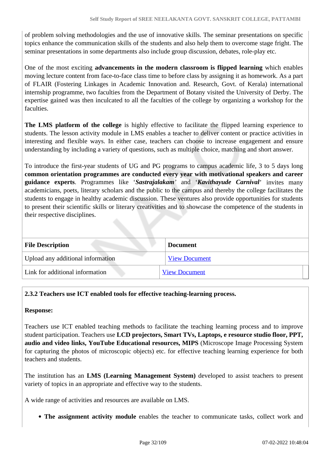of problem solving methodologies and the use of innovative skills. The seminar presentations on specific topics enhance the communication skills of the students and also help them to overcome stage fright. The seminar presentations in some departments also include group discussion, debates, role-play etc.

One of the most exciting **advancements in the modern classroom is flipped learning** which enables moving lecture content from face-to-face class time to before class by assigning it as homework. As a part of FLAIR (Fostering Linkages in Academic Innovation and. Research, Govt. of Kerala) international internship programme, two faculties from the Department of Botany visited the University of Derby. The expertise gained was then inculcated to all the faculties of the college by organizing a workshop for the faculties.

**The LMS platform of the college** is highly effective to facilitate the flipped learning experience to students. The lesson activity module in LMS enables a teacher to deliver content or practice activities in interesting and flexible ways. In either case, teachers can choose to increase engagement and ensure understanding by including a variety of questions, such as multiple choice, matching and short answer.

To introduce the first-year students of UG and PG programs to campus academic life, 3 to 5 days long **common orientation programmes are conducted every year with motivational speakers and career guidance experts**. Programmes like '*Sastrajalakam'* and '*Kavithayude Carnival*' invites many academicians, poets, literary scholars and the public to the campus and thereby the college facilitates the students to engage in healthy academic discussion. These ventures also provide opportunities for students to present their scientific skills or literary creativities and to showcase the competence of the students in their respective disciplines.

| <b>File Description</b>           | <b>Document</b>      |
|-----------------------------------|----------------------|
| Upload any additional information | <b>View Document</b> |
| Link for additional information   | <b>View Document</b> |

## **2.3.2 Teachers use ICT enabled tools for effective teaching-learning process.**

#### **Response:**

Teachers use ICT enabled teaching methods to facilitate the teaching learning process and to improve student participation. Teachers use **LCD projectors, Smart TVs, Laptops, e resource studio floor, PPT, audio and video links, YouTube Educational resources, MIPS** (Microscope Image Processing System for capturing the photos of microscopic objects) etc. for effective teaching learning experience for both teachers and students.

The institution has an **LMS (Learning Management System)** developed to assist teachers to present variety of topics in an appropriate and effective way to the students.

A wide range of activities and resources are available on LMS.

**The assignment activity module** enables the teacher to communicate tasks, collect work and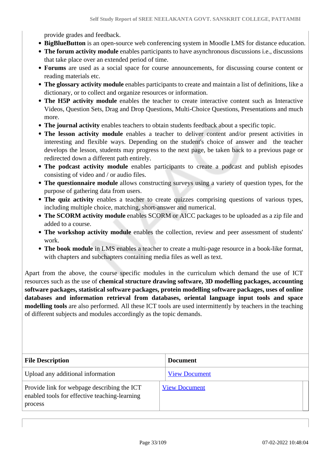provide grades and feedback.

- **BigBlueButton** is an open-source web conferencing system in Moodle LMS for distance education.
- **The forum activity module** enables participants to have asynchronous discussions i.e., discussions that take place over an extended period of time.
- **Forums** are used as a social space for course announcements, for discussing course content or reading materials etc.
- **The glossary activity module** enables participants to create and maintain a list of definitions, like a dictionary, or to collect and organize resources or information.
- **The H5P activity module** enables the teacher to create interactive content such as Interactive Videos, Question Sets, Drag and Drop Questions, Multi-Choice Questions, Presentations and much more.
- **The journal activity** enables teachers to obtain students feedback about a specific topic.
- **The lesson activity module** enables a teacher to deliver content and/or present activities in interesting and flexible ways. Depending on the student's choice of answer and the teacher develops the lesson, students may progress to the next page, be taken back to a previous page or redirected down a different path entirely.
- **The podcast activity module** enables participants to create a podcast and publish episodes consisting of video and / or audio files.
- **The questionnaire module** allows constructing surveys using a variety of question types, for the purpose of gathering data from users.
- **The quiz activity** enables a teacher to create quizzes comprising questions of various types, including multiple choice, matching, short-answer and numerical.
- **The SCORM activity module** enables SCORM or AICC packages to be uploaded as a zip file and added to a course.
- **The workshop activity module** enables the collection, review and peer assessment of students' work.
- **The book module** in LMS enables a teacher to create a multi-page resource in a book-like format, with chapters and subchapters containing media files as well as text.

Apart from the above, the course specific modules in the curriculum which demand the use of ICT resources such as the use of **chemical structure drawing software, 3D modelling packages, accounting software packages, statistical software packages, protein modelling software packages, uses of online databases and information retrieval from databases, oriental language input tools and space modelling tools** are also performed. All these ICT tools are used intermittently by teachers in the teaching of different subjects and modules accordingly as the topic demands.

| <b>File Description</b>                                                                                 | <b>Document</b>      |
|---------------------------------------------------------------------------------------------------------|----------------------|
| Upload any additional information                                                                       | <b>View Document</b> |
| Provide link for webpage describing the ICT<br>enabled tools for effective teaching-learning<br>process | <b>View Document</b> |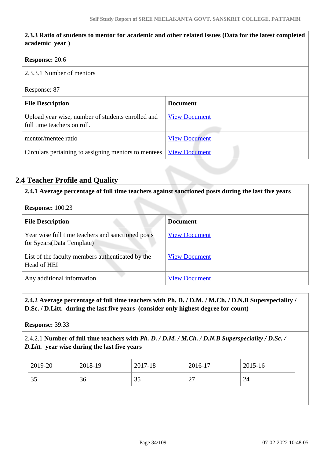### **2.3.3 Ratio of students to mentor for academic and other related issues (Data for the latest completed academic year )**

#### **Response:** 20.6

## 2.3.3.1 Number of mentors

#### Response: 87

| <b>File Description</b>                                                          | <b>Document</b>      |
|----------------------------------------------------------------------------------|----------------------|
| Upload year wise, number of students enrolled and<br>full time teachers on roll. | <b>View Document</b> |
| mentor/mentee ratio                                                              | <b>View Document</b> |
| Circulars pertaining to assigning mentors to mentees   View Document             |                      |

## **2.4 Teacher Profile and Quality**

**2.4.1 Average percentage of full time teachers against sanctioned posts during the last five years**

#### **Response:** 100.23

| <b>File Description</b>                                                         | <b>Document</b>      |
|---------------------------------------------------------------------------------|----------------------|
| Year wise full time teachers and sanctioned posts<br>for 5years (Data Template) | <b>View Document</b> |
| List of the faculty members authenticated by the<br>Head of HEI                 | <b>View Document</b> |
| Any additional information                                                      | <b>View Document</b> |

### **2.4.2 Average percentage of full time teachers with Ph. D. / D.M. / M.Ch. / D.N.B Superspeciality / D.Sc. / D.Litt. during the last five years (consider only highest degree for count)**

**Response:** 39.33

### 2.4.2.1 **Number of full time teachers with** *Ph. D. / D.M. / M.Ch. / D.N.B Superspeciality / D.Sc. / D.Litt.* **year wise during the last five years**

| 2019-20  | 2018-19 | 2017-18 | 2016-17                  | 2015-16 |
|----------|---------|---------|--------------------------|---------|
| 35<br>36 |         | 35      | $\overline{\phantom{0}}$ | 24      |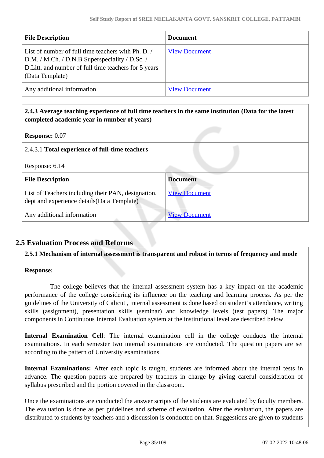| <b>File Description</b>                                                                                                                                                        | <b>Document</b>      |
|--------------------------------------------------------------------------------------------------------------------------------------------------------------------------------|----------------------|
| List of number of full time teachers with Ph. D.<br>D.M. / M.Ch. / D.N.B Superspeciality / D.Sc. /<br>D. Litt. and number of full time teachers for 5 years<br>(Data Template) | <b>View Document</b> |
| Any additional information                                                                                                                                                     | <b>View Document</b> |

| 2.4.3 Average teaching experience of full time teachers in the same institution (Data for the latest<br>completed academic year in number of years) |                      |
|-----------------------------------------------------------------------------------------------------------------------------------------------------|----------------------|
| <b>Response: 0.07</b>                                                                                                                               |                      |
| 2.4.3.1 Total experience of full-time teachers                                                                                                      |                      |
| Response: 6.14                                                                                                                                      |                      |
| <b>File Description</b>                                                                                                                             | <b>Document</b>      |
| List of Teachers including their PAN, designation,<br>dept and experience details (Data Template)                                                   | <b>View Document</b> |
| Any additional information                                                                                                                          | <b>View Document</b> |

## **2.5 Evaluation Process and Reforms**

**2.5.1 Mechanism of internal assessment is transparent and robust in terms of frequency and mode**

#### **Response:**

 The college believes that the internal assessment system has a key impact on the academic performance of the college considering its influence on the teaching and learning process. As per the guidelines of the University of Calicut , internal assessment is done based on student's attendance, writing skills (assignment), presentation skills (seminar) and knowledge levels (test papers). The major components in Continuous Internal Evaluation system at the institutional level are described below.

**Internal Examination Cell**: The internal examination cell in the college conducts the internal examinations. In each semester two internal examinations are conducted. The question papers are set according to the pattern of University examinations.

**Internal Examinations:** After each topic is taught, students are informed about the internal tests in advance. The question papers are prepared by teachers in charge by giving careful consideration of syllabus prescribed and the portion covered in the classroom.

Once the examinations are conducted the answer scripts of the students are evaluated by faculty members. The evaluation is done as per guidelines and scheme of evaluation. After the evaluation, the papers are distributed to students by teachers and a discussion is conducted on that. Suggestions are given to students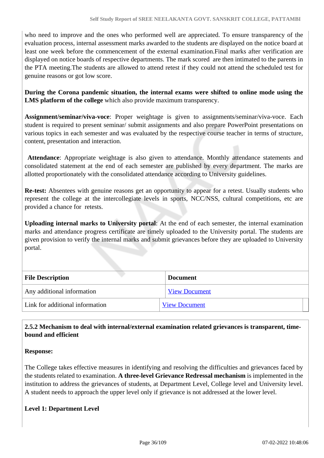who need to improve and the ones who performed well are appreciated. To ensure transparency of the evaluation process, internal assessment marks awarded to the students are displayed on the notice board at least one week before the commencement of the external examination.Final marks after verification are displayed on notice boards of respective departments. The mark scored are then intimated to the parents in the PTA meeting.The students are allowed to attend retest if they could not attend the scheduled test for genuine reasons or got low score.

**During the Corona pandemic situation, the internal exams were shifted to online mode using the LMS platform of the college** which also provide maximum transparency.

**Assignment/seminar/viva-voce**: Proper weightage is given to assignments/seminar/viva-voce. Each student is required to present seminar/ submit assignments and also prepare PowerPoint presentations on various topics in each semester and was evaluated by the respective course teacher in terms of structure, content, presentation and interaction.

**Attendance**: Appropriate weightage is also given to attendance. Monthly attendance statements and consolidated statement at the end of each semester are published by every department. The marks are allotted proportionately with the consolidated attendance according to University guidelines.

**Re-test:** Absentees with genuine reasons get an opportunity to appear for a retest. Usually students who represent the college at the intercollegiate levels in sports, NCC/NSS, cultural competitions, etc are provided a chance for retests.

**Uploading internal marks to University portal**: At the end of each semester, the internal examination marks and attendance progress certificate are timely uploaded to the University portal. The students are given provision to verify the internal marks and submit grievances before they are uploaded to University portal.

| <b>File Description</b>         | <b>Document</b>      |
|---------------------------------|----------------------|
| Any additional information      | <b>View Document</b> |
| Link for additional information | <b>View Document</b> |

### **2.5.2 Mechanism to deal with internal/external examination related grievances is transparent, timebound and efficient**

#### **Response:**

The College takes effective measures in identifying and resolving the difficulties and grievances faced by the students related to examination. **A three-level Grievance Redressal mechanism** is implemented in the institution to address the grievances of students, at Department Level, College level and University level. A student needs to approach the upper level only if grievance is not addressed at the lower level.

## **Level 1: Department Level**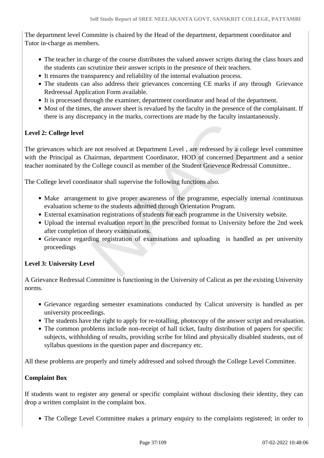The department level Committe is chaired by the Head of the department, department coordinator and Tutor in-charge as members.

- The teacher in charge of the course distributes the valued answer scripts during the class hours and the students can scrutinize their answer scripts in the presence of their teachers.
- It ensures the transparency and reliability of the internal evaluation process.
- The students can also address their grievances concerning CE marks if any through Grievance Redreessal Application Form available.
- It is processed through the examiner, department coordinator and head of the department.
- Most of the times, the answer sheet is revalued by the faculty in the presence of the complainant. If there is any discrepancy in the marks, corrections are made by the faculty instantaneously.

## **Level 2: College level**

The grievances which are not resolved at Department Level , are redressed by a college level committee with the Principal as Chairman, department Coordinator, HOD of concerned Department and a senior teacher nominated by the College council as member of the Student Grievence Redressal Committee..

The College level coordinator shall supervise the following functions also.

- Make arrangement to give proper awareness of the programme, especially internal /continuous evaluation scheme to the students admitted through Orientation Program.
- External examination registrations of students for each programme in the University website.
- Upload the internal evaluation report in the prescribed format to University before the 2nd week after completion of theory examinations.
- Grievance regarding registration of examinations and uploading is handled as per university proceedings

## **Level 3: University Level**

A Grievance Redressal Committee is functioning in the University of Calicut as per the existing University norms.

- Grievance regarding semester examinations conducted by Calicut university is handled as per university proceedings.
- The students have the right to apply for re-totalling, photocopy of the answer script and revaluation.
- The common problems include non-receipt of hall ticket, faulty distribution of papers for specific subjects, withholding of results, providing scribe for blind and physically disabled students, out of syllabus questions in the question paper and discrepancy etc.

All these problems are properly and timely addressed and solved through the College Level Committee.

#### **Complaint Box**

If students want to register any general or specific complaint without disclosing their identity, they can drop a written complaint in the complaint box.

The College Level Committee makes a primary enquiry to the complaints registered; in order to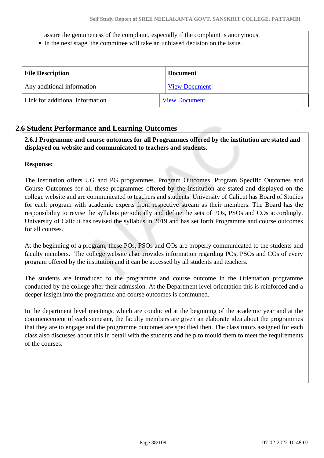assure the genuineness of the complaint, especially if the complaint is anonymous.

In the next stage, the committee will take an unbiased decision on the issue.

| <b>File Description</b>         | <b>Document</b>      |
|---------------------------------|----------------------|
| Any additional information      | <b>View Document</b> |
| Link for additional information | <b>View Document</b> |

## **2.6 Student Performance and Learning Outcomes**

 **2.6.1 Programme and course outcomes for all Programmes offered by the institution are stated and displayed on website and communicated to teachers and students.**

#### **Response:**

The institution offers UG and PG programmes. Program Outcomes, Program Specific Outcomes and Course Outcomes for all these programmes offered by the institution are stated and displayed on the college website and are communicated to teachers and students. University of Calicut has Board of Studies for each program with academic experts from respective stream as their members. The Board has the responsibility to revise the syllabus periodically and define the sets of POs, PSOs and COs accordingly. University of Calicut has revised the syllabus in 2019 and has set forth Programme and course outcomes for all courses.

At the beginning of a program, these POs, PSOs and COs are properly communicated to the students and faculty members. The college website also provides information regarding POs, PSOs and COs of every program offered by the institution and it can be accessed by all students and teachers.

The students are introduced to the programme and course outcome in the Orientation programme conducted by the college after their admission. At the Department level orientation this is reinforced and a deeper insight into the programme and course outcomes is communed.

In the department level meetings, which are conducted at the beginning of the academic year and at the commencement of each semester, the faculty members are given an elaborate idea about the programmes that they are to engage and the programme outcomes are specified then. The class tutors assigned for each class also discusses about this in detail with the students and help to mould them to meet the requirements of the courses.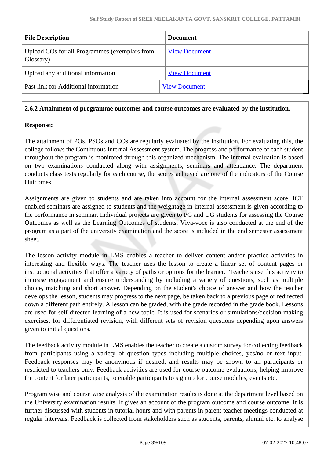| <b>File Description</b>                                    | <b>Document</b>      |
|------------------------------------------------------------|----------------------|
| Upload COs for all Programmes (exemplars from<br>Glossary) | <b>View Document</b> |
| Upload any additional information                          | <b>View Document</b> |
| Past link for Additional information                       | <b>View Document</b> |

#### **2.6.2 Attainment of programme outcomes and course outcomes are evaluated by the institution.**

#### **Response:**

The attainment of POs, PSOs and COs are regularly evaluated by the institution. For evaluating this, the college follows the Continuous Internal Assessment system. The progress and performance of each student throughout the program is monitored through this organized mechanism. The internal evaluation is based on two examinations conducted along with assignments, seminars and attendance. The department conducts class tests regularly for each course, the scores achieved are one of the indicators of the Course Outcomes.

Assignments are given to students and are taken into account for the internal assessment score. ICT enabled seminars are assigned to students and the weightage in internal assessment is given according to the performance in seminar. Individual projects are given to PG and UG students for assessing the Course Outcomes as well as the Learning Outcomes of students. Viva-voce is also conducted at the end of the program as a part of the university examination and the score is included in the end semester assessment sheet.

The lesson activity module in LMS enables a teacher to deliver content and/or practice activities in interesting and flexible ways. The teacher uses the lesson to create a linear set of content pages or instructional activities that offer a variety of paths or options for the learner. Teachers use this activity to increase engagement and ensure understanding by including a variety of questions, such as multiple choice, matching and short answer. Depending on the student's choice of answer and how the teacher develops the lesson, students may progress to the next page, be taken back to a previous page or redirected down a different path entirely. A lesson can be graded, with the grade recorded in the grade book. Lessons are used for self-directed learning of a new topic. It is used for scenarios or simulations/decision-making exercises, for differentiated revision, with different sets of revision questions depending upon answers given to initial questions.

The feedback activity module in LMS enables the teacher to create a custom survey for collecting feedback from participants using a variety of question types including multiple choices, yes/no or text input. Feedback responses may be anonymous if desired, and results may be shown to all participants or restricted to teachers only. Feedback activities are used for course outcome evaluations, helping improve the content for later participants, to enable participants to sign up for course modules, events etc.

Program wise and course wise analysis of the examination results is done at the department level based on the University examination results. It gives an account of the program outcome and course outcome. It is further discussed with students in tutorial hours and with parents in parent teacher meetings conducted at regular intervals. Feedback is collected from stakeholders such as students, parents, alumni etc. to analyse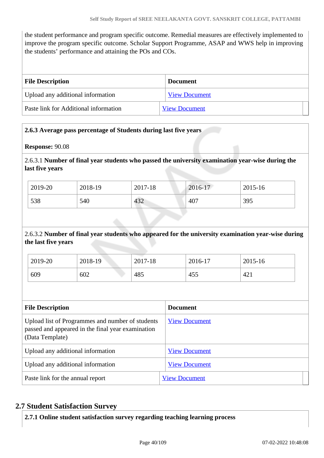the student performance and program specific outcome. Remedial measures are effectively implemented to improve the program specific outcome. Scholar Support Programme, ASAP and WWS help in improving the students' performance and attaining the POs and COs.

| <b>File Description</b>               | <b>Document</b>      |
|---------------------------------------|----------------------|
| Upload any additional information     | <b>View Document</b> |
| Paste link for Additional information | <b>View Document</b> |

#### **2.6.3 Average pass percentage of Students during last five years**

**Response:** 90.08

2.6.3.1 **Number of final year students who passed the university examination year-wise during the last five years**

| 2019-20 | 2018-19 | 2017-18 | 2016-17 | 2015-16 |
|---------|---------|---------|---------|---------|
| 538     | 540     | 432     | 407     | 395     |

## 2.6.3.2 **Number of final year students who appeared for the university examination year-wise during the last five years**

| 2019-20 | 2018-19 | 2017-18 | 2016-17 | 2015-16 |
|---------|---------|---------|---------|---------|
| 609     | 602     | 485     | 455     | $42_1$  |

| <b>File Description</b>                                                                                                  | <b>Document</b>      |
|--------------------------------------------------------------------------------------------------------------------------|----------------------|
| Upload list of Programmes and number of students<br>passed and appeared in the final year examination<br>(Data Template) | <b>View Document</b> |
| Upload any additional information                                                                                        | <b>View Document</b> |
| Upload any additional information                                                                                        | <b>View Document</b> |
| Paste link for the annual report                                                                                         | <b>View Document</b> |

## **2.7 Student Satisfaction Survey**

**2.7.1 Online student satisfaction survey regarding teaching learning process**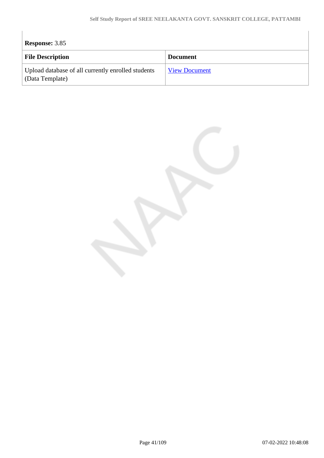| <b>Response: 3.85</b>                                                 |                      |
|-----------------------------------------------------------------------|----------------------|
| <b>File Description</b>                                               | <b>Document</b>      |
| Upload database of all currently enrolled students<br>(Data Template) | <b>View Document</b> |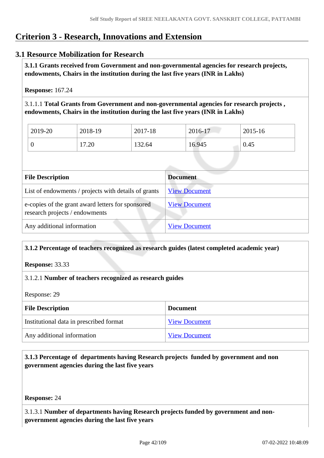# **Criterion 3 - Research, Innovations and Extension**

## **3.1 Resource Mobilization for Research**

 **3.1.1 Grants received from Government and non-governmental agencies for research projects, endowments, Chairs in the institution during the last five years (INR in Lakhs)** 

**Response:** 167.24

3.1.1.1 **Total Grants from Government and non-governmental agencies for research projects , endowments, Chairs in the institution during the last five years (INR in Lakhs)**

| 2019-20 | 2018-19 | 2017-18 | 2016-17 | 2015-16 |
|---------|---------|---------|---------|---------|
|         | 17.20   | 132.64  | 16.945  | 0.45    |

| <b>File Description</b>                                                             | <b>Document</b>      |
|-------------------------------------------------------------------------------------|----------------------|
| List of endowments / projects with details of grants                                | <b>View Document</b> |
| e-copies of the grant award letters for sponsored<br>research projects / endowments | <b>View Document</b> |
| Any additional information                                                          | <b>View Document</b> |

## **3.1.2 Percentage of teachers recognized as research guides (latest completed academic year)**

**Response:** 33.33

#### 3.1.2.1 **Number of teachers recognized as research guides**

Response: 29

| <b>File Description</b>                 | <b>Document</b>      |
|-----------------------------------------|----------------------|
| Institutional data in prescribed format | <b>View Document</b> |
| Any additional information              | <b>View Document</b> |

## **3.1.3 Percentage of departments having Research projects funded by government and non government agencies during the last five years**

**Response:** 24

3.1.3.1 **Number of departments having Research projects funded by government and nongovernment agencies during the last five years**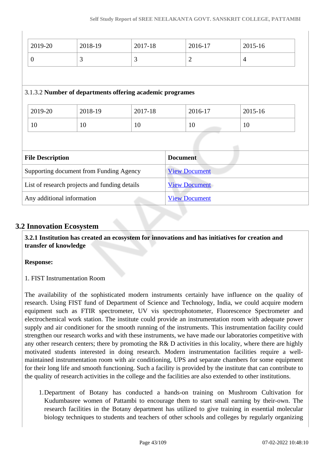| 2019-20                                       | 2018-19 | 2017-18                                                   | 2016-17              | 2015-16        |  |
|-----------------------------------------------|---------|-----------------------------------------------------------|----------------------|----------------|--|
| $\overline{0}$                                | 3       | 3                                                         | $\overline{2}$       | $\overline{4}$ |  |
|                                               |         |                                                           |                      |                |  |
|                                               |         | 3.1.3.2 Number of departments offering academic programes |                      |                |  |
| 2019-20                                       | 2018-19 | 2017-18                                                   | 2016-17              | 2015-16        |  |
| 10                                            | 10      | 10                                                        | 10                   | 10             |  |
|                                               |         |                                                           |                      |                |  |
| <b>File Description</b>                       |         |                                                           | <b>Document</b>      |                |  |
| Supporting document from Funding Agency       |         |                                                           | <b>View Document</b> |                |  |
| List of research projects and funding details |         |                                                           | <b>View Document</b> |                |  |
| Any additional information                    |         |                                                           | <b>View Document</b> |                |  |

## **3.2 Innovation Ecosystem**

 **3.2.1 Institution has created an ecosystem for innovations and has initiatives for creation and transfer of knowledge**

#### **Response:**

 $\begin{array}{c} \hline \end{array}$ 

1. FIST Instrumentation Room

The availability of the sophisticated modern instruments certainly have influence on the quality of research. Using FIST fund of Department of Science and Technology, India, we could acquire modern equipment such as FTIR spectrometer, UV vis spectrophotometer, Fluorescence Spectrometer and electrochemical work station. The institute could provide an instrumentation room with adequate power supply and air conditioner for the smooth running of the instruments. This instrumentation facility could strengthen our research works and with these instruments, we have made our laboratories competitive with any other research centers; there by promoting the R& D activities in this locality, where there are highly motivated students interested in doing research. Modern instrumentation facilities require a wellmaintained instrumentation room with air conditioning, UPS and separate chambers for some equipment for their long life and smooth functioning. Such a facility is provided by the institute that can contribute to the quality of research activities in the college and the facilities are also extended to other institutions.

1.Department of Botany has conducted a hands-on training on Mushroom Cultivation for Kudumbasree women of Pattambi to encourage them to start small earning by their-own. The research facilities in the Botany department has utilized to give training in essential molecular biology techniques to students and teachers of other schools and colleges by regularly organizing

 $\begin{array}{c} \hline \end{array}$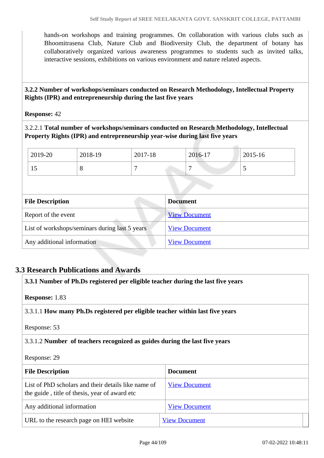hands-on workshops and training programmes. On collaboration with various clubs such as Bhoomitrasena Club, Nature Club and Biodiversity Club, the department of botany has collaboratively organized various awareness programmes to students such as invited talks, interactive sessions, exhibitions on various environment and nature related aspects.

## **3.2.2 Number of workshops/seminars conducted on Research Methodology, Intellectual Property Rights (IPR) and entrepreneurship during the last five years**

#### **Response:** 42

3.2.2.1 **Total number of workshops/seminars conducted on Research Methodology, Intellectual Property Rights (IPR) and entrepreneurship year-wise during last five years** 

| 2019-20 | 2018-19 | 2017-18 | 2016-17 | 2015-16 |
|---------|---------|---------|---------|---------|
| ⊥ື      |         |         | −       |         |

| <b>File Description</b>                        | <b>Document</b>      |
|------------------------------------------------|----------------------|
| Report of the event                            | <b>View Document</b> |
| List of workshops/seminars during last 5 years | <b>View Document</b> |
| Any additional information                     | <b>View Document</b> |

## **3.3 Research Publications and Awards**

**3.3.1 Number of Ph.Ds registered per eligible teacher during the last five years**

**Response:** 1.83

3.3.1.1 **How many Ph.Ds registered per eligible teacher within last five years**

Response: 53

#### 3.3.1.2 **Number of teachers recognized as guides during the last five years**

Response: 29

| <b>File Description</b>                                                                              | <b>Document</b>      |
|------------------------------------------------------------------------------------------------------|----------------------|
| List of PhD scholars and their details like name of<br>the guide, title of thesis, year of award etc | <b>View Document</b> |
| Any additional information                                                                           | <b>View Document</b> |
| URL to the research page on HEI website                                                              | <b>View Document</b> |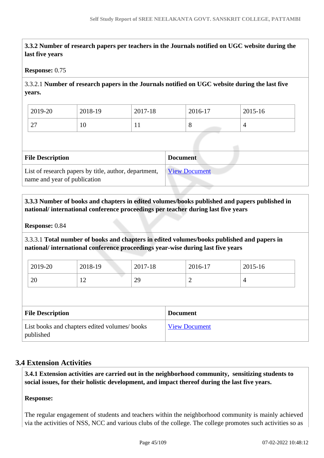**3.3.2 Number of research papers per teachers in the Journals notified on UGC website during the last five years**

#### **Response:** 0.75

3.3.2.1 **Number of research papers in the Journals notified on UGC website during the last five years.**

| 2019-20       | 2018-19 | 2017-18    | 2016-17 | 2015-16 |
|---------------|---------|------------|---------|---------|
| $\sim$<br>ا ک | 10      | . .<br>- - | 8       |         |

| <b>File Description</b>                                                               | <b>Document</b>      |
|---------------------------------------------------------------------------------------|----------------------|
| List of research papers by title, author, department,<br>name and year of publication | <b>View Document</b> |

## **3.3.3 Number of books and chapters in edited volumes/books published and papers published in national/ international conference proceedings per teacher during last five years**

#### **Response:** 0.84

3.3.3.1 **Total number of books and chapters in edited volumes/books published and papers in national/ international conference proceedings year-wise during last five years**

| 2019-20 | 2018-19 | 2017-18 | 2016-17 | 2015-16 |
|---------|---------|---------|---------|---------|
| 20      | ∸∸      | 29      | ∽       | ↵       |

| <b>File Description</b>                                   | <b>Document</b>      |
|-----------------------------------------------------------|----------------------|
| List books and chapters edited volumes/books<br>published | <b>View Document</b> |

## **3.4 Extension Activities**

 **3.4.1 Extension activities are carried out in the neighborhood community, sensitizing students to social issues, for their holistic development, and impact thereof during the last five years.**

#### **Response:**

The regular engagement of students and teachers within the neighborhood community is mainly achieved via the activities of NSS, NCC and various clubs of the college. The college promotes such activities so as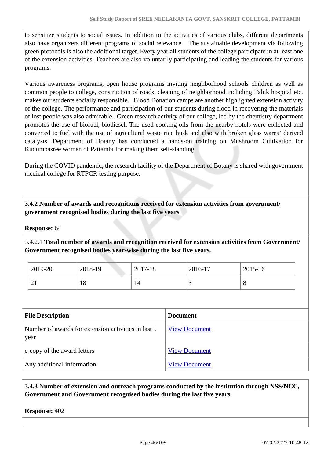to sensitize students to social issues. In addition to the activities of various clubs, different departments also have organizers different programs of social relevance. The sustainable development via following green protocols is also the additional target. Every year all students of the college participate in at least one of the extension activities. Teachers are also voluntarily participating and leading the students for various programs.

Various awareness programs, open house programs inviting neighborhood schools children as well as common people to college, construction of roads, cleaning of neighborhood including Taluk hospital etc. makes our students socially responsible. Blood Donation camps are another highlighted extension activity of the college. The performance and participation of our students during flood in recovering the materials of lost people was also admirable. Green research activity of our college, led by the chemistry department promotes the use of biofuel, biodiesel. The used cooking oils from the nearby hotels were collected and converted to fuel with the use of agricultural waste rice husk and also with broken glass wares' derived catalysts. Department of Botany has conducted a hands-on training on Mushroom Cultivation for Kudumbasree women of Pattambi for making them self-standing.

During the COVID pandemic, the research facility of the Department of Botany is shared with government medical college for RTPCR testing purpose.

## **3.4.2 Number of awards and recognitions received for extension activities from government/ government recognised bodies during the last five years**

**Response:** 64

3.4.2.1 **Total number of awards and recognition received for extension activities from Government/ Government recognised bodies year-wise during the last five years.**

| 2019-20  | 2018-19 | 2017-18 | 2016-17 | $2015 - 16$ |
|----------|---------|---------|---------|-------------|
| $\sim$ 1 | 10      | 14      | ້       | ◡           |

| <b>File Description</b>                                     | <b>Document</b>      |
|-------------------------------------------------------------|----------------------|
| Number of awards for extension activities in last 5<br>year | <b>View Document</b> |
| e-copy of the award letters                                 | <b>View Document</b> |
| Any additional information                                  | <b>View Document</b> |

 **3.4.3 Number of extension and outreach programs conducted by the institution through NSS/NCC, Government and Government recognised bodies during the last five years**

**Response:** 402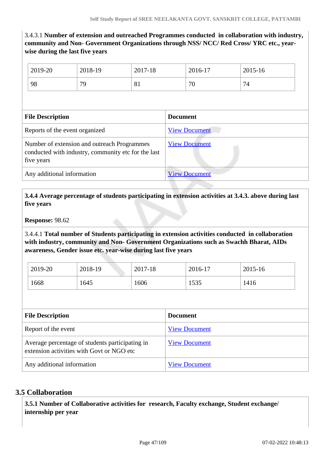3.4.3.1 **Number of extension and outreached Programmes conducted in collaboration with industry, community and Non- Government Organizations through NSS/ NCC/ Red Cross/ YRC etc., yearwise during the last five years**

|                                                                                                                  | 2019-20 | 2018-19              | 2017-18              |                 | 2016-17 | 2015-16 |
|------------------------------------------------------------------------------------------------------------------|---------|----------------------|----------------------|-----------------|---------|---------|
|                                                                                                                  | 98      | 79                   | 81                   |                 | 70      | 74      |
|                                                                                                                  |         |                      |                      |                 |         |         |
| <b>File Description</b>                                                                                          |         |                      |                      | <b>Document</b> |         |         |
| Reports of the event organized                                                                                   |         | <b>View Document</b> |                      |                 |         |         |
| Number of extension and outreach Programmes<br>conducted with industry, community etc for the last<br>five years |         | <b>View Document</b> |                      |                 |         |         |
| Any additional information                                                                                       |         |                      | <b>View Document</b> |                 |         |         |

 **3.4.4 Average percentage of students participating in extension activities at 3.4.3. above during last five years**

**Response:** 98.62

3.4.4.1 **Total number of Students participating in extension activities conducted in collaboration with industry, community and Non- Government Organizations such as Swachh Bharat, AIDs awareness, Gender issue etc. year-wise during last five years**

| 2019-20 | 2018-19 | 2017-18 | 2016-17 | 2015-16 |
|---------|---------|---------|---------|---------|
| 1668    | 1645    | '606    | 1535    | 1416    |

| <b>File Description</b>                                                                      | <b>Document</b>      |
|----------------------------------------------------------------------------------------------|----------------------|
| Report of the event                                                                          | <b>View Document</b> |
| Average percentage of students participating in<br>extension activities with Govt or NGO etc | <b>View Document</b> |
| Any additional information                                                                   | <b>View Document</b> |

## **3.5 Collaboration**

 **3.5.1 Number of Collaborative activities for research, Faculty exchange, Student exchange/ internship per year**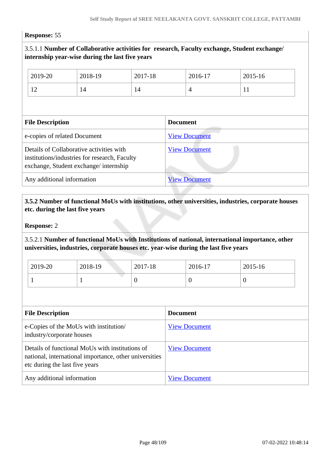#### **Response:** 55

## 3.5.1.1 **Number of Collaborative activities for research, Faculty exchange, Student exchange/ internship year-wise during the last five years**

| 2019-20                                                                                                                            | 2018-19 | 2017-18              |                 | 2016-17        | 2015-16 |
|------------------------------------------------------------------------------------------------------------------------------------|---------|----------------------|-----------------|----------------|---------|
| 12                                                                                                                                 | 14      | 14                   |                 | $\overline{4}$ | 11      |
|                                                                                                                                    |         |                      |                 |                |         |
| <b>File Description</b>                                                                                                            |         |                      | <b>Document</b> |                |         |
| e-copies of related Document                                                                                                       |         | <b>View Document</b> |                 |                |         |
| Details of Collaborative activities with<br>institutions/industries for research, Faculty<br>exchange, Student exchange/internship |         | <b>View Document</b> |                 |                |         |
| Any additional information                                                                                                         |         | <b>View Document</b> |                 |                |         |

## **3.5.2 Number of functional MoUs with institutions, other universities, industries, corporate houses etc. during the last five years**

#### **Response:** 2

3.5.2.1 **Number of functional MoUs with Institutions of national, international importance, other universities, industries, corporate houses etc. year-wise during the last five years**

| 2019-20 | 2018-19 | 2017-18 | 2016-17 | 2015-16 |
|---------|---------|---------|---------|---------|
|         |         |         | - 6     | ◡       |

| <b>File Description</b>                                                                                                                     | <b>Document</b>      |
|---------------------------------------------------------------------------------------------------------------------------------------------|----------------------|
| e-Copies of the MoUs with institution/<br>industry/corporate houses                                                                         | <b>View Document</b> |
| Details of functional MoUs with institutions of<br>national, international importance, other universities<br>etc during the last five years | <b>View Document</b> |
| Any additional information                                                                                                                  | <b>View Document</b> |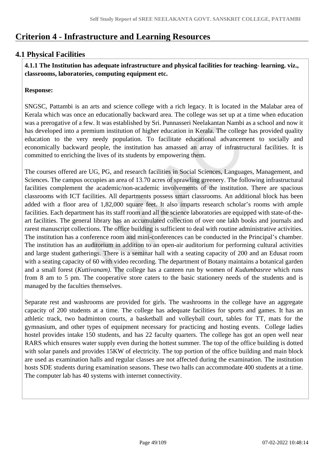# **Criterion 4 - Infrastructure and Learning Resources**

## **4.1 Physical Facilities**

 **4.1.1 The Institution has adequate infrastructure and physical facilities for teaching- learning. viz., classrooms, laboratories, computing equipment etc.** 

## **Response:**

SNGSC, Pattambi is an arts and science college with a rich legacy. It is located in the Malabar area of Kerala which was once an educationally backward area. The college was set up at a time when education was a prerogative of a few. It was established by Sri. Punnasseri Neelakantan Nambi as a school and now it has developed into a premium institution of higher education in Kerala. The college has provided quality education to the very needy population. To facilitate educational advancement to socially and economically backward people, the institution has amassed an array of infrastructural facilities. It is committed to enriching the lives of its students by empowering them.

The courses offered are UG, PG, and research facilities in Social Sciences, Languages, Management, and Sciences. The campus occupies an area of 13.70 acres of sprawling greenery. The following infrastructural facilities complement the academic/non-academic involvements of the institution. There are spacious classrooms with ICT facilities. All departments possess smart classrooms. An additional block has been added with a floor area of 1,82,000 square feet. It also imparts research scholar's rooms with ample facilities. Each department has its staff room and all the science laboratories are equipped with state-of-theart facilities. The general library has an accumulated collection of over one lakh books and journals and rarest manuscript collections. The office building is sufficient to deal with routine administrative activities. The institution has a conference room and mini-conferences can be conducted in the Principal's chamber. The institution has an auditorium in addition to an open-air auditorium for performing cultural activities and large student gatherings. There is a seminar hall with a seating capacity of 200 and an Edusat room with a seating capacity of 60 with video recording. The department of Botany maintains a botanical garden and a small forest (*Kuttivanam)*. The college has a canteen run by women of *Kudumbasree* which runs from 8 am to 5 pm. The cooperative store caters to the basic stationery needs of the students and is managed by the faculties themselves.

Separate rest and washrooms are provided for girls. The washrooms in the college have an aggregate capacity of 200 students at a time. The college has adequate facilities for sports and games. It has an athletic track, two badminton courts, a basketball and volleyball court, tables for TT, mats for the gymnasium, and other types of equipment necessary for practicing and hosting events. College ladies hostel provides intake 150 students, and has 22 faculty quarters. The college has got an open well near RARS which ensures water supply even during the hottest summer. The top of the office building is dotted with solar panels and provides 15KW of electricity. The top portion of the office building and main block are used as examination halls and regular classes are not affected during the examination. The institution hosts SDE students during examination seasons. These two halls can accommodate 400 students at a time. The computer lab has 40 systems with internet connectivity.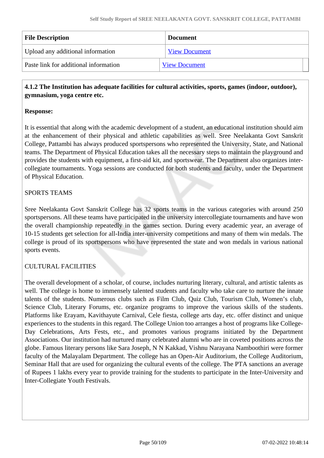| <b>File Description</b>               | <b>Document</b>      |
|---------------------------------------|----------------------|
| Upload any additional information     | <b>View Document</b> |
| Paste link for additional information | <b>View Document</b> |

## **4.1.2 The Institution has adequate facilities for cultural activities, sports, games (indoor, outdoor), gymnasium, yoga centre etc.**

## **Response:**

It is essential that along with the academic development of a student, an educational institution should aim at the enhancement of their physical and athletic capabilities as well. Sree Neelakanta Govt Sanskrit College, Pattambi has always produced sportspersons who represented the University, State, and National teams. The Department of Physical Education takes all the necessary steps to maintain the playground and provides the students with equipment, a first-aid kit, and sportswear. The Department also organizes intercollegiate tournaments. Yoga sessions are conducted for both students and faculty, under the Department of Physical Education.

## SPORTS TEAMS

Sree Neelakanta Govt Sanskrit College has 32 sports teams in the various categories with around 250 sportspersons. All these teams have participated in the university intercollegiate tournaments and have won the overall championship repeatedly in the games section. During every academic year, an average of 10-15 students get selection for all-India inter-university competitions and many of them win medals. The college is proud of its sportspersons who have represented the state and won medals in various national sports events.

## CULTURAL FACILITIES

The overall development of a scholar, of course, includes nurturing literary, cultural, and artistic talents as well. The college is home to immensely talented students and faculty who take care to nurture the innate talents of the students. Numerous clubs such as Film Club, Quiz Club, Tourism Club, Women's club, Science Club, Literary Forums, etc. organize programs to improve the various skills of the students. Platforms like Erayam, Kavithayute Carnival, Cele fiesta, college arts day, etc. offer distinct and unique experiences to the students in this regard. The College Union too arranges a host of programs like College-Day Celebrations, Arts Fests, etc., and promotes various programs initiated by the Department Associations. Our institution had nurtured many celebrated alumni who are in coveted positions across the globe. Famous literary persons like Sara Joseph, N N Kakkad, Vishnu Narayana Namboothiri were former faculty of the Malayalam Department. The college has an Open-Air Auditorium, the College Auditorium, Seminar Hall that are used for organizing the cultural events of the college. The PTA sanctions an average of Rupees 1 lakhs every year to provide training for the students to participate in the Inter-University and Inter-Collegiate Youth Festivals.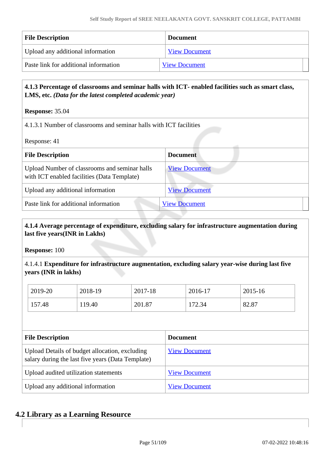| <b>File Description</b>               | <b>Document</b>      |
|---------------------------------------|----------------------|
| Upload any additional information     | <b>View Document</b> |
| Paste link for additional information | <b>View Document</b> |

## **4.1.3 Percentage of classrooms and seminar halls with ICT- enabled facilities such as smart class, LMS, etc.** *(Data for the latest completed academic year)*

**Response:** 35.04

4.1.3.1 Number of classrooms and seminar halls with ICT facilities

Response: 41

| <b>File Description</b>                                                                      | <b>Document</b>      |
|----------------------------------------------------------------------------------------------|----------------------|
| Upload Number of classrooms and seminar halls<br>with ICT enabled facilities (Data Template) | <b>View Document</b> |
| Upload any additional information                                                            | <b>View Document</b> |
| Paste link for additional information                                                        | <b>View Document</b> |

## **4.1.4 Average percentage of expenditure, excluding salary for infrastructure augmentation during last five years(INR in Lakhs)**

**Response:** 100

4.1.4.1 **Expenditure for infrastructure augmentation, excluding salary year-wise during last five years (INR in lakhs)**

| 2019-20 | 2018-19 | 2017-18 | 2016-17 | 2015-16 |
|---------|---------|---------|---------|---------|
| 157.48  | 119.40  | 201.87  | 172.34  | 82.87   |

| <b>File Description</b>                                                                             | <b>Document</b>      |
|-----------------------------------------------------------------------------------------------------|----------------------|
| Upload Details of budget allocation, excluding<br>salary during the last five years (Data Template) | <b>View Document</b> |
| Upload audited utilization statements                                                               | <b>View Document</b> |
| Upload any additional information                                                                   | <b>View Document</b> |

## **4.2 Library as a Learning Resource**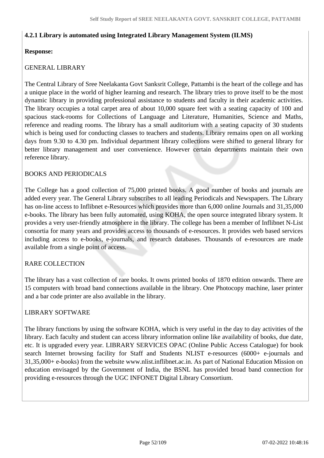## **4.2.1 Library is automated using Integrated Library Management System (ILMS)**

## **Response:**

## GENERAL LIBRARY

The Central Library of Sree Neelakanta Govt Sanksrit College, Pattambi is the heart of the college and has a unique place in the world of higher learning and research. The library tries to prove itself to be the most dynamic library in providing professional assistance to students and faculty in their academic activities. The library occupies a total carpet area of about 10,000 square feet with a seating capacity of 100 and spacious stack-rooms for Collections of Language and Literature, Humanities, Science and Maths, reference and reading rooms. The library has a small auditorium with a seating capacity of 30 students which is being used for conducting classes to teachers and students. Library remains open on all working days from 9.30 to 4.30 pm. Individual department library collections were shifted to general library for better library management and user convenience. However certain departments maintain their own reference library.

#### BOOKS AND PERIODICALS

The College has a good collection of 75,000 printed books. A good number of books and journals are added every year. The General Library subscribes to all leading Periodicals and Newspapers. The Library has on-line access to Inflibnet e-Resources which provides more than 6,000 online Journals and 31,35,000 e-books. The library has been fully automated, using KOHA, the open source integrated library system. It provides a very user-friendly atmosphere in the library. The college has been a member of Inflibnet N-List consortia for many years and provides access to thousands of e-resources. It provides web based services including access to e-books, e-journals, and research databases. Thousands of e-resources are made available from a single point of access.

## RARE COLLECTION

The library has a vast collection of rare books. It owns printed books of 1870 edition onwards. There are 15 computers with broad band connections available in the library. One Photocopy machine, laser printer and a bar code printer are also available in the library.

#### LIBRARY SOFTWARE

The library functions by using the software KOHA, which is very useful in the day to day activities of the library. Each faculty and student can access library information online like availability of books, due date, etc. It is upgraded every year. LIBRARY SERVICES OPAC (Online Public Access Catalogue) for book search Internet browsing facility for Staff and Students NLIST e-resources (6000+ e-journals and 31,35,000+ e-books) from the website www.nlist.inflibnet.ac.in. As part of National Education Mission on education envisaged by the Government of India, the BSNL has provided broad band connection for providing e-resources through the UGC INFONET Digital Library Consortium.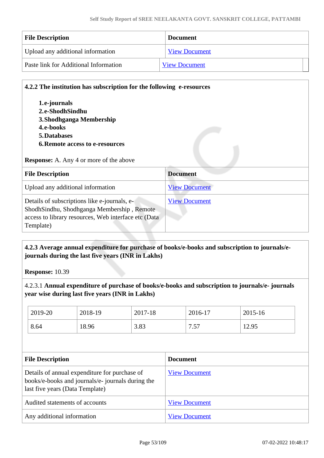| <b>File Description</b>               | <b>Document</b>      |  |
|---------------------------------------|----------------------|--|
| Upload any additional information     | <b>View Document</b> |  |
| Paste link for Additional Information | <b>View Document</b> |  |

#### **4.2.2 The institution has subscription for the following e-resources**

**1.e-journals 2.e-ShodhSindhu 3.Shodhganga Membership 4.e-books 5.Databases 6.Remote access to e-resources**

#### **Response:** A. Any 4 or more of the above

| <b>File Description</b>                                                                                                                                         | <b>Document</b>      |
|-----------------------------------------------------------------------------------------------------------------------------------------------------------------|----------------------|
| Upload any additional information                                                                                                                               | <b>View Document</b> |
| Details of subscriptions like e-journals, e-<br>ShodhSindhu, Shodhganga Membership, Remote<br>access to library resources, Web interface etc (Data<br>Template) | <b>View Document</b> |

## **4.2.3 Average annual expenditure for purchase of books/e-books and subscription to journals/ejournals during the last five years (INR in Lakhs)**

**Response:** 10.39

4.2.3.1 **Annual expenditure of purchase of books/e-books and subscription to journals/e- journals year wise during last five years (INR in Lakhs)**

| <b>File Description</b> |         | <b>Document</b> |         |         |
|-------------------------|---------|-----------------|---------|---------|
|                         |         |                 |         |         |
| 8.64                    | 18.96   | 3.83            | 7.57    | 12.95   |
| 2019-20                 | 2018-19 | 2017-18         | 2016-17 | 2015-16 |

| <b>File Description</b>                                                                                                               | Document             |
|---------------------------------------------------------------------------------------------------------------------------------------|----------------------|
| Details of annual expenditure for purchase of<br>books/e-books and journals/e- journals during the<br>last five years (Data Template) | <b>View Document</b> |
| Audited statements of accounts                                                                                                        | <b>View Document</b> |
| Any additional information                                                                                                            | <b>View Document</b> |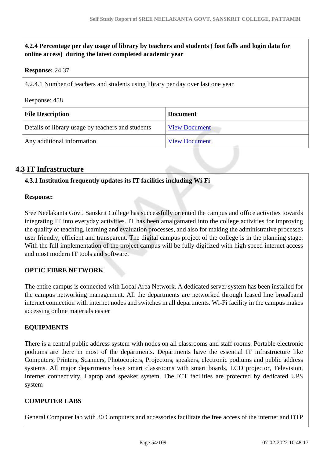| 4.2.4 Percentage per day usage of library by teachers and students (foot falls and login data for<br>online access) during the latest completed academic year |                      |  |
|---------------------------------------------------------------------------------------------------------------------------------------------------------------|----------------------|--|
| <b>Response: 24.37</b>                                                                                                                                        |                      |  |
| 4.2.4.1 Number of teachers and students using library per day over last one year                                                                              |                      |  |
| Response: 458                                                                                                                                                 |                      |  |
| <b>File Description</b>                                                                                                                                       | <b>Document</b>      |  |
| Details of library usage by teachers and students                                                                                                             | <b>View Document</b> |  |
| Any additional information                                                                                                                                    | <b>View Document</b> |  |

# **4.3 IT Infrastructure**

## **4.3.1 Institution frequently updates its IT facilities including Wi-Fi**

## **Response:**

Sree Neelakanta Govt. Sanskrit College has successfully oriented the campus and office activities towards integrating IT into everyday activities. IT has been amalgamated into the college activities for improving the quality of teaching, learning and evaluation processes, and also for making the administrative processes user friendly, efficient and transparent. The digital campus project of the college is in the planning stage. With the full implementation of the project campus will be fully digitized with high speed internet access and most modern IT tools and software.

## **OPTIC FIBRE NETWORK**

The entire campus is connected with Local Area Network. A dedicated server system has been installed for the campus networking management. All the departments are networked through leased line broadband internet connection with internet nodes and switches in all departments. Wi-Fi facility in the campus makes accessing online materials easier

## **EQUIPMENTS**

There is a central public address system with nodes on all classrooms and staff rooms. Portable electronic podiums are there in most of the departments. Departments have the essential IT infrastructure like Computers, Printers, Scanners, Photocopiers, Projectors, speakers, electronic podiums and public address systems. All major departments have smart classrooms with smart boards, LCD projector, Television, Internet connectivity, Laptop and speaker system. The ICT facilities are protected by dedicated UPS system

## **COMPUTER LABS**

General Computer lab with 30 Computers and accessories facilitate the free access of the internet and DTP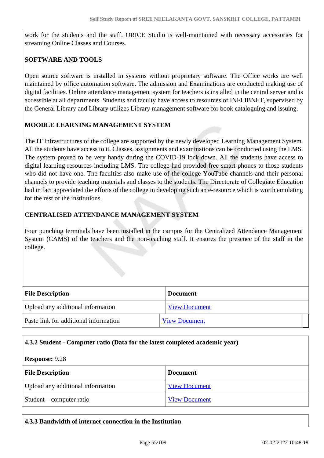work for the students and the staff. ORICE Studio is well-maintained with necessary accessories for streaming Online Classes and Courses.

#### **SOFTWARE AND TOOLS**

Open source software is installed in systems without proprietary software. The Office works are well maintained by office automation software. The admission and Examinations are conducted making use of digital facilities. Online attendance management system for teachers is installed in the central server and is accessible at all departments. Students and faculty have access to resources of INFLIBNET, supervised by the General Library and Library utilizes Library management software for book cataloguing and issuing.

#### **MOODLE LEARNING MANAGEMENT SYSTEM**

The IT Infrastructures of the college are supported by the newly developed Learning Management System. All the students have access to it. Classes, assignments and examinations can be conducted using the LMS. The system proved to be very handy during the COVID-19 lock down. All the students have access to digital learning resources including LMS. The college had provided free smart phones to those students who did not have one. The faculties also make use of the college YouTube channels and their personal channels to provide teaching materials and classes to the students. The Directorate of Collegiate Education had in fact appreciated the efforts of the college in developing such an e-resource which is worth emulating for the rest of the institutions.

## **CENTRALISED ATTENDANCE MANAGEMENT SYSTEM**

Four punching terminals have been installed in the campus for the Centralized Attendance Management System (CAMS) of the teachers and the non-teaching staff. It ensures the presence of the staff in the college.

| <b>File Description</b>               | <b>Document</b>      |  |
|---------------------------------------|----------------------|--|
| Upload any additional information     | <b>View Document</b> |  |
| Paste link for additional information | <b>View Document</b> |  |

#### **4.3.2 Student - Computer ratio (Data for the latest completed academic year)**

#### **Response:** 9.28

| <b>File Description</b>           | <b>Document</b>      |
|-----------------------------------|----------------------|
| Upload any additional information | <b>View Document</b> |
| Student – computer ratio          | <b>View Document</b> |

#### **4.3.3 Bandwidth of internet connection in the Institution**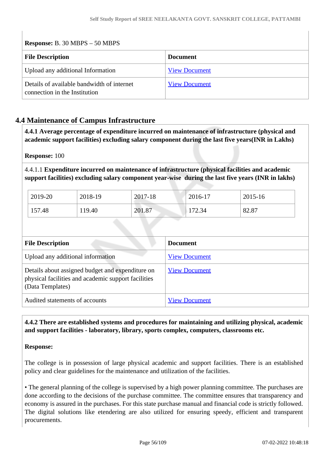**Response:** B. 30 MBPS – 50 MBPS

| <b>File Description</b>                                                     | <b>Document</b>      |
|-----------------------------------------------------------------------------|----------------------|
| Upload any additional Information                                           | <b>View Document</b> |
| Details of available bandwidth of internet<br>connection in the Institution | <b>View Document</b> |

## **4.4 Maintenance of Campus Infrastructure**

 **4.4.1 Average percentage of expenditure incurred on maintenance of infrastructure (physical and academic support facilities) excluding salary component during the last five years(INR in Lakhs)**

**Response:** 100

4.4.1.1 **Expenditure incurred on maintenance of infrastructure (physical facilities and academic support facilities) excluding salary component year-wise during the last five years (INR in lakhs)**

| 2019-20 | 2018-19 | 2017-18 | 2016-17 | 2015-16 |
|---------|---------|---------|---------|---------|
| 157.48  | 119.40  | 201.87  | 172.34  | 82.87   |

| <b>File Description</b>                                                                                                     | <b>Document</b>      |
|-----------------------------------------------------------------------------------------------------------------------------|----------------------|
| Upload any additional information                                                                                           | <b>View Document</b> |
| Details about assigned budget and expenditure on<br>physical facilities and academic support facilities<br>(Data Templates) | <b>View Document</b> |
| Audited statements of accounts                                                                                              | <b>View Document</b> |

## **4.4.2 There are established systems and procedures for maintaining and utilizing physical, academic and support facilities - laboratory, library, sports complex, computers, classrooms etc.**

**Response:** 

The college is in possession of large physical academic and support facilities. There is an established policy and clear guidelines for the maintenance and utilization of the facilities.

• The general planning of the college is supervised by a high power planning committee. The purchases are done according to the decisions of the purchase committee. The committee ensures that transparency and economy is assured in the purchases. For this state purchase manual and financial code is strictly followed. The digital solutions like etendering are also utilized for ensuring speedy, efficient and transparent procurements.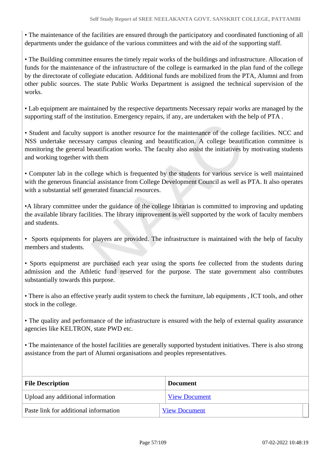• The maintenance of the facilities are ensured through the participatory and coordinated functioning of all departments under the guidance of the various committees and with the aid of the supporting staff.

• The Building committee ensures the timely repair works of the buildings and infrastructure. Allocation of funds for the maintenance of the infrastructure of the college is earmarked in the plan fund of the college by the directorate of collegiate education. Additional funds are mobilized from the PTA, Alumni and from other public sources. The state Public Works Department is assigned the technical supervision of the works.

• Lab equipment are maintained by the respective departments Necessary repair works are managed by the supporting staff of the institution. Emergency repairs, if any, are undertaken with the help of PTA .

• Student and faculty support is another resource for the maintenance of the college facilities. NCC and NSS undertake necessary campus cleaning and beautification. A college beautification committee is monitoring the general beautification works. The faculty also assist the initiatives by motivating students and working together with them

• Computer lab in the college which is frequented by the students for various service is well maintained with the generous financial assistance from College Development Council as well as PTA. It also operates with a substantial self generated financial resources.

•A library committee under the guidance of the college librarian is committed to improving and updating the available library facilities. The library improvement is well supported by the work of faculty members and students.

• Sports equipments for players are provided. The infrastructure is maintained with the help of faculty members and students.

• Sports equipmenst are purchased each year using the sports fee collected from the students during admission and the Athletic fund reserved for the purpose. The state government also contributes substantially towards this purpose.

• There is also an effective yearly audit system to check the furniture, lab equipments , ICT tools, and other stock in the college.

• The quality and performance of the infrastructure is ensured with the help of external quality assurance agencies like KELTRON, state PWD etc.

• The maintenance of the hostel facilities are generally supported bystudent initiatives. There is also strong assistance from the part of Alumni organisations and peoples representatives.

| <b>File Description</b>               | <b>Document</b>      |
|---------------------------------------|----------------------|
| Upload any additional information     | <b>View Document</b> |
| Paste link for additional information | <b>View Document</b> |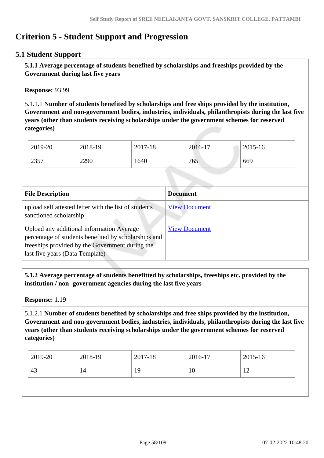# **Criterion 5 - Student Support and Progression**

## **5.1 Student Support**

 **5.1.1 Average percentage of students benefited by scholarships and freeships provided by the Government during last five years** 

**Response:** 93.99

5.1.1.1 **Number of students benefited by scholarships and free ships provided by the institution, Government and non-government bodies, industries, individuals, philanthropists during the last five years (other than students receiving scholarships under the government schemes for reserved categories)** 

| 2019-20 | 2018-19 | 2017-18 | 2016-17 | 2015-16 |
|---------|---------|---------|---------|---------|
| 2357    | 2290    | 1640    | 765     | 669     |

| <b>File Description</b>                                                                                                                                                                 | <b>Document</b>      |
|-----------------------------------------------------------------------------------------------------------------------------------------------------------------------------------------|----------------------|
| upload self attested letter with the list of students<br>sanctioned scholarship                                                                                                         | <b>View Document</b> |
| Upload any additional information Average<br>percentage of students benefited by scholarships and<br>freeships provided by the Government during the<br>last five years (Data Template) | <b>View Document</b> |

 **5.1.2 Average percentage of students benefitted by scholarships, freeships etc. provided by the institution / non- government agencies during the last five years**

**Response:** 1.19

5.1.2.1 **Number of students benefited by scholarships and free ships provided by the institution, Government and non-government bodies, industries, individuals, philanthropists during the last five years (other than students receiving scholarships under the government schemes for reserved categories)** 

| 2019-20 | 2018-19 | 2017-18 | 2016-17 | $2015 - 16$                     |
|---------|---------|---------|---------|---------------------------------|
| 43      | 14      | 19      | TÛ      | 1 <sub>0</sub><br>┸ <del></del> |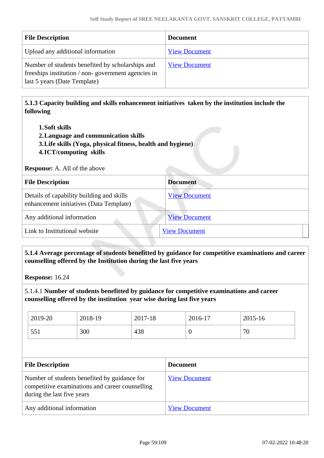| <b>File Description</b>                                                                                                                | <b>Document</b>      |
|----------------------------------------------------------------------------------------------------------------------------------------|----------------------|
| Upload any additional information                                                                                                      | <b>View Document</b> |
| Number of students benefited by scholarships and<br>freeships institution / non-government agencies in<br>last 5 years (Date Template) | <b>View Document</b> |

 **5.1.3 Capacity building and skills enhancement initiatives taken by the institution include the following**

- **1.Soft skills**
- **2.Language and communication skills**
- **3.Life skills (Yoga, physical fitness, health and hygiene)**
- **4.ICT/computing skills**

**Response:** A. All of the above

| <b>File Description</b>                                                              | <b>Document</b>      |
|--------------------------------------------------------------------------------------|----------------------|
| Details of capability building and skills<br>enhancement initiatives (Data Template) | <b>View Document</b> |
| Any additional information                                                           | <b>View Document</b> |
| Link to Institutional website                                                        | <b>View Document</b> |

 **5.1.4 Average percentage of students benefitted by guidance for competitive examinations and career counselling offered by the Institution during the last five years**

**Response:** 16.24

5.1.4.1 **Number of students benefitted by guidance for competitive examinations and career counselling offered by the institution year wise during last five years**

| 2019-20 | 2018-19 | 2017-18 | 2016-17          | 2015-16 |
|---------|---------|---------|------------------|---------|
| 551     | 300     | 438     | $\boldsymbol{0}$ | 70      |

| <b>File Description</b>                                                                                                       | <b>Document</b>      |
|-------------------------------------------------------------------------------------------------------------------------------|----------------------|
| Number of students benefited by guidance for<br>competitive examinations and career counselling<br>during the last five years | <b>View Document</b> |
| Any additional information                                                                                                    | <b>View Document</b> |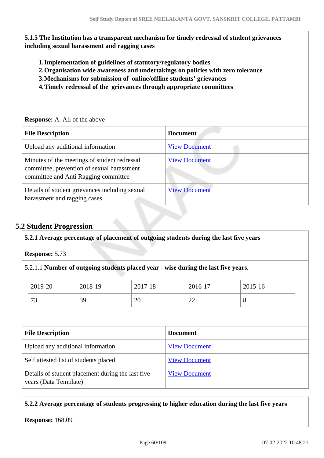**5.1.5 The Institution has a transparent mechanism for timely redressal of student grievances including sexual harassment and ragging cases**

- **1.Implementation of guidelines of statutory/regulatory bodies**
- **2.Organisation wide awareness and undertakings on policies with zero tolerance**
- **3.Mechanisms for submission of online/offline students' grievances**
- **4.Timely redressal of the grievances through appropriate committees**

#### **Response:** A. All of the above

| <b>File Description</b>                                                                                                            | <b>Document</b>      |
|------------------------------------------------------------------------------------------------------------------------------------|----------------------|
| Upload any additional information                                                                                                  | <b>View Document</b> |
| Minutes of the meetings of student redressal<br>committee, prevention of sexual harassment<br>committee and Anti Ragging committee | <b>View Document</b> |
| Details of student grievances including sexual<br>harassment and ragging cases                                                     | <b>View Document</b> |

# **5.2 Student Progression**

#### **5.2.1 Average percentage of placement of outgoing students during the last five years**

**Response:** 5.73

#### 5.2.1.1 **Number of outgoing students placed year - wise during the last five years.**

| 2019-20          | 2018-19   | 2017-18  | 2016-17                            | 2015-16 |
|------------------|-----------|----------|------------------------------------|---------|
| $\sqrt{2}$<br>73 | 39<br>ر ر | ററ<br>∠∪ | $\sim$<br>$\overline{\phantom{a}}$ | v       |

| <b>File Description</b>                                                    | <b>Document</b>      |
|----------------------------------------------------------------------------|----------------------|
| Upload any additional information                                          | <b>View Document</b> |
| Self attested list of students placed                                      | <b>View Document</b> |
| Details of student placement during the last five<br>years (Data Template) | <b>View Document</b> |

#### **5.2.2 Average percentage of students progressing to higher education during the last five years**

#### **Response:** 168.09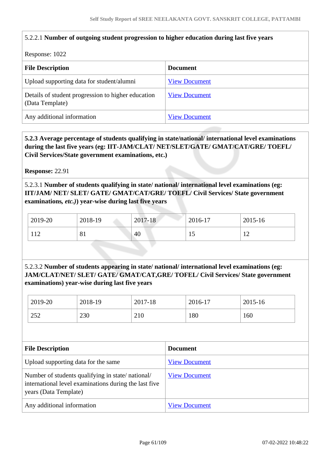# 5.2.2.1 **Number of outgoing student progression to higher education during last five years** Response: 1022 **File Description Document** Upload supporting data for student/alumni [View Document](https://assessmentonline.naac.gov.in/storage/app/hei/SSR/103218/5.2.2_1636206295_2978.pdf) Details of student progression to higher education (Data Template) [View Document](https://assessmentonline.naac.gov.in/storage/app/hei/SSR/103218/5.2.2_1619413580_2978.xlsx) Any additional information [View Document](https://assessmentonline.naac.gov.in/storage/app/hei/SSR/103218/5.2.2_1636206357_2978.pdf)

 **5.2.3 Average percentage of students qualifying in state/national/ international level examinations during the last five years (eg: IIT-JAM/CLAT/ NET/SLET/GATE/ GMAT/CAT/GRE/ TOEFL/ Civil Services/State government examinations, etc.)**

**Response:** 22.91

5.2.3.1 **Number of students qualifying in state/ national/ international level examinations (eg: IIT/JAM/ NET/ SLET/ GATE/ GMAT/CAT/GRE/ TOEFL/ Civil Services/ State government examinations***, etc.)***) year-wise during last five years**

| 2019-20               | 2018-19 | 2017-18 | $2016-17$ | 2015-16                   |
|-----------------------|---------|---------|-----------|---------------------------|
| 1 <sub>2</sub><br>114 | 81      | 40      | ⊥ັ        | 1 <sub>2</sub><br>$\perp$ |

5.2.3.2 **Number of students appearing in state/ national/ international level examinations (eg: JAM/CLAT/NET/ SLET/ GATE/ GMAT/CAT,GRE/ TOFEL/ Civil Services/ State government examinations) year-wise during last five years**

| 2019-20 | 2018-19 | 2017-18 | 2016-17 | 2015-16 |
|---------|---------|---------|---------|---------|
| 252     | 230     | 210     | 180     | 160     |

| <b>File Description</b>                                                                                                            | <b>Document</b>      |
|------------------------------------------------------------------------------------------------------------------------------------|----------------------|
| Upload supporting data for the same                                                                                                | <b>View Document</b> |
| Number of students qualifying in state/national/<br>international level examinations during the last five<br>years (Data Template) | <b>View Document</b> |
| Any additional information                                                                                                         | <b>View Document</b> |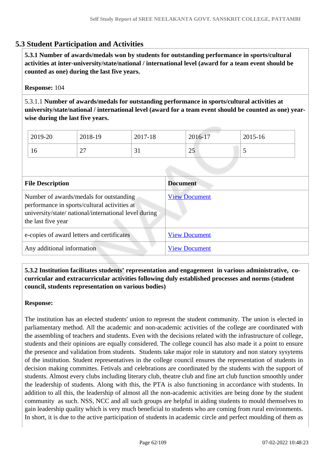# **5.3 Student Participation and Activities**

 **5.3.1 Number of awards/medals won by students for outstanding performance in sports/cultural activities at inter-university/state/national / international level (award for a team event should be counted as one) during the last five years.**

**Response:** 104

5.3.1.1 **Number of awards/medals for outstanding performance in sports/cultural activities at university/state/national / international level (award for a team event should be counted as one) yearwise during the last five years.**

| 2019-20 | 2018-19     | 2017-18      | 2016-17                   | 2015-16 |
|---------|-------------|--------------|---------------------------|---------|
| 10      | $\sim$<br>∼ | $\sim$<br>JІ | $\Delta$ $\epsilon$<br>رے | ັ       |

| <b>File Description</b>                                                                                                                                                | <b>Document</b>      |
|------------------------------------------------------------------------------------------------------------------------------------------------------------------------|----------------------|
| Number of awards/medals for outstanding<br>performance in sports/cultural activities at<br>university/state/ national/international level during<br>the last five year | <b>View Document</b> |
| e-copies of award letters and certificates                                                                                                                             | <b>View Document</b> |
| Any additional information                                                                                                                                             | <b>View Document</b> |

 **5.3.2 Institution facilitates students' representation and engagement in various administrative, cocurricular and extracurricular activities following duly established processes and norms (student council, students representation on various bodies)** 

**Response:** 

The institution has an elected students' union to represnt the student community. The union is elected in parliamentary method. All the academic and non-academic activities of the college are coordinated with the assembling of teachers and students. Even with the decisions related with the infrastructure of college, students and their opinions are equally considered. The college council has also made it a point to ensure the presence and validation from students. Students take major role in statutory and non statory sysytems of the institution. Student representatives in the college council ensures the representation of students in decision making committes. Fetivals and celebrations are coordinated by the students with the support of students. Almost every clubs including literary club, theatre club and fine art club function smoothly under the leadership of students. Along with this, the PTA is also functioning in accordance with students. In addition to all this, the leadership of almost all the non-academic activities are being done by the student community as such. NSS, NCC and all such groups are helpful in aiding students to mould themselves to gain leadership quality which is very much beneficial to students who are coming from rural environments. In short, it is due to the active participation of students in academic circle and perfect moulding of them as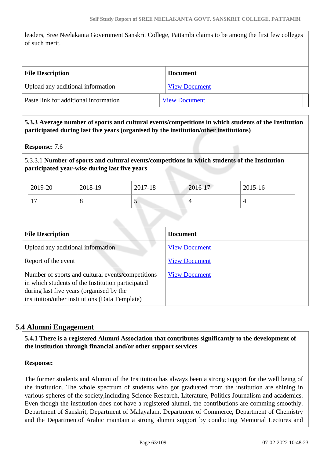leaders, Sree Neelakanta Government Sanskrit College, Pattambi claims to be among the first few colleges of such merit.

| <b>File Description</b>               | <b>Document</b>      |
|---------------------------------------|----------------------|
| Upload any additional information     | <b>View Document</b> |
| Paste link for additional information | <b>View Document</b> |

 **5.3.3 Average number of sports and cultural events/competitions in which students of the Institution participated during last five years (organised by the institution/other institutions)**

#### **Response:** 7.6

5.3.3.1 **Number of sports and cultural events/competitions in which students of the Institution participated year-wise during last five years**

| 2019-20        | 2018-19 | 2017-18 | 2016-17 | 2015-16 |
|----------------|---------|---------|---------|---------|
| 1 <sub>7</sub> |         | ັ       |         |         |

| <b>File Description</b>                                                                                                                                                                              | <b>Document</b>      |
|------------------------------------------------------------------------------------------------------------------------------------------------------------------------------------------------------|----------------------|
| Upload any additional information                                                                                                                                                                    | <b>View Document</b> |
| Report of the event                                                                                                                                                                                  | <b>View Document</b> |
| Number of sports and cultural events/competitions<br>in which students of the Institution participated<br>during last five years (organised by the<br>institution/other institutions (Data Template) | <b>View Document</b> |

## **5.4 Alumni Engagement**

 **5.4.1 There is a registered Alumni Association that contributes significantly to the development of the institution through financial and/or other support services**

#### **Response:**

The former students and Alumni of the Institution has always been a strong support for the well being of the institution. The whole spectrum of students who got graduated from the institution are shining in various spheres of the society,including Science Research, Literature, Politics Journalism and academics. Even though the institution does not have a registered alumni, the contributions are comming smoothly. Department of Sanskrit, Department of Malayalam, Department of Commerce, Department of Chemistry and the Departmentof Arabic maintain a strong alumni support by conducting Memorial Lectures and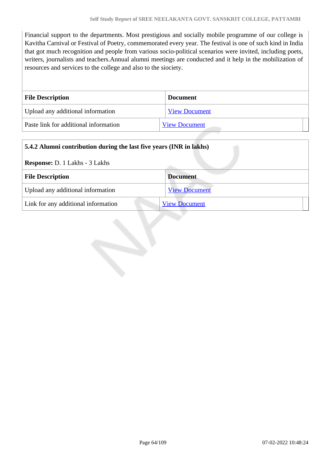Financial support to the departments. Most prestigious and socially mobile programme of our college is Kavitha Carnival or Festival of Poetry, commemorated every year. The festival is one of such kind in India that got much recognition and people from various socio-political scenarios were invited, including poets, writers, journalists and teachers.Annual alumni meetings are conducted and it help in the mobilization of resources and services to the college and also to the siociety.

| <b>File Description</b>               | <b>Document</b>      |
|---------------------------------------|----------------------|
| Upload any additional information     | <b>View Document</b> |
| Paste link for additional information | <b>View Document</b> |

| 5.4.2 Alumni contribution during the last five years (INR in lakhs) |                      |  |
|---------------------------------------------------------------------|----------------------|--|
| <b>Response: D. 1 Lakhs - 3 Lakhs</b>                               |                      |  |
| <b>File Description</b>                                             | <b>Document</b>      |  |
| Upload any additional information                                   | <b>View Document</b> |  |
| Link for any additional information                                 | <b>View Document</b> |  |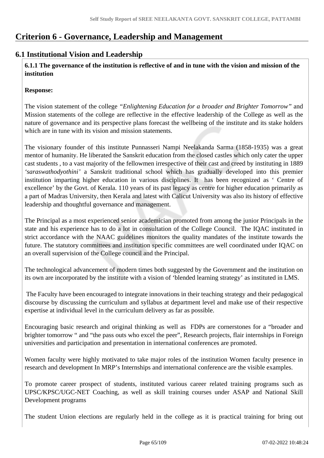# **Criterion 6 - Governance, Leadership and Management**

## **6.1 Institutional Vision and Leadership**

 **6.1.1 The governance of the institution is reflective of and in tune with the vision and mission of the institution**

## **Response:**

The vision statement of the college *"Enlightening Education for a broader and Brighter Tomorrow"* and Mission statements of the college are reflective in the effective leadership of the College as well as the nature of governance and its perspective plans forecast the wellbeing of the institute and its stake holders which are in tune with its vision and mission statements.

The visionary founder of this institute Punnasseri Nampi Neelakanda Sarma (1858-1935) was a great mentor of humanity. He liberated the Sanskrit education from the closed castles which only cater the upper cast students , to a vast majority of the fellowmen irrespective of their cast and creed by instituting in 1889 *'saraswathodyothini'* a Sanskrit traditional school which has gradually developed into this premier institution imparting higher education in various disciplines. It has been recognized as ' Centre of excellence' by the Govt. of Kerala. 110 years of its past legacy as centre for higher education primarily as a part of Madras University, then Kerala and latest with Calicut University was also its history of effective leadership and thoughtful governance and management.

The Principal as a most experienced senior academician promoted from among the junior Principals in the state and his experience has to do a lot in consultation of the College Council. The IQAC instituted in strict accordance with the NAAC guidelines monitors the quality mandates of the institute towards the future. The statutory committees and institution specific committees are well coordinated under IQAC on an overall supervision of the College council and the Principal.

The technological advancement of modern times both suggested by the Government and the institution on its own are incorporated by the institute with a vision of 'blended learning strategy' as instituted in LMS.

 The Faculty have been encouraged to integrate innovations in their teaching strategy and their pedagogical discourse by discussing the curriculum and syllabus at department level and make use of their respective expertise at individual level in the curriculum delivery as far as possible.

Encouraging basic research and original thinking as well as FDPs are cornerstones for a "broader and brighter tomorrow " and "the pass outs who excel the peer", Research projects, flair internships in Foreign universities and participation and presentation in international conferences are promoted.

Women faculty were highly motivated to take major roles of the institution Women faculty presence in research and development In MRP's Internships and international conference are the visible examples.

To promote career prospect of students, instituted various career related training programs such as UPSC/KPSC/UGC-NET Coaching, as well as skill training courses under ASAP and National Skill Development programs

The student Union elections are regularly held in the college as it is practical training for bring out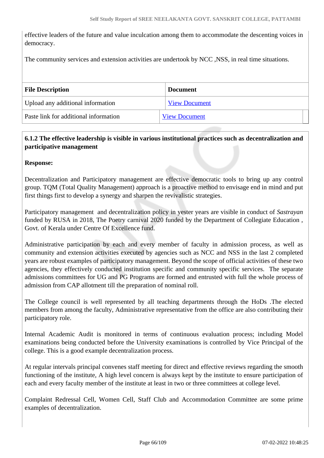effective leaders of the future and value inculcation among them to accommodate the descenting voices in democracy.

The community services and extension activities are undertook by NCC ,NSS, in real time situations.

| <b>File Description</b>               | <b>Document</b>      |
|---------------------------------------|----------------------|
| Upload any additional information     | <b>View Document</b> |
| Paste link for additional information | <b>View Document</b> |

## **6.1.2 The effective leadership is visible in various institutional practices such as decentralization and participative management**

**Response:** 

Decentralization and Participatory management are effective democratic tools to bring up any control group. TQM (Total Quality Management) approach is a proactive method to envisage end in mind and put first things first to develop a synergy and sharpen the revivalistic strategies.

Participatory management and decentralization policy in yester years are visible in conduct of *Sastrayan* funded by RUSA in 2018, The Poetry carnival 2020 funded by the Department of Collegiate Education , Govt. of Kerala under Centre Of Excellence fund.

Administrative participation by each and every member of faculty in admission process, as well as community and extension activities executed by agencies such as NCC and NSS in the last 2 completed years are robust examples of participatory management. Beyond the scope of official activities of these two agencies, they effectively conducted institution specific and community specific services. The separate admissions committees for UG and PG Programs are formed and entrusted with full the whole process of admission from CAP allotment till the preparation of nominal roll.

The College council is well represented by all teaching departments through the HoDs .The elected members from among the faculty, Administrative representative from the office are also contributing their participatory role.

Internal Academic Audit is monitored in terms of continuous evaluation process; including Model examinations being conducted before the University examinations is controlled by Vice Principal of the college. This is a good example decentralization process.

At regular intervals principal convenes staff meeting for direct and effective reviews regarding the smooth functioning of the institute, A high level concern is always kept by the institute to ensure participation of each and every faculty member of the institute at least in two or three committees at college level.

Complaint Redressal Cell, Women Cell, Staff Club and Accommodation Committee are some prime examples of decentralization.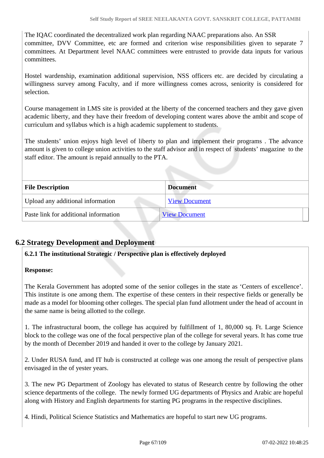The IQAC coordinated the decentralized work plan regarding NAAC preparations also. An SSR committee, DVV Committee, etc are formed and criterion wise responsibilities given to separate 7 committees. At Department level NAAC committees were entrusted to provide data inputs for various committees.

Hostel wardenship, examination additional supervision, NSS officers etc. are decided by circulating a willingness survey among Faculty, and if more willingness comes across, seniority is considered for selection.

Course management in LMS site is provided at the liberty of the concerned teachers and they gave given academic liberty, and they have their freedom of developing content wares above the ambit and scope of curriculum and syllabus which is a high academic supplement to students.

The students' union enjoys high level of liberty to plan and implement their programs . The advance amount is given to college union activities to the staff advisor and in respect of students' magazine to the staff editor. The amount is repaid annually to the PTA.

| <b>File Description</b>               | <b>Document</b>      |
|---------------------------------------|----------------------|
| Upload any additional information     | <b>View Document</b> |
| Paste link for additional information | <b>View Document</b> |

## **6.2 Strategy Development and Deployment**

## **6.2.1 The institutional Strategic / Perspective plan is effectively deployed**

#### **Response:**

The Kerala Government has adopted some of the senior colleges in the state as 'Centers of excellence'. This institute is one among them. The expertise of these centers in their respective fields or generally be made as a model for blooming other colleges. The special plan fund allotment under the head of account in the same name is being allotted to the college.

1. The infrastructural boom, the college has acquired by fulfillment of 1, 80,000 sq. Ft. Large Science block to the college was one of the focal perspective plan of the college for several years. It has come true by the month of December 2019 and handed it over to the college by January 2021.

2. Under RUSA fund, and IT hub is constructed at college was one among the result of perspective plans envisaged in the of yester years.

3. The new PG Department of Zoology has elevated to status of Research centre by following the other science departments of the college. The newly formed UG departments of Physics and Arabic are hopeful along with History and English departments for starting PG programs in the respective disciplines.

4. Hindi, Political Science Statistics and Mathematics are hopeful to start new UG programs.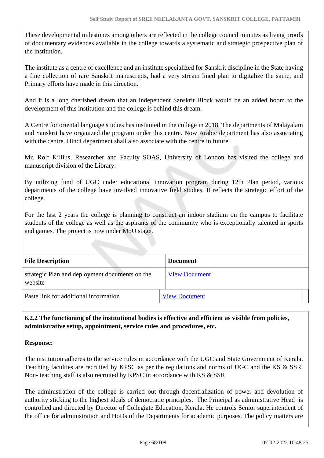These developmental milestones among others are reflected in the college council minutes as living proofs of documentary evidences available in the college towards a systematic and strategic prospective plan of the institution.

The institute as a centre of excellence and an institute specialized for Sanskrit discipline in the State having a fine collection of rare Sanskrit manuscripts, had a very stream lined plan to digitalize the same, and Primary efforts have made in this direction.

And it is a long cherished dream that an independent Sanskrit Block would be an added boom to the development of this institution and the college is behind this dream.

A Centre for oriental language studies has instituted in the college in 2018. The departments of Malayalam and Sanskrit have organized the program under this centre. Now Arabic department has also associating with the centre. Hindi department shall also associate with the centre in future.

Mr. Rolf Killius, Researcher and Faculty SOAS, University of London has visited the college and manuscript division of the Library.

By utilizing fund of UGC under educational innovation program during 12th Plan period, various departments of the college have involved innovative field studies. It reflects the strategic effort of the college.

For the last 2 years the college is planning to construct an indoor stadium on the campus to facilitate students of the college as well as the aspirants of the community who is exceptionally talented in sports and games. The project is now under MoU stage.

| <b>File Description</b>                                   | <b>Document</b>      |
|-----------------------------------------------------------|----------------------|
| strategic Plan and deployment documents on the<br>website | <b>View Document</b> |
| Paste link for additional information                     | <b>View Document</b> |

 **6.2.2 The functioning of the institutional bodies is effective and efficient as visible from policies, administrative setup, appointment, service rules and procedures, etc.**

## **Response:**

The institution adheres to the service rules in accordance with the UGC and State Government of Kerala. Teaching faculties are recruited by KPSC as per the regulations and norms of UGC and the KS & SSR. Non- teaching staff is also recruited by KPSC in accordance with KS & SSR

The administration of the college is carried out through decentralization of power and devolution of authority sticking to the highest ideals of democratic principles. The Principal as administrative Head is controlled and directed by Director of Collegiate Education, Kerala. He controls Senior superintendent of the office for administration and HoDs of the Departments for academic purposes. The policy matters are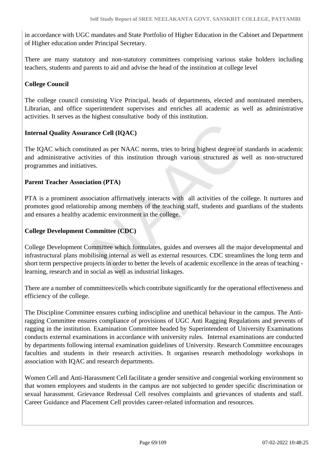in accordance with UGC mandates and State Portfolio of Higher Education in the Cabinet and Department of Higher education under Principal Secretary.

There are many statutory and non-statutory committees comprising various stake holders including teachers, students and parents to aid and advise the head of the institution at college level

## **College Council**

The college council consisting Vice Principal, heads of departments, elected and nominated members, Librarian, and office superintendent supervises and enriches all academic as well as administrative activities. It serves as the highest consultative body of this institution.

## **Internal Quality Assurance Cell (IQAC)**

The IQAC which constituted as per NAAC norms, tries to bring highest degree of standards in academic and administrative activities of this institution through various structured as well as non-structured programmes and initiatives.

#### **Parent Teacher Association (PTA)**

PTA is a prominent association affirmatively interacts with all activities of the college. It nurtures and promotes good relationship among members of the teaching staff, students and guardians of the students and ensures a healthy academic environment in the college.

## **College Development Committee (CDC)**

College Development Committee which formulates, guides and oversees all the major developmental and infrastructural plans mobilising internal as well as external resources. CDC streamlines the long term and short term perspective projects in order to better the levels of academic excellence in the areas of teaching learning, research and in social as well as industrial linkages.

There are a number of committees/cells which contribute significantly for the operational effectiveness and efficiency of the college.

The Discipline Committee ensures curbing indiscipline and unethical behaviour in the campus. The Antiragging Committee ensures compliance of provisions of UGC Anti Ragging Regulations and prevents of ragging in the institution. Examination Committee headed by Superintendent of University Examinations conducts external examinations in accordance with university rules. Internal examinations are conducted by departments following internal examination guidelines of University. Research Committee encourages faculties and students in their research activities. It organises research methodology workshops in association with IQAC and research departments.

Women Cell and Anti-Harassment Cell facilitate a gender sensitive and congenial working environment so that women employees and students in the campus are not subjected to gender specific discrimination or sexual harassment. Grievance Redressal Cell resolves complaints and grievances of students and staff. Career Guidance and Placement Cell provides career-related information and resources.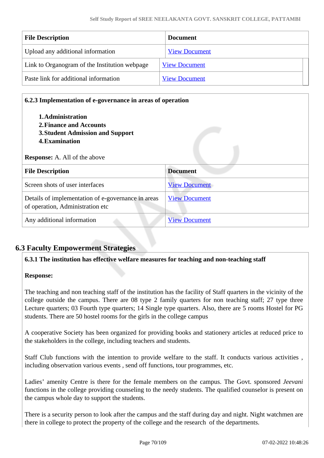| <b>File Description</b>                       | <b>Document</b>      |
|-----------------------------------------------|----------------------|
| Upload any additional information             | <b>View Document</b> |
| Link to Organogram of the Institution webpage | <b>View Document</b> |
| Paste link for additional information         | <b>View Document</b> |

| 1. Administration<br>2. Finance and Accounts<br>3. Student Admission and Support<br>4. Examination<br><b>Response:</b> A. All of the above |                      |  |
|--------------------------------------------------------------------------------------------------------------------------------------------|----------------------|--|
| <b>Document</b><br><b>File Description</b>                                                                                                 |                      |  |
|                                                                                                                                            |                      |  |
| Screen shots of user interfaces                                                                                                            | <b>View Document</b> |  |
| Details of implementation of e-governance in areas<br>of operation, Administration etc                                                     | <b>View Document</b> |  |

## **6.3 Faculty Empowerment Strategies**

#### **6.3.1 The institution has effective welfare measures for teaching and non-teaching staff**

#### **Response:**

The teaching and non teaching staff of the institution has the facility of Staff quarters in the vicinity of the college outside the campus. There are 08 type 2 family quarters for non teaching staff; 27 type three Lecture quarters; 03 Fourth type quarters; 14 Single type quarters. Also, there are 5 rooms Hostel for PG students. There are 50 hostel rooms for the girls in the college campus

A cooperative Society has been organized for providing books and stationery articles at reduced price to the stakeholders in the college, including teachers and students.

Staff Club functions with the intention to provide welfare to the staff. It conducts various activities , including observation various events , send off functions, tour programmes, etc.

Ladies' amenity Centre is there for the female members on the campus. The Govt. sponsored *Jeevani* functions in the college providing counseling to the needy students. The qualified counselor is present on the campus whole day to support the students.

There is a security person to look after the campus and the staff during day and night. Night watchmen are there in college to protect the property of the college and the research of the departments.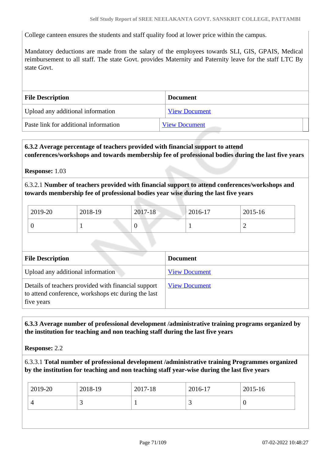College canteen ensures the students and staff quality food at lower price within the campus.

Mandatory deductions are made from the salary of the employees towards SLI, GIS, GPAIS, Medical reimbursement to all staff. The state Govt. provides Maternity and Paternity leave for the staff LTC By state Govt.

| <b>File Description</b>               | <b>Document</b>      |
|---------------------------------------|----------------------|
| Upload any additional information     | <b>View Document</b> |
| Paste link for additional information | <b>View Document</b> |

## **6.3.2 Average percentage of teachers provided with financial support to attend conferences/workshops and towards membership fee of professional bodies during the last five years**

**Response:** 1.03

6.3.2.1 **Number of teachers provided with financial support to attend conferences/workshops and towards membership fee of professional bodies year wise during the last five years**

| 2019-20 | 2018-19 | 2017-18 | $2016 - 17$ | 2015-16 |
|---------|---------|---------|-------------|---------|
|         |         | v       |             | -       |

| <b>File Description</b>                                                                                                  | <b>Document</b>      |
|--------------------------------------------------------------------------------------------------------------------------|----------------------|
| Upload any additional information                                                                                        | <b>View Document</b> |
| Details of teachers provided with financial support<br>to attend conference, workshops etc during the last<br>five years | <b>View Document</b> |

 **6.3.3 Average number of professional development /administrative training programs organized by the institution for teaching and non teaching staff during the last five years**

**Response:** 2.2

6.3.3.1 **Total number of professional development /administrative training Programmes organized by the institution for teaching and non teaching staff year-wise during the last five years**

| $2019-20$ | 2018-19 | 2017-18 | 2016-17 | 2015-16 |
|-----------|---------|---------|---------|---------|
|           | ت       |         |         | υ       |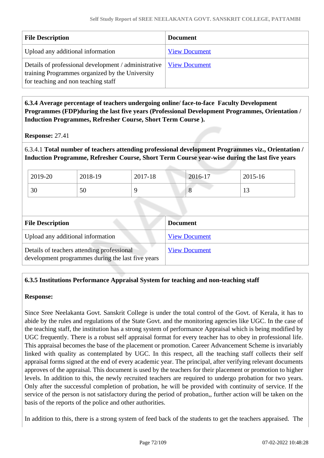| <b>File Description</b>                                                                                                                        | <b>Document</b>      |
|------------------------------------------------------------------------------------------------------------------------------------------------|----------------------|
| Upload any additional information                                                                                                              | <b>View Document</b> |
| Details of professional development / administrative<br>training Programmes organized by the University<br>for teaching and non teaching staff | <b>View Document</b> |

 **6.3.4 Average percentage of teachers undergoing online/ face-to-face Faculty Development Programmes (FDP)during the last five years (Professional Development Programmes, Orientation / Induction Programmes, Refresher Course, Short Term Course ).**

**Response:** 27.41

6.3.4.1 **Total number of teachers attending professional development Programmes viz., Orientation / Induction Programme, Refresher Course, Short Term Course year-wise during the last five years**

| 2019-20 | 2018-19 | 2017-18 | 2016-17 | 2015-16                          |
|---------|---------|---------|---------|----------------------------------|
| 30      | 50      |         | $\circ$ | 1 <sub>2</sub><br>$\overline{1}$ |

| <b>File Description</b>                                                                         | <b>Document</b>      |  |  |
|-------------------------------------------------------------------------------------------------|----------------------|--|--|
| Upload any additional information                                                               | <b>View Document</b> |  |  |
| Details of teachers attending professional<br>development programmes during the last five years | <b>View Document</b> |  |  |

## **6.3.5 Institutions Performance Appraisal System for teaching and non-teaching staff**

#### **Response:**

Since Sree Neelakanta Govt. Sanskrit College is under the total control of the Govt. of Kerala, it has to abide by the rules and regulations of the State Govt. and the monitoring agencies like UGC. In the case of the teaching staff, the institution has a strong system of performance Appraisal which is being modified by UGC frequently. There is a robust self appraisal format for every teacher has to obey in professional life. This appraisal becomes the base of the placement or promotion. Career Advancement Scheme is invariably linked with quality as contemplated by UGC. In this respect, all the teaching staff collects their self appraisal forms signed at the end of every academic year. The principal, after verifying relevant documents approves of the appraisal. This document is used by the teachers for their placement or promotion to higher levels. In addition to this, the newly recruited teachers are required to undergo probation for two years. Only after the successful completion of probation, he will be provided with continuity of service. If the service of the person is not satisfactory during the period of probation,, further action will be taken on the basis of the reports of the police and other authorities.

In addition to this, there is a strong system of feed back of the students to get the teachers appraised. The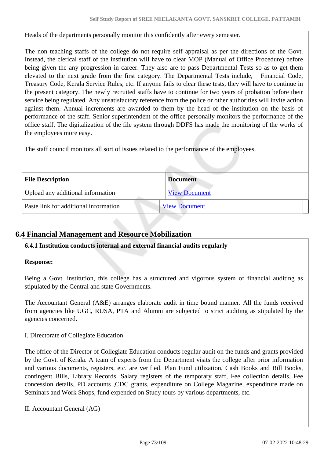Heads of the departments personally monitor this confidently after every semester.

The non teaching staffs of the college do not require self appraisal as per the directions of the Govt. Instead, the clerical staff of the institution will have to clear MOP (Manual of Office Procedure) before being given the any progression in career. They also are to pass Departmental Tests so as to get them elevated to the next grade from the first category. The Departmental Tests include, Financial Code, Treasury Code, Kerala Service Rules, etc. If anyone fails to clear these tests, they will have to continue in the present category. The newly recruited staffs have to continue for two years of probation before their service being regulated. Any unsatisfactory reference from the police or other authorities will invite action against them. Annual increments are awarded to them by the head of the institution on the basis of performance of the staff. Senior superintendent of the office personally monitors the performance of the office staff. The digitalization of the file system through DDFS has made the monitoring of the works of the employees more easy.

The staff council monitors all sort of issues related to the performance of the employees.

| <b>File Description</b>               | <b>Document</b>      |
|---------------------------------------|----------------------|
| Upload any additional information     | <b>View Document</b> |
| Paste link for additional information | <b>View Document</b> |

## **6.4 Financial Management and Resource Mobilization**

#### **6.4.1 Institution conducts internal and external financial audits regularly**

#### **Response:**

Being a Govt. institution, this college has a structured and vigorous system of financial auditing as stipulated by the Central and state Governments.

The Accountant General (A&E) arranges elaborate audit in time bound manner. All the funds received from agencies like UGC, RUSA, PTA and Alumni are subjected to strict auditing as stipulated by the agencies concerned.

I. Directorate of Collegiate Education

The office of the Director of Collegiate Education conducts regular audit on the funds and grants provided by the Govt. of Kerala. A team of experts from the Department visits the college after prior information and various documents, registers, etc. are verified. Plan Fund utilization, Cash Books and Bill Books, contingent Bills, Library Records, Salary registers of the temporary staff, Fee collection details, Fee concession details, PD accounts ,CDC grants, expenditure on College Magazine, expenditure made on Seminars and Work Shops, fund expended on Study tours by various departments, etc.

II. Accountant General (AG)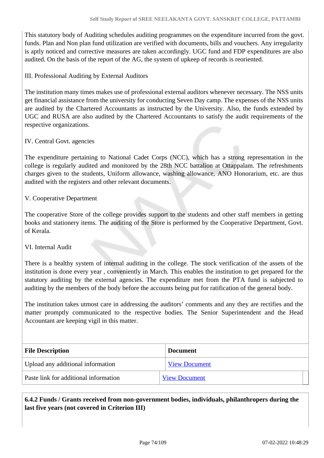This statutory body of Auditing schedules auditing programmes on the expenditure incurred from the govt. funds. Plan and Non plan fund utilization are verified with documents, bills and vouchers. Any irregularity is aptly noticed and corrective measures are taken accordingly. UGC fund and FDP expenditures are also audited. On the basis of the report of the AG, the system of upkeep of records is reoriented.

III. Professional Auditing by External Auditors

The institution many times makes use of professional external auditors whenever necessary. The NSS units get financial assistance from the university for conducting Seven Day camp. The expenses of the NSS units are audited by the Chartered Accountants as instructed by the University. Also, the funds extended by UGC and RUSA are also audited by the Chartered Accountants to satisfy the audit requirements of the respective organizations.

IV. Central Govt. agencies

The expenditure pertaining to National Cadet Corps (NCC), which has a strong representation in the college is regularly audited and monitored by the 28th NCC battalion at Ottappalam. The refreshments charges given to the students, Uniform allowance, washing allowance, ANO Honorarium, etc. are thus audited with the registers and other relevant documents.

#### V. Cooperative Department

The cooperative Store of the college provides support to the students and other staff members in getting books and stationery items. The auditing of the Store is performed by the Cooperative Department, Govt. of Kerala.

VI. Internal Audit

There is a healthy system of internal auditing in the college. The stock verification of the assets of the institution is done every year , conveniently in March. This enables the institution to get prepared for the statutory auditing by the external agencies. The expenditure met from the PTA fund is subjected to auditing by the members of the body before the accounts being put for ratification of the general body.

The institution takes utmost care in addressing the auditors' comments and any they are rectifies and the matter promptly communicated to the respective bodies. The Senior Superintendent and the Head Accountant are keeping vigil in this matter.

| <b>File Description</b>               | <b>Document</b>      |
|---------------------------------------|----------------------|
| Upload any additional information     | <b>View Document</b> |
| Paste link for additional information | <b>View Document</b> |

## **6.4.2 Funds / Grants received from non-government bodies, individuals, philanthropers during the last five years (not covered in Criterion III)**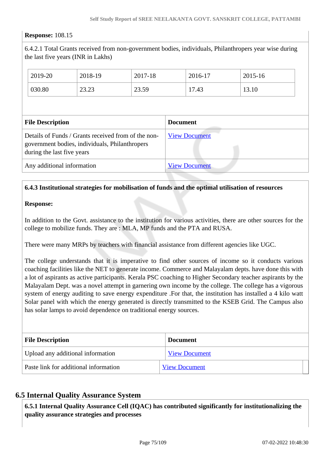#### **Response:** 108.15

6.4.2.1 Total Grants received from non-government bodies, individuals, Philanthropers year wise during the last five years (INR in Lakhs)

| <b>File Description</b> |         |         | <b>Document</b> |         |  |
|-------------------------|---------|---------|-----------------|---------|--|
| 030.80                  | 23.23   | 23.59   | 17.43           | 13.10   |  |
| 2019-20                 | 2018-19 | 2017-18 | 2016-17         | 2015-16 |  |

| <b>File Description</b>                                                                                                             | <b>Document</b>      |
|-------------------------------------------------------------------------------------------------------------------------------------|----------------------|
| Details of Funds / Grants received from of the non-<br>government bodies, individuals, Philanthropers<br>during the last five years | <b>View Document</b> |
| Any additional information                                                                                                          | <b>View Document</b> |

#### **6.4.3 Institutional strategies for mobilisation of funds and the optimal utilisation of resources**

#### **Response:**

In addition to the Govt. assistance to the institution for various activities, there are other sources for the college to mobilize funds. They are : MLA, MP funds and the PTA and RUSA.

There were many MRPs by teachers with financial assistance from different agencies like UGC.

The college understands that it is imperative to find other sources of income so it conducts various coaching facilities like the NET to generate income. Commerce and Malayalam depts. have done this with a lot of aspirants as active participants. Kerala PSC coaching to Higher Secondary teacher aspirants by the Malayalam Dept. was a novel attempt in garnering own income by the college. The college has a vigorous system of energy auditing to save energy expenditure .For that, the institution has installed a 4 kilo watt Solar panel with which the energy generated is directly transmitted to the KSEB Grid. The Campus also has solar lamps to avoid dependence on traditional energy sources.

| <b>File Description</b>               | <b>Document</b>      |
|---------------------------------------|----------------------|
| Upload any additional information     | <b>View Document</b> |
| Paste link for additional information | <b>View Document</b> |

## **6.5 Internal Quality Assurance System**

 **6.5.1 Internal Quality Assurance Cell (IQAC) has contributed significantly for institutionalizing the quality assurance strategies and processes**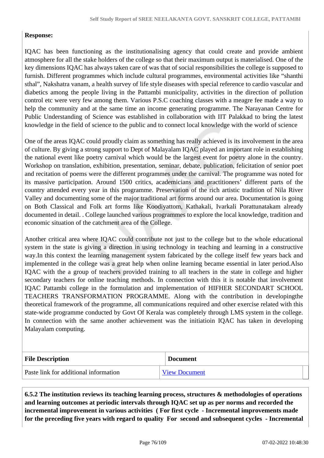#### **Response:**

IQAC has been functioning as the institutionalising agency that could create and provide ambient atmosphere for all the stake holders of the college so that their maximum output is materialised. One of the key dimensions IQAC has always taken care of was that of social responsibilities the college is supposed to furnish. Different programmes which include cultural programmes, environmental activities like "shanthi sthal", Nakshatra vanam, a health survey of life style diseases with special reference to cardio vascular and diabetics among the people living in the Pattambi municipality, activities in the direction of pollution control etc were very few among them. Various P.S.C coaching classes with a meagre fee made a way to help the community and at the same time an income generating programme. The Narayanan Centre for Public Understanding of Science was established in collaboration with IIT Palakkad to bring the latest knowledge in the field of science to the public and to connect local knowledge with the world of science

One of the areas IQAC could proudly claim as something has really achieved is its involvement in the area of culture. By giving a strong support to Dept of Malayalam IQAC played an important role in establishing the national event like poetry carnival which would be the largest event for poetry alone in the country. Workshop on translation, exhibition, presentation, seminar, debate, publication, felicitation of senior poet and recitation of poems were the different programmes under the carnival. The programme was noted for its massive participation. Around 1500 critics, academicians and practitioners' different parts of the country attended every year in this programme. Preservation of the rich artistic tradition of Nila River Valley and documenting some of the major traditional art forms around our area. Documentation is going on Both Classical and Folk art forms like Koodiyattom, Kathakali, Ivarkali Porattunatakam already documented in detail. . College launched various programmes to explore the local knowledge, tradition and economic situation of the catchment area of the College.

Another critical area where IQAC could contribute not just to the college but to the whole educational system in the state is giving a direction in using technology in teaching and learning in a constructive way.In this context the learning management system fabricated by the college itself few years back and implemented in the college was a great help when online learning became essential in later period.Also IQAC with the a group of teachers provided training to all teachers in the state in college and higher secondary teachers for online teaching methods. In connection with this it is notable that involvement IQAC Pattambi college in the formulation and implementation of HIFHER SECONDART SCHOOL TEACHERS TRANSFORMATION PROGRAMME. Along with the contribution in developingthe theoretical framework of the programme, all communications required and other exercise related with this state-wide programme conducted by Govt Of Kerala was completely through LMS system in the college. In connection with the same another achievement was the initiatioin IQAC has taken in developing Malayalam computing.

| <b>File Description</b>               | <b>Document</b>      |
|---------------------------------------|----------------------|
| Paste link for additional information | <b>View Document</b> |

 **6.5.2 The institution reviews its teaching learning process, structures & methodologies of operations and learning outcomes at periodic intervals through IQAC set up as per norms and recorded the incremental improvement in various activities ( For first cycle - Incremental improvements made for the preceding five years with regard to quality For second and subsequent cycles - Incremental**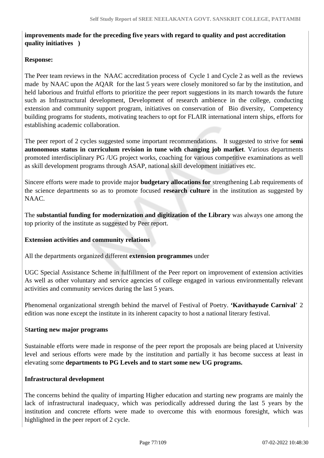## **improvements made for the preceding five years with regard to quality and post accreditation quality initiatives )**

#### **Response:**

The Peer team reviews in the NAAC accreditation process of Cycle 1 and Cycle 2 as well as the reviews made by NAAC upon the AQAR for the last 5 years were closely monitored so far by the institution, and held laborious and fruitful efforts to prioritize the peer report suggestions in its march towards the future such as Infrastructural development, Development of research ambience in the college, conducting extension and community support program, initiatives on conservation of Bio diversity, Competency building programs for students, motivating teachers to opt for FLAIR international intern ships, efforts for establishing academic collaboration.

The peer report of 2 cycles suggested some important recommendations. It suggested to strive for **semi autonomous status in curriculum revision in tune with changing job market**. Various departments promoted interdisciplinary PG /UG project works, coaching for various competitive examinations as well as skill development programs through ASAP, national skill development initiatives etc.

Sincere efforts were made to provide major **budgetary allocations for** strengthening Lab requirements of the science departments so as to promote focused **research culture** in the institution as suggested by NAAC.

The **substantial funding for modernization and digitization of the Library** was always one among the top priority of the institute as suggested by Peer report.

#### **Extension activities and community relations**

All the departments organized different **extension programmes** under

UGC Special Assistance Scheme in fulfillment of the Peer report on improvement of extension activities As well as other voluntary and service agencies of college engaged in various environmentally relevant activities and community services during the last 5 years.

Phenomenal organizational strength behind the marvel of Festival of Poetry. **'Kavithayude Carnival**' 2 edition was none except the institute in its inherent capacity to host a national literary festival.

#### S**tarting new major programs**

Sustainable efforts were made in response of the peer report the proposals are being placed at University level and serious efforts were made by the institution and partially it has become success at least in elevating some **departments to PG Levels and to start some new UG programs.** 

#### **Infrastructural development**

The concerns behind the quality of imparting Higher education and starting new programs are mainly the lack of infrastructural inadequacy, which was periodically addressed during the last 5 years by the institution and concrete efforts were made to overcome this with enormous foresight, which was highlighted in the peer report of 2 cycle.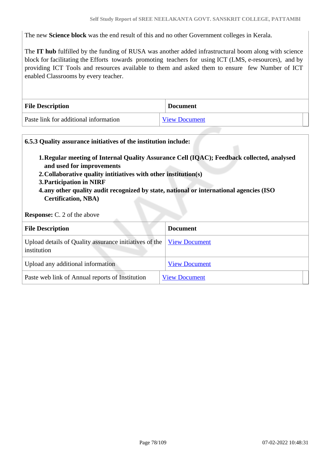The new **Science block** was the end result of this and no other Government colleges in Kerala.

The **IT hub** fulfilled by the funding of RUSA was another added infrastructural boom along with science block for facilitating the Efforts towards promoting teachers for using ICT (LMS, e-resources), and by providing ICT Tools and resources available to them and asked them to ensure few Number of ICT enabled Classrooms by every teacher.

| <b>Document</b>                       |                      |
|---------------------------------------|----------------------|
| <b>File Description</b>               |                      |
| Paste link for additional information | <b>View Document</b> |

| 6.5.3 Quality assurance initiatives of the institution include:                                                       |                                                                                            |
|-----------------------------------------------------------------------------------------------------------------------|--------------------------------------------------------------------------------------------|
| and used for improvements                                                                                             | 1. Regular meeting of Internal Quality Assurance Cell (IQAC); Feedback collected, analysed |
| 2. Collaborative quality intitiatives with other institution(s)                                                       |                                                                                            |
| 3. Participation in NIRF                                                                                              |                                                                                            |
| 4. any other quality audit recognized by state, national or international agencies (ISO<br><b>Certification, NBA)</b> |                                                                                            |
| <b>Response:</b> C. 2 of the above                                                                                    |                                                                                            |
| <b>File Description</b>                                                                                               | <b>Document</b>                                                                            |
| Upload details of Quality assurance initiatives of the<br>institution                                                 | <b>View Document</b>                                                                       |
| Upload any additional information                                                                                     | <b>View Document</b>                                                                       |
| Paste web link of Annual reports of Institution                                                                       | <b>View Document</b>                                                                       |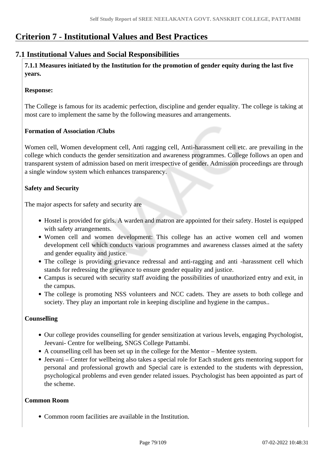## **Criterion 7 - Institutional Values and Best Practices**

## **7.1 Institutional Values and Social Responsibilities**

 **7.1.1 Measures initiated by the Institution for the promotion of gender equity during the last five years.**

#### **Response:**

The College is famous for its academic perfection, discipline and gender equality. The college is taking at most care to implement the same by the following measures and arrangements.

#### **Formation of Association /Clubs**

Women cell, Women development cell, Anti ragging cell, Anti-harassment cell etc. are prevailing in the college which conducts the gender sensitization and awareness programmes. College follows an open and transparent system of admission based on merit irrespective of gender. Admission proceedings are through a single window system which enhances transparency.

#### **Safety and Security**

The major aspects for safety and security are

- Hostel is provided for girls. A warden and matron are appointed for their safety. Hostel is equipped with safety arrangements.
- Women cell and women development: This college has an active women cell and women development cell which conducts various programmes and awareness classes aimed at the safety and gender equality and justice.
- The college is providing grievance redressal and anti-ragging and anti -harassment cell which stands for redressing the grievance to ensure gender equality and justice.
- Campus is secured with security staff avoiding the possibilities of unauthorized entry and exit, in the campus.
- The college is promoting NSS volunteers and NCC cadets. They are assets to both college and society. They play an important role in keeping discipline and hygiene in the campus..

## **Counselling**

- Our college provides counselling for gender sensitization at various levels, engaging Psychologist, Jeevani- Centre for wellbeing, SNGS College Pattambi.
- A counselling cell has been set up in the college for the Mentor Mentee system.
- Jeevani Center for wellbeing also takes a special role for Each student gets mentoring support for personal and professional growth and Special care is extended to the students with depression, psychological problems and even gender related issues. Psychologist has been appointed as part of the scheme.

#### **Common Room**

Common room facilities are available in the Institution.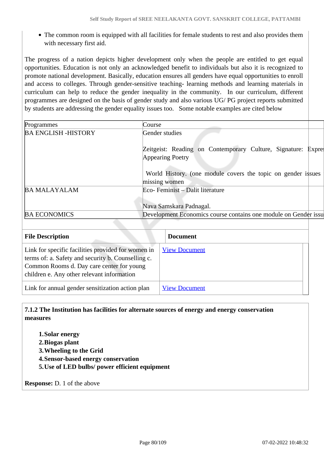• The common room is equipped with all facilities for female students to rest and also provides them with necessary first aid.

The progress of a nation depicts higher development only when the people are entitled to get equal opportunities. Education is not only an acknowledged benefit to individuals but also it is recognized to promote national development. Basically, education ensures all genders have equal opportunities to enroll and access to colleges. Through gender-sensitive teaching- learning methods and learning materials in curriculum can help to reduce the gender inequality in the community. In our curriculum, different programmes are designed on the basis of gender study and also various UG/ PG project reports submitted by students are addressing the gender equality issues too. Some notable examples are cited below

| Programmes                | Course                                                                                                                                            |
|---------------------------|---------------------------------------------------------------------------------------------------------------------------------------------------|
| <b>BA ENGLISH-HISTORY</b> | Gender studies                                                                                                                                    |
|                           | Zeitgeist: Reading on Contemporary Culture, Signature: Expres<br>Appearing Poetry<br>World History. (one module covers the topic on gender issues |
|                           | missing women                                                                                                                                     |
| <b>BA MALAYALAM</b>       | Eco-Feminist – Dalit literature<br>Nava Samskara Padnagal.                                                                                        |
| <b>BA ECONOMICS</b>       | Development Economics course contains one module on Gender issu                                                                                   |
|                           |                                                                                                                                                   |

| <b>File Description</b>                                                                                                                                                                             | <b>Document</b>      |
|-----------------------------------------------------------------------------------------------------------------------------------------------------------------------------------------------------|----------------------|
| Link for specific facilities provided for women in<br>terms of: a. Safety and security b. Counselling c.<br>Common Rooms d. Day care center for young<br>children e. Any other relevant information | <b>View Document</b> |
| Link for annual gender sensitization action plan                                                                                                                                                    | <b>View Document</b> |

 **7.1.2 The Institution has facilities for alternate sources of energy and energy conservation measures** 

**1.Solar energy 2.Biogas plant 3.Wheeling to the Grid 4.Sensor-based energy conservation 5.Use of LED bulbs/ power efficient equipment** 

**Response:** D. 1 of the above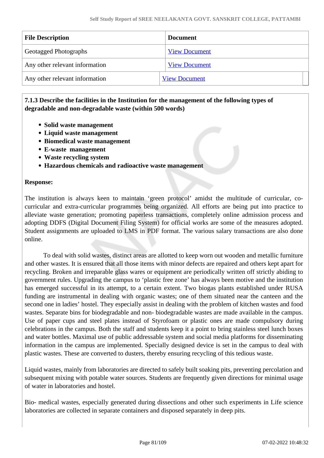| <b>File Description</b>        | <b>Document</b>      |
|--------------------------------|----------------------|
| <b>Geotagged Photographs</b>   | <b>View Document</b> |
| Any other relevant information | <b>View Document</b> |
| Any other relevant information | <b>View Document</b> |

#### **7.1.3 Describe the facilities in the Institution for the management of the following types of degradable and non-degradable waste (within 500 words)**

- **Solid waste management**
- **Liquid waste management**
- **Biomedical waste management**
- **E-waste management**
- **Waste recycling system**
- **Hazardous chemicals and radioactive waste management**

#### **Response:**

The institution is always keen to maintain 'green protocol' amidst the multitude of curricular, cocurricular and extra-curricular programmes being organized. All efforts are being put into practice to alleviate waste generation; promoting paperless transactions, completely online admission process and adopting DDFS (Digital Document Filing System) for official works are some of the measures adopted. Student assignments are uploaded to LMS in PDF format. The various salary transactions are also done online.

 To deal with solid wastes, distinct areas are allotted to keep worn out wooden and metallic furniture and other wastes. It is ensured that all those items with minor defects are repaired and others kept apart for recycling. Broken and irreparable glass wares or equipment are periodically written off strictly abiding to government rules. Upgrading the campus to 'plastic free zone' has always been motive and the institution has emerged successful in its attempt, to a certain extent. Two biogas plants established under RUSA funding are instrumental in dealing with organic wastes; one of them situated near the canteen and the second one in ladies' hostel. They especially assist in dealing with the problem of kitchen wastes and food wastes. Separate bins for biodegradable and non- biodegradable wastes are made available in the campus. Use of paper cups and steel plates instead of Styrofoam or plastic ones are made compulsory during celebrations in the campus. Both the staff and students keep it a point to bring stainless steel lunch boxes and water bottles. Maximal use of public addressable system and social media platforms for disseminating information in the campus are implemented. Specially designed device is set in the campus to deal with plastic wastes. These are converted to dusters, thereby ensuring recycling of this tedious waste.

Liquid wastes, mainly from laboratories are directed to safely built soaking pits, preventing percolation and subsequent mixing with potable water sources. Students are frequently given directions for minimal usage of water in laboratories and hostel.

Bio- medical wastes, especially generated during dissections and other such experiments in Life science laboratories are collected in separate containers and disposed separately in deep pits.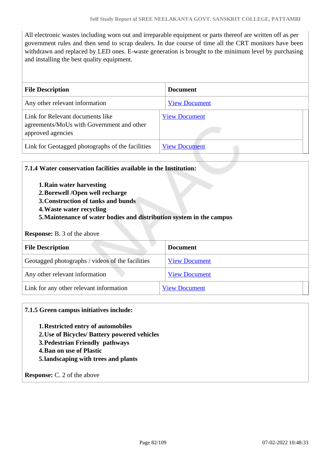All electronic wastes including worn out and irreparable equipment or parts thereof are written off as per government rules and then send to scrap dealers. In due course of time all the CRT monitors have been withdrawn and replaced by LED ones. E-waste generation is brought to the minimum level by purchasing and installing the best quality equipment.

| <b>File Description</b>                                                                            | <b>Document</b>      |
|----------------------------------------------------------------------------------------------------|----------------------|
| Any other relevant information                                                                     | <b>View Document</b> |
| Link for Relevant documents like<br>agreements/MoUs with Government and other<br>approved agencies | <b>View Document</b> |
| Link for Geotagged photographs of the facilities                                                   | <b>View Document</b> |

#### **7.1.4 Water conservation facilities available in the Institution:**

- **1.Rain water harvesting**
- **2.Borewell /Open well recharge**
- **3.Construction of tanks and bunds**
- **4.Waste water recycling**
- **5.Maintenance of water bodies and distribution system in the campus**

#### **Response:** B. 3 of the above

| <b>File Description</b>                          | <b>Document</b>      |
|--------------------------------------------------|----------------------|
| Geotagged photographs / videos of the facilities | <b>View Document</b> |
| Any other relevant information                   | <b>View Document</b> |
| Link for any other relevant information          | <b>View Document</b> |

#### **7.1.5 Green campus initiatives include:**

- **1.Restricted entry of automobiles**
- **2.Use of Bicycles/ Battery powered vehicles**
- **3.Pedestrian Friendly pathways**
- **4.Ban on use of Plastic**
- **5.landscaping with trees and plants**

**Response:** C. 2 of the above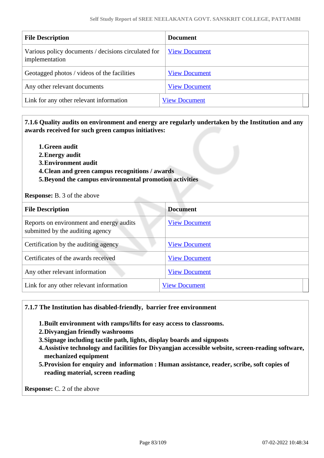| <b>File Description</b>                                               | <b>Document</b>      |
|-----------------------------------------------------------------------|----------------------|
| Various policy documents / decisions circulated for<br>implementation | <b>View Document</b> |
| Geotagged photos / videos of the facilities                           | <b>View Document</b> |
| Any other relevant documents                                          | <b>View Document</b> |
| Link for any other relevant information                               | <b>View Document</b> |

 **7.1.6 Quality audits on environment and energy are regularly undertaken by the Institution and any awards received for such green campus initiatives:**

- **1.Green audit**
- **2.Energy audit**
- **3.Environment audit**
- **4.Clean and green campus recognitions / awards**
- **5.Beyond the campus environmental promotion activities**

**Response:** B. 3 of the above

| <b>File Description</b>                                                      | <b>Document</b>      |
|------------------------------------------------------------------------------|----------------------|
| Reports on environment and energy audits<br>submitted by the auditing agency | <b>View Document</b> |
| Certification by the auditing agency                                         | <b>View Document</b> |
| Certificates of the awards received                                          | <b>View Document</b> |
| Any other relevant information                                               | <b>View Document</b> |
| Link for any other relevant information                                      | <b>View Document</b> |

**7.1.7 The Institution has disabled-friendly, barrier free environment** 

- **1.Built environment with ramps/lifts for easy access to classrooms.**
- **2.Divyangjan friendly washrooms**
- **3.Signage including tactile path, lights, display boards and signposts**
- **4.Assistive technology and facilities for Divyangjan accessible website, screen-reading software, mechanized equipment**
- **5.Provision for enquiry and information : Human assistance, reader, scribe, soft copies of reading material, screen reading**

**Response:** C. 2 of the above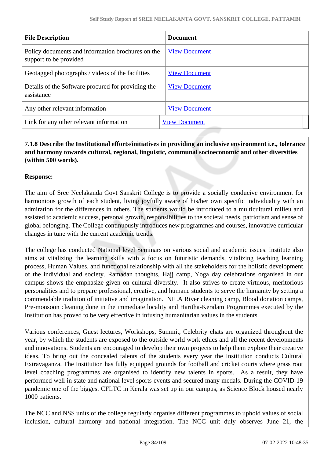| <b>File Description</b>                                                     | <b>Document</b>      |
|-----------------------------------------------------------------------------|----------------------|
| Policy documents and information brochures on the<br>support to be provided | <b>View Document</b> |
| Geotagged photographs / videos of the facilities                            | <b>View Document</b> |
| Details of the Software procured for providing the<br>assistance            | <b>View Document</b> |
| Any other relevant information                                              | <b>View Document</b> |
| Link for any other relevant information                                     | <b>View Document</b> |

## **7.1.8 Describe the Institutional efforts/initiatives in providing an inclusive environment i.e., tolerance and harmony towards cultural, regional, linguistic, communal socioeconomic and other diversities (within 500 words).**

#### **Response:**

The aim of Sree Neelakanda Govt Sanskrit College is to provide a socially conducive environment for harmonious growth of each student, living joyfully aware of his/her own specific individuality with an admiration for the differences in others. The students would be introduced to a multicultural milieu and assisted to academic success, personal growth, responsibilities to the societal needs, patriotism and sense of global belonging. The College continuously introduces new programmes and courses, innovative curricular changes in tune with the current academic trends.

The college has conducted National level Seminars on various social and academic issues. Institute also aims at vitalizing the learning skills with a focus on futuristic demands, vitalizing teaching learning process, Human Values, and functional relationship with all the stakeholders for the holistic development of the individual and society. Ramadan thoughts, Hajj camp, Yoga day celebrations organised in our campus shows the emphasize given on cultural diversity. It also strives to create virtuous, meritorious personalities and to prepare professional, creative, and humane students to serve the humanity by setting a commendable tradition of initiative and imagination. NILA River cleaning camp, Blood donation camps, Pre-monsoon cleaning done in the immediate locality and Haritha-Keralam Programmes executed by the Institution has proved to be very effective in infusing humanitarian values in the students.

Various conferences, Guest lectures, Workshops, Summit, Celebrity chats are organized throughout the year, by which the students are exposed to the outside world work ethics and all the recent developments and innovations. Students are encouraged to develop their own projects to help them explore their creative ideas. To bring out the concealed talents of the students every year the Institution conducts Cultural Extravaganza. The Institution has fully equipped grounds for football and cricket courts where grass root level coaching programmes are organised to identify new talents in sports. As a result, they have performed well in state and national level sports events and secured many medals. During the COVID-19 pandemic one of the biggest CFLTC in Kerala was set up in our campus, as Science Block housed nearly 1000 patients.

The NCC and NSS units of the college regularly organise different programmes to uphold values of social inclusion, cultural harmony and national integration. The NCC unit duly observes June 21, the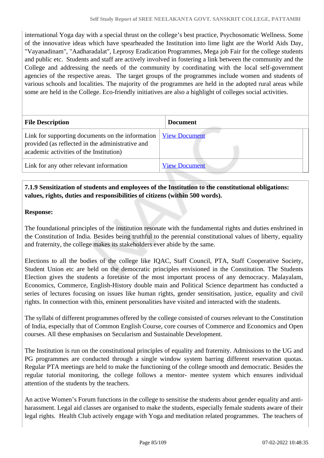international Yoga day with a special thrust on the college's best practice, Psychosomatic Wellness. Some of the innovative ideas which have spearheaded the Institution into lime light are the World Aids Day, "Vayanadinam", "Aadharadalat", Leprosy Eradication Programmes, Mega job Fair for the college students and public etc. Students and staff are actively involved in fostering a link between the community and the College and addressing the needs of the community by coordinating with the local self-government agencies of the respective areas. The target groups of the programmes include women and students of various schools and localities. The majority of the programmes are held in the adopted rural areas while some are held in the College. Eco-friendly initiatives are also a highlight of colleges social activities.

| <b>File Description</b>                                                                                                                         | <b>Document</b>      |
|-------------------------------------------------------------------------------------------------------------------------------------------------|----------------------|
| Link for supporting documents on the information<br>provided (as reflected in the administrative and<br>academic activities of the Institution) | <b>View Document</b> |
| Link for any other relevant information                                                                                                         | <b>View Document</b> |

## **7.1.9 Sensitization of students and employees of the Institution to the constitutional obligations: values, rights, duties and responsibilities of citizens (within 500 words).**

## **Response:**

The foundational principles of the institution resonate with the fundamental rights and duties enshrined in the Constitution of India. Besides being truthful to the perennial constitutional values of liberty, equality and fraternity, the college makes its stakeholders ever abide by the same.

Elections to all the bodies of the college like IQAC, Staff Council, PTA, Staff Cooperative Society, Student Union etc are held on the democratic principles envisioned in the Constitution. The Students Election gives the students a foretaste of the most important process of any democracy. Malayalam, Economics, Commerce, English-History double main and Political Science department has conducted a series of lectures focusing on issues like human rights, gender sensitisation, justice, equality and civil rights. In connection with this, eminent personalities have visited and interacted with the students.

The syllabi of different programmes offered by the college consisted of courses relevant to the Constitution of India, especially that of Common English Course, core courses of Commerce and Economics and Open courses. All these emphasises on Secularism and Sustainable Development.

The Institution is run on the constitutional principles of equality and fraternity. Admissions to the UG and PG programmes are conducted through a single window system barring different reservation quotas. Regular PTA meetings are held to make the functioning of the college smooth and democratic. Besides the regular tutorial monitoring, the college follows a mentor- mentee system which ensures individual attention of the students by the teachers.

An active Women's Forum functions in the college to sensitise the students about gender equality and antiharassment. Legal aid classes are organised to make the students, especially female students aware of their legal rights. Health Club actively engage with Yoga and meditation related programmes. The teachers of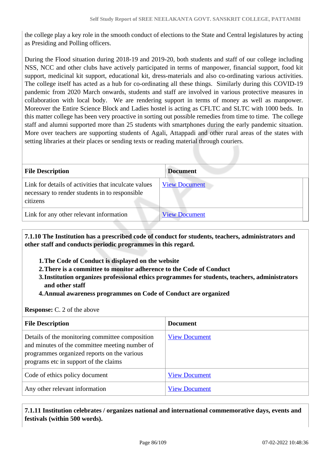the college play a key role in the smooth conduct of elections to the State and Central legislatures by acting as Presiding and Polling officers.

During the Flood situation during 2018-19 and 2019-20, both students and staff of our college including NSS, NCC and other clubs have actively participated in terms of manpower, financial support, food kit support, medicinal kit support, educational kit, dress-materials and also co-ordinating various activities. The college itself has acted as a hub for co-ordinating all these things. Similarly during this COVID-19 pandemic from 2020 March onwards, students and staff are involved in various protective measures in collaboration with local body. We are rendering support in terms of money as well as manpower. Moreover the Entire Science Block and Ladies hostel is acting as CFLTC and SLTC with 1000 beds. In this matter college has been very proactive in sorting out possible remedies from time to time. The college staff and alumni supported more than 25 students with smartphones during the early pandemic situation. More over teachers are supporting students of Agali, Attappadi and other rural areas of the states with setting libraries at their places or sending texts or reading material through couriers.

| <b>File Description</b>                                                                                            | <b>Document</b>      |
|--------------------------------------------------------------------------------------------------------------------|----------------------|
| Link for details of activities that inculcate values<br>necessary to render students in to responsible<br>citizens | <b>View Document</b> |
| Link for any other relevant information                                                                            | <b>View Document</b> |

 **7.1.10 The Institution has a prescribed code of conduct for students, teachers, administrators and other staff and conducts periodic programmes in this regard.** 

- **1.The Code of Conduct is displayed on the website**
- **2.There is a committee to monitor adherence to the Code of Conduct**
- **3.Institution organizes professional ethics programmes for students, teachers, administrators and other staff**
- **4.Annual awareness programmes on Code of Conduct are organized**

**Response:** C. 2 of the above

| <b>File Description</b>                                                                                                                                                                   | <b>Document</b>      |
|-------------------------------------------------------------------------------------------------------------------------------------------------------------------------------------------|----------------------|
| Details of the monitoring committee composition<br>and minutes of the committee meeting number of<br>programmes organized reports on the various<br>programs etc in support of the claims | <b>View Document</b> |
| Code of ethics policy document                                                                                                                                                            | <b>View Document</b> |
| Any other relevant information                                                                                                                                                            | <b>View Document</b> |

 **7.1.11 Institution celebrates / organizes national and international commemorative days, events and festivals (within 500 words).**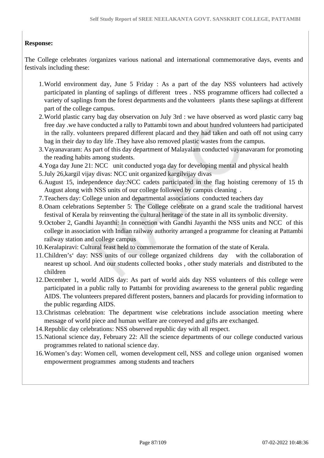## **Response:**

The College celebrates /organizes various national and international commemorative days, events and festivals including these:

- 1.World environment day, June 5 Friday : As a part of the day NSS volunteers had actively participated in planting of saplings of different trees . NSS programme officers had collected a variety of saplings from the forest departments and the volunteers plants these saplings at different part of the college campus.
- 2.World plastic carry bag day observation on July 3rd : we have observed as word plastic carry bag free day .we have conducted a rally to Pattambi town and about hundred volunteers had participated in the rally. volunteers prepared different placard and they had taken and oath off not using carry bag in their day to day life .They have also removed plastic wastes from the campus.
- 3.Vayanavaram: As part of this day department of Malayalam conducted vayanavaram for promoting the reading habits among students.
- 4.Yoga day June 21: NCC unit conducted yoga day for developing mental and physical health
- 5.July 26,kargil vijay divas: NCC unit organized kargilvijay divas
- 6.August 15, independence day:NCC cadets participated in the flag hoisting ceremony of 15 th August along with NSS units of our college followed by campus cleaning .
- 7.Teachers day: College union and departmental associations conducted teachers day
- 8.Onam celebrations September 5: The College celebrate on a grand scale the traditional harvest festival of Kerala by reinventing the cultural heritage of the state in all its symbolic diversity.
- 9.October 2, Gandhi Jayanthi: In connection with Gandhi Jayanthi the NSS units and NCC of this college in association with Indian railway authority arranged a programme for cleaning at Pattambi railway station and college campus
- 10.Keralapiravi: Cultural feast held to commemorate the formation of the state of Kerala.
- 11.Children's' day: NSS units of our college organized childrens day with the collaboration of nearest up school. And our students collected books , other study materials and distributed to the children
- 12.December 1, world AIDS day: As part of world aids day NSS volunteers of this college were participated in a public rally to Pattambi for providing awareness to the general public regarding AIDS. The volunteers prepared different posters, banners and placards for providing information to the public regarding AIDS.
- 13.Christmas celebration: The department wise celebrations include association meeting where message of world piece and human welfare are conveyed and gifts are exchanged.
- 14.Republic day celebrations: NSS observed republic day with all respect.
- 15.National science day, February 22: All the science departments of our college conducted various programmes related to national science day.
- 16.Women's day: Women cell, women development cell, NSS and college union organised women empowerment programmes among students and teachers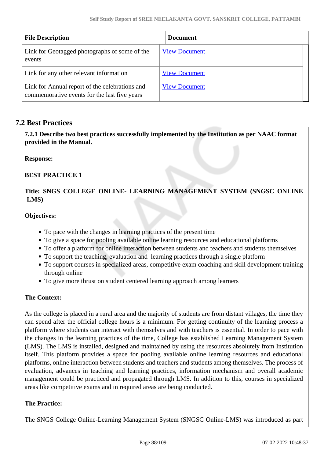| <b>File Description</b>                                                                        | <b>Document</b>      |
|------------------------------------------------------------------------------------------------|----------------------|
| Link for Geotagged photographs of some of the<br>events                                        | <b>View Document</b> |
| Link for any other relevant information                                                        | <b>View Document</b> |
| Link for Annual report of the celebrations and<br>commemorative events for the last five years | <b>View Document</b> |

## **7.2 Best Practices**

 **7.2.1 Describe two best practices successfully implemented by the Institution as per NAAC format provided in the Manual.**

**Response:** 

**BEST PRACTICE 1**

**Title: SNGS COLLEGE ONLINE- LEARNING MANAGEMENT SYSTEM (SNGSC ONLINE -LMS)**

#### **Objectives:**

- To pace with the changes in learning practices of the present time
- To give a space for pooling available online learning resources and educational platforms
- To offer a platform for online interaction between students and teachers and students themselves
- To support the teaching, evaluation and learning practices through a single platform
- To support courses in specialized areas, competitive exam coaching and skill development training through online
- To give more thrust on student centered learning approach among learners

## **The Context:**

As the college is placed in a rural area and the majority of students are from distant villages, the time they can spend after the official college hours is a minimum. For getting continuity of the learning process a platform where students can interact with themselves and with teachers is essential. In order to pace with the changes in the learning practices of the time, College has established Learning Management System (LMS). The LMS is installed, designed and maintained by using the resources absolutely from Institution itself. This platform provides a space for pooling available online learning resources and educational platforms, online interaction between students and teachers and students among themselves. The process of evaluation, advances in teaching and learning practices, information mechanism and overall academic management could be practiced and propagated through LMS. In addition to this, courses in specialized areas like competitive exams and in required areas are being conducted.

## **The Practice:**

The SNGS College Online-Learning Management System (SNGSC Online-LMS) was introduced as part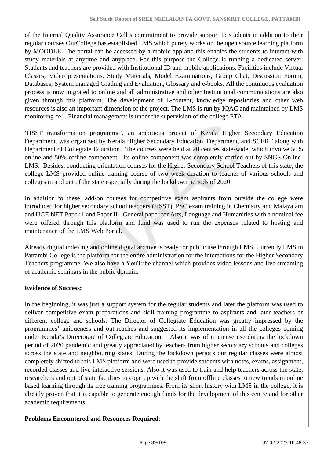of the Internal Quality Assurance Cell's commitment to provide support to students in addition to their regular courses.OurCollege has established LMS which purely works on the open source learning platform by MOODLE. The portal can be accessed by a mobile app and this enables the students to interact with study materials at anytime and anyplace. For this purpose the College is running a dedicated server. Students and teachers are provided with Institutional ID and mobile applications. Facilities include Virtual Classes, Video presentations, Study Materials, Model Examinations, Group Chat, Discussion Forum, Databases; System managed Grading and Evaluation, Glossary and e-books. All the continuous evaluation process is now migrated to online and all administrative and other Institutional communications are also given through this platform. The development of E-content, knowledge repositories and other web resources is also an important dimension of the project. The LMS is run by IQAC and maintained by LMS monitoring cell. Financial management is under the supervision of the college PTA.

'HSST transformation programme', an ambitious project of Kerala Higher Secondary Education Department, was organized by Kerala Higher Secondary Education, Department, and SCERT along with Department of Collegiate Education. The courses were held at 20 centres state-wide, which involve 50% online and 50% offline component. Its online component was completely carried out by SNGS Online-LMS. Besides, conducting orientation courses for the Higher Secondary School Teachers of this state, the college LMS provided online training course of two week duration to teacher of various schools and colleges in and out of the state especially during the lockdown periods of 2020.

In addition to these, add-on courses for competitive exam aspirants from outside the college were introduced for higher secondary school teachers (HSST), PSC exam training in Chemistry and Malayalam and UGE NET Paper 1 and Paper II - General paper for Arts, Language and Humanities with a nominal fee were offered through this platform and fund was used to run the expenses related to hosting and maintenance of the LMS Web Portal.

Already digital indexing and online digital archive is ready for public use through LMS. Currently LMS in Pattambi College is the platform for the entire administration for the interactions for the Higher Secondary Teachers programme. We also have a YouTube channel which provides video lessons and live streaming of academic seminars in the public domain.

## **Evidence of Success:**

In the beginning, it was just a support system for the regular students and later the platform was used to deliver competitive exam preparations and skill training programme to aspirants and later teachers of different college and schools. The Director of Collegiate Education was greatly impressed by the programmes' uniqueness and out-reaches and suggested its implementation in all the colleges coming under Kerala's Directorate of Collegiate Education. Also it was of immense use during the lockdown period of 2020 pandemic and greatly appreciated by teachers from higher secondary schools and colleges across the state and neighbouring states. During the lockdown periods our regular classes were almost completely shifted to this LMS platform and were used to provide students with notes, exams, assignment, recorded classes and live interactive sessions. Also it was used to train and help teachers across the state, researchers and out of state faculties to cope up with the shift from offline classes to new trends in online based learning through its free training programmes. From its short history with LMS in the college, it is already proven that it is capable to generate enough funds for the development of this centre and for other academic requirements.

## **Problems Encountered and Resources Required**: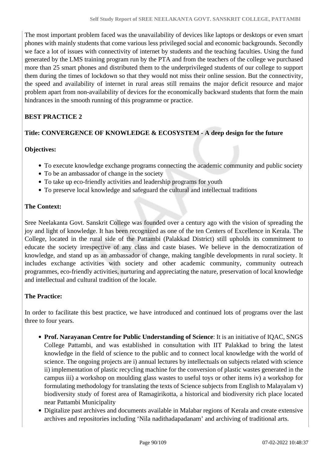The most important problem faced was the unavailability of devices like laptops or desktops or even smart phones with mainly students that come various less privileged social and economic backgrounds. Secondly we face a lot of issues with connectivity of internet by students and the teaching faculties. Using the fund generated by the LMS training program run by the PTA and from the teachers of the college we purchased more than 25 smart phones and distributed them to the underprivileged students of our college to support them during the times of lockdown so that they would not miss their online session. But the connectivity, the speed and availability of internet in rural areas still remains the major deficit resource and major problem apart from non-availability of devices for the economically backward students that form the main hindrances in the smooth running of this programme or practice.

## **BEST PRACTICE 2**

## **Title: CONVERGENCE OF KNOWLEDGE & ECOSYSTEM - A deep design for the future**

## **Objectives:**

- To execute knowledge exchange programs connecting the academic community and public society
- To be an ambassador of change in the society
- To take up eco-friendly activities and leadership programs for youth
- To preserve local knowledge and safeguard the cultural and intellectual traditions

## **The Context:**

Sree Neelakanta Govt. Sanskrit College was founded over a century ago with the vision of spreading the joy and light of knowledge. It has been recognized as one of the ten Centers of Excellence in Kerala. The College, located in the rural side of the Pattambi (Palakkad District) still upholds its commitment to educate the society irrespective of any class and caste biases. We believe in the democratization of knowledge, and stand up as an ambassador of change, making tangible developments in rural society. It includes exchange activities with society and other academic community, community outreach programmes, eco-friendly activities, nurturing and appreciating the nature, preservation of local knowledge and intellectual and cultural tradition of the locale.

## **The Practice:**

In order to facilitate this best practice, we have introduced and continued lots of programs over the last three to four years.

- **Prof. Narayanan Centre for Public Understanding of Science**: It is an initiative of IQAC, SNGS College Pattambi, and was established in consultation with IIT Palakkad to bring the latest knowledge in the field of science to the public and to connect local knowledge with the world of science. The ongoing projects are i) annual lectures by intellectuals on subjects related with science ii) implementation of plastic recycling machine for the conversion of plastic wastes generated in the campus iii) a workshop on moulding glass wastes to useful toys or other items iv) a workshop for formulating methodology for translating the texts of Science subjects from English to Malayalam v) biodiversity study of forest area of Ramagirikotta, a historical and biodiversity rich place located near Pattambi Municipality
- Digitalize past archives and documents available in Malabar regions of Kerala and create extensive archives and repositories including 'Nila nadithadapadanam' and archiving of traditional arts.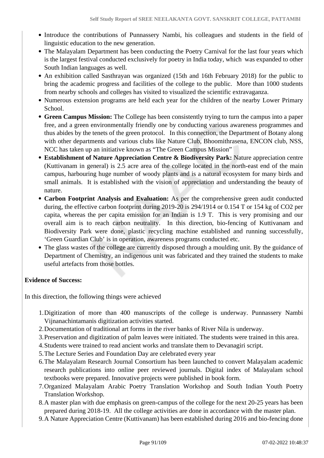- Introduce the contributions of Punnassery Nambi, his colleagues and students in the field of linguistic education to the new generation.
- The Malayalam Department has been conducting the Poetry Carnival for the last four years which is the largest festival conducted exclusively for poetry in India today, which was expanded to other South Indian languages as well.
- An exhibition called Sasthrayan was organized (15th and 16th February 2018) for the public to bring the academic progress and facilities of the college to the public. More than 1000 students from nearby schools and colleges has visited to visualized the scientific extravaganza.
- Numerous extension programs are held each year for the children of the nearby Lower Primary School.
- **Green Campus Mission:** The College has been consistently trying to turn the campus into a paper free, and a green environmentally friendly one by conducting various awareness programmes and thus abides by the tenets of the green protocol. In this connection, the Department of Botany along with other departments and various clubs like Nature Club, Bhoomithrasena, ENCON club, NSS, NCC has taken up an initiative known as "The Green Campus Mission"
- **Establishment of Nature Appreciation Centre & Biodiversity Park:** Nature appreciation centre (Kuttivanam in general) is 2.5 acre area of the college located in the north-east end of the main campus, harbouring huge number of woody plants and is a natural ecosystem for many birds and small animals. It is established with the vision of appreciation and understanding the beauty of nature.
- **Carbon Footprint Analysis and Evaluation:** As per the comprehensive green audit conducted during, the effective carbon footprint during 2019-20 is 294/1914 or 0.154 T or 154 kg of CO2 per capita, whereas the per capita emission for an Indian is 1.9 T. This is very promising and our overall aim is to reach carbon neutrality. In this direction, bio-fencing of Kuttivanam and Biodiversity Park were done, plastic recycling machine established and running successfully, 'Green Guardian Club' is in operation, awareness programs conducted etc.
- The glass wastes of the college are currently disposed through a moulding unit. By the guidance of Department of Chemistry, an indigenous unit was fabricated and they trained the students to make useful artefacts from those bottles.

## **Evidence of Success:**

In this direction, the following things were achieved

- 1.Digitization of more than 400 manuscripts of the college is underway. Punnassery Nambi Vijnanachintamanis digitization activities started.
- 2.Documentation of traditional art forms in the river banks of River Nila is underway.
- 3.Preservation and digitization of palm leaves were initiated. The students were trained in this area.
- 4.Students were trained to read ancient works and translate them to Devanagiri script.
- 5.The Lecture Series and Foundation Day are celebrated every year
- 6.The Malayalam Research Journal Consortium has been launched to convert Malayalam academic research publications into online peer reviewed journals. Digital index of Malayalam school textbooks were prepared. Innovative projects were published in book form.
- 7.Organized Malayalam Arabic Poetry Translation Workshop and South Indian Youth Poetry Translation Workshop.
- 8.A master plan with due emphasis on green-campus of the college for the next 20-25 years has been prepared during 2018-19. All the college activities are done in accordance with the master plan.
- 9.A Nature Appreciation Centre (Kuttivanam) has been established during 2016 and bio-fencing done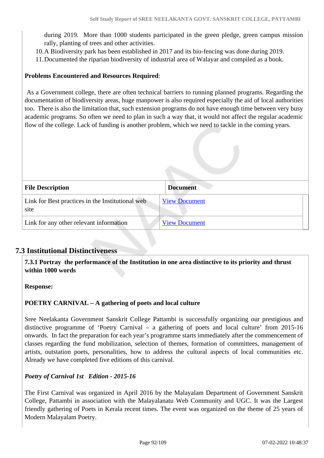during 2019. More than 1000 students participated in the green pledge, green campus mission rally, planting of trees and other activities.

- 10.A Biodiversity park has been established in 2017 and its bio-fencing was done during 2019.
- 11.Documented the riparian biodiversity of industrial area of Walayar and compiled as a book.

#### **Problems Encountered and Resources Required**:

 As a Government college, there are often technical barriers to running planned programs. Regarding the documentation of biodiversity areas, huge manpower is also required especially the aid of local authorities too. There is also the limitation that, such extension programs do not have enough time between very busy academic programs. So often we need to plan in such a way that, it would not affect the regular academic flow of the college. Lack of funding is another problem, which we need to tackle in the coming years.

| <b>File Description</b>                                  | <b>Document</b>      |  |
|----------------------------------------------------------|----------------------|--|
| Link for Best practices in the Institutional web<br>site | <b>View Document</b> |  |
| Link for any other relevant information                  | <b>View Document</b> |  |

## **7.3 Institutional Distinctiveness**

 **7.3.1 Portray the performance of the Institution in one area distinctive to its priority and thrust within 1000 words**

**Response:** 

## **POETRY CARNIVAL – A gathering of poets and local culture**

Sree Neelakanta Government Sanskrit College Pattambi is successfully organizing our prestigious and distinctive programme of 'Poetry Carnival – a gathering of poets and local culture' from 2015-16 onwards. In fact the preparation for each year's programme starts immediately after the commencement of classes regarding the fund mobilization, selection of themes, formation of committees, management of artists, outstation poets, personalities, how to address the cultural aspects of local communities etc. Already we have completed five editions of this carnival.

## *Poetry of Carnival 1st Edition - 2015-16*

The First Carnival was organized in April 2016 by the Malayalam Department of Government Sanskrit College, Pattambi in association with the Malayalanatu Web Community and UGC. It was the Largest friendly gathering of Poets in Kerala recent times. The event was organized on the theme of 25 years of Modern Malayalam Poetry.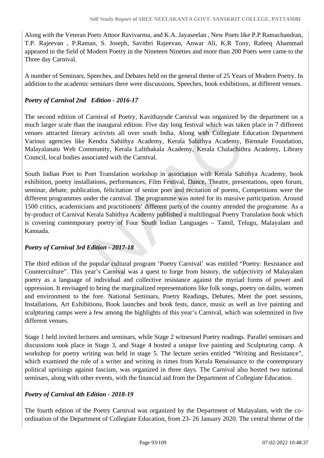Along with the Veteran Poets Attoor Ravivarma, and K.A. Jayaseelan , New Poets like P.P Ramachandran, T.P. Rajeevan , P.Raman, S. Joseph, Savithri Rajeevan, Anwar Ali, K.R Tony, Rafeeq Ahammad appeared in the field of Modern Poetry in the Nineteen Nineties and more than 200 Poets were came to the Three day Carnival.

A number of Seminars, Speeches, and Debates held on the general theme of 25 Years of Modern Poetry. In addition to the academic seminars there were discussions, Speeches, book exhibitions, at different venues.

## *Poetry of Carnival 2nd Edition - 2016-17*

The second edition of Carnival of Poetry, Kavithayude Carnival was organized by the department on a much larger scale than the inaugural edition. Five day long festival which was taken place in 7 different venues attracted literary activists all over south India. Along with Collegiate Education Department Various agencies like Kendra Sahithya Academy, Kerala Sahithya Academy, Biennale Foundation, Malayalanatu Web Community, Kerala Lalithakala Academy, Kerala Chalachithra Academy, Library Council, local bodies associated with the Carnival.

South Indian Poet to Poet Translation workshop in association with Kerala Sahithya Academy, book exhibition, poetry installations, performances, Film Festival, Dance, Theatre, presentations, open forum, seminar, debate, publication, felicitation of senior poet and recitation of poems, Competitions were the different programmes under the carnival. The programme was noted for its massive participation. Around 1500 critics, academicians and practitioners' different parts of the country attended the programme. As a by-product of Carnival Kerala Sahithya Academy published a multilingual Poetry Translation book which is covering contemporary poetry of Four South Indian Languages – Tamil, Telugu, Malayalam and Kannada.

## *Poetry of Carnival 3rd Edition - 2017-18*

The third edition of the popular cultural program 'Poetry Carnival' was entitled "Poetry: Resistance and Counterculture". This year's Carnival was a quest to forge from history, the subjectivity of Malayalam poetry as a language of individual and collective resistance against the myriad forms of power and oppression. It envisaged to bring the marginalized representations like folk songs, poetry on dalits, women and environment to the fore. National Seminars, Poetry Readings, Debates, Meet the poet sessions, Installations, Art Exhibitions, Book launches and book fests, dance, music as well as live painting and sculpturing camps were a few among the highlights of this year's Carnival, which was solemnized in five different venues.

Stage 1 held invited lectures and seminars, while Stage 2 witnessed Poetry readings. Parallel seminars and discussions took place in Stage 3, and Stage 4 hosted a unique live painting and Sculpturing camp. A workshop for poetry writing was held in stage 5. The lecture series entitled "Writing and Resistance", which examined the role of a writer and writing in times from Kerala Renaissance to the contemporary political uprisings against fascism, was organized in three days. The Carnival also hosted two national seminars, along with other events, with the financial aid from the Department of Collegiate Education.

## *Poetry of Carnival 4th Edition - 2018-19*

The fourth edition of the Poetry Carnival was organized by the Department of Malayalam, with the coordination of the Department of Collegiate Education, from 23- 26 January 2020. The central theme of the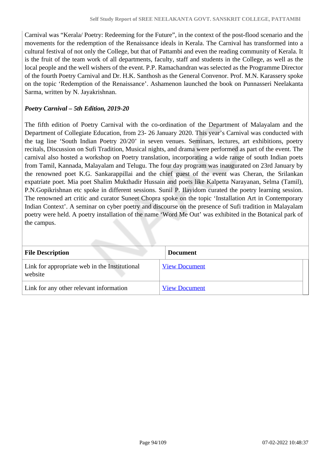Carnival was "Kerala/ Poetry: Redeeming for the Future", in the context of the post-flood scenario and the movements for the redemption of the Renaissance ideals in Kerala. The Carnival has transformed into a cultural festival of not only the College, but that of Pattambi and even the reading community of Kerala. It is the fruit of the team work of all departments, faculty, staff and students in the College, as well as the local people and the well wishers of the event. P.P. Ramachandran was selected as the Programme Director of the fourth Poetry Carnival and Dr. H.K. Santhosh as the General Convenor. Prof. M.N. Karassery spoke on the topic 'Redemption of the Renaissance'. Ashamenon launched the book on Punnasseri Neelakanta Sarma, written by N. Jayakrishnan.

#### *Poetry Carnival – 5th Edition, 2019-20*

The fifth edition of Poetry Carnival with the co-ordination of the Department of Malayalam and the Department of Collegiate Education, from 23- 26 January 2020. This year's Carnival was conducted with the tag line 'South Indian Poetry 20/20' in seven venues. Seminars, lectures, art exhibitions, poetry recitals, Discussion on Sufi Tradition, Musical nights, and drama were performed as part of the event. The carnival also hosted a workshop on Poetry translation, incorporating a wide range of south Indian poets from Tamil, Kannada, Malayalam and Telugu. The four day program was inaugurated on 23rd January by the renowned poet K.G. Sankarappillai and the chief guest of the event was Cheran, the Srilankan expatriate poet. Mia poet Shalim Mukthadir Hussain and poets like Kalpetta Narayanan, Selma (Tamil), P.N.Gopikrishnan etc spoke in different sessions. Sunil P. Ilayidom curated the poetry learning session. The renowned art critic and curator Suneet Chopra spoke on the topic 'Installation Art in Contemporary Indian Context'. A seminar on cyber poetry and discourse on the presence of Sufi tradition in Malayalam poetry were held. A poetry installation of the name 'Word Me Out' was exhibited in the Botanical park of the campus.

| <b>File Description</b>                                  | <b>Document</b>      |
|----------------------------------------------------------|----------------------|
| Link for appropriate web in the Institutional<br>website | <b>View Document</b> |
| Link for any other relevant information                  | <b>View Document</b> |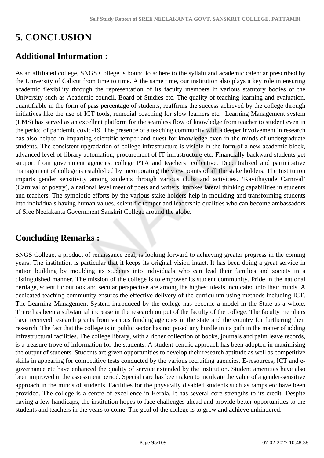# **5. CONCLUSION**

# **Additional Information :**

As an affiliated college, SNGS College is bound to adhere to the syllabi and academic calendar prescribed by the University of Calicut from time to time. A the same time, our institution also plays a key role in ensuring academic flexibility through the representation of its faculty members in various statutory bodies of the University such as Academic council, Board of Studies etc. The quality of teaching-learning and evaluation, quantifiable in the form of pass percentage of students, reaffirms the success achieved by the college through initiatives like the use of ICT tools, remedial coaching for slow learners etc. Learning Management system (LMS) has served as an excellent platform for the seamless flow of knowledge from teacher to student even in the period of pandemic covid-19. The presence of a teaching community with a deeper involvement in research has also helped in imparting scientific temper and quest for knowledge even in the minds of undergraduate students. The consistent upgradation of college infrastructure is visible in the form of a new academic block, advanced level of library automation, procurement of IT infrastructure etc. Financially backward students get support from government agencies, college PTA and teachers' collective. Decentralized and participative management of college is established by incorporating the view points of all the stake holders. The Institution imparts gender sensitivity among students through various clubs and activities. 'Kavithayude Carnival' (Carnival of poetry), a national level meet of poets and writers, invokes lateral thinking capabilities in students and teachers. The symbiotic efforts by the various stake holders help in moulding and transforming students into individuals having human values, scientific temper and leadership qualities who can become ambassadors of Sree Neelakanta Government Sanskrit College around the globe.

## **Concluding Remarks :**

SNGS College, a product of renaissance zeal, is looking forward to achieving greater progress in the coming years. The institution is particular that it keeps its original vision intact. It has been doing a great service in nation building by moulding its students into individuals who can lead their families and society in a distinguished manner. The mission of the college is to empower its student community. Pride in the national heritage, scientific outlook and secular perspective are among the highest ideals inculcated into their minds. A dedicated teaching community ensures the effective delivery of the curriculum using methods including ICT. The Learning Management System introduced by the college has become a model in the State as a whole. There has been a substantial increase in the research output of the faculty of the college. The faculty members have received research grants from various funding agencies in the state and the country for furthering their research. The fact that the college is in public sector has not posed any hurdle in its path in the matter of adding infrastructural facilities. The college library, with a richer collection of books, journals and palm leave records, is a treasure trove of information for the students. A student-centric approach has been adopted in maximising the output of students. Students are given opportunities to develop their research aptitude as well as competitive skills in appearing for competitive tests conducted by the various recruiting agencies. E-resources, ICT and egovernance etc have enhanced the quality of service extended by the institution. Student amenities have also been improved in the assessment period. Special care has been taken to inculcate the value of a gender-sensitive approach in the minds of students. Facilities for the physically disabled students such as ramps etc have been provided. The college is a centre of excellence in Kerala. It has several core strengths to its credit. Despite having a few handicaps, the institution hopes to face challenges ahead and provide better opportunities to the students and teachers in the years to come. The goal of the college is to grow and achieve unhindered.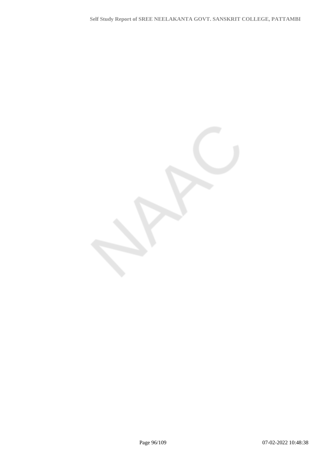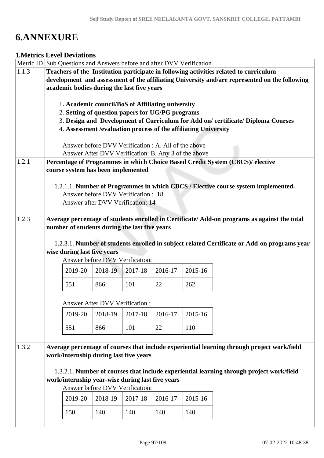# **6.ANNEXURE**

#### **1.Metrics Level Deviations**

|       |                                                      |         |         |         | Metric ID Sub Questions and Answers before and after DVV Verification |                                                                                               |
|-------|------------------------------------------------------|---------|---------|---------|-----------------------------------------------------------------------|-----------------------------------------------------------------------------------------------|
| 1.1.3 |                                                      |         |         |         |                                                                       | Teachers of the Institution participate in following activities related to curriculum         |
|       |                                                      |         |         |         |                                                                       | development and assessment of the affiliating University and/are represented on the following |
|       | academic bodies during the last five years           |         |         |         |                                                                       |                                                                                               |
|       |                                                      |         |         |         |                                                                       |                                                                                               |
|       | 1. Academic council/BoS of Affiliating university    |         |         |         |                                                                       |                                                                                               |
|       | 2. Setting of question papers for UG/PG programs     |         |         |         |                                                                       |                                                                                               |
|       |                                                      |         |         |         |                                                                       | 3. Design and Development of Curriculum for Add on/certificate/Diploma Courses                |
|       |                                                      |         |         |         | 4. Assessment / evaluation process of the affiliating University      |                                                                                               |
|       |                                                      |         |         |         |                                                                       |                                                                                               |
|       | Answer before DVV Verification : A. All of the above |         |         |         |                                                                       |                                                                                               |
|       | Answer After DVV Verification: B. Any 3 of the above |         |         |         |                                                                       |                                                                                               |
| 1.2.1 |                                                      |         |         |         |                                                                       | Percentage of Programmes in which Choice Based Credit System (CBCS)/ elective                 |
|       | course system has been implemented                   |         |         |         |                                                                       |                                                                                               |
|       |                                                      |         |         |         |                                                                       |                                                                                               |
|       |                                                      |         |         |         |                                                                       | 1.2.1.1. Number of Programmes in which CBCS / Elective course system implemented.             |
|       | Answer before DVV Verification: 18                   |         |         |         |                                                                       |                                                                                               |
|       | Answer after DVV Verification: 14                    |         |         |         |                                                                       |                                                                                               |
|       |                                                      |         |         |         |                                                                       |                                                                                               |
| 1.2.3 |                                                      |         |         |         |                                                                       | Average percentage of students enrolled in Certificate/ Add-on programs as against the total  |
|       | number of students during the last five years        |         |         |         |                                                                       |                                                                                               |
|       |                                                      |         |         |         |                                                                       |                                                                                               |
|       |                                                      |         |         |         |                                                                       | 1.2.3.1. Number of students enrolled in subject related Certificate or Add-on programs year   |
|       | wise during last five years                          |         |         |         |                                                                       |                                                                                               |
|       | Answer before DVV Verification:                      |         |         |         |                                                                       |                                                                                               |
|       | 2019-20                                              | 2018-19 | 2017-18 | 2016-17 | 2015-16                                                               |                                                                                               |
|       | 551                                                  | 866     | 101     | 22      | 262                                                                   |                                                                                               |
|       |                                                      |         |         |         |                                                                       |                                                                                               |
|       |                                                      |         |         |         |                                                                       |                                                                                               |
|       | <b>Answer After DVV Verification:</b>                |         |         |         |                                                                       |                                                                                               |
|       | 2019-20                                              | 2018-19 | 2017-18 | 2016-17 | 2015-16                                                               |                                                                                               |
|       |                                                      |         |         |         |                                                                       |                                                                                               |
|       | 551                                                  | 866     | 101     | 22      | 110                                                                   |                                                                                               |
|       |                                                      |         |         |         |                                                                       |                                                                                               |
| 1.3.2 |                                                      |         |         |         |                                                                       | Average percentage of courses that include experiential learning through project work/field   |
|       | work/internship during last five years               |         |         |         |                                                                       |                                                                                               |
|       |                                                      |         |         |         |                                                                       |                                                                                               |
|       |                                                      |         |         |         |                                                                       | 1.3.2.1. Number of courses that include experiential learning through project work/field      |
|       | work/internship year-wise during last five years     |         |         |         |                                                                       |                                                                                               |
|       | Answer before DVV Verification:                      |         |         |         |                                                                       |                                                                                               |
|       | 2019-20                                              | 2018-19 | 2017-18 | 2016-17 | 2015-16                                                               |                                                                                               |
|       |                                                      |         |         |         |                                                                       |                                                                                               |
|       | 150                                                  | 140     | 140     | 140     | 140                                                                   |                                                                                               |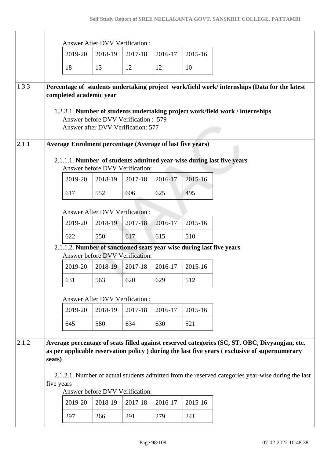|            |                                                                                                                                                                                                          | <b>Answer After DVV Verification:</b>                                      |         |         |         |
|------------|----------------------------------------------------------------------------------------------------------------------------------------------------------------------------------------------------------|----------------------------------------------------------------------------|---------|---------|---------|
|            | 2019-20                                                                                                                                                                                                  | 2018-19                                                                    | 2017-18 | 2016-17 | 2015-16 |
|            | 18                                                                                                                                                                                                       | 13                                                                         | 12      | 12      | 10      |
|            | Percentage of students undertaking project work/field work/ internships (Data for the latest<br>completed academic year<br>1.3.3.1. Number of students undertaking project work/field work / internships | Answer before DVV Verification : 579<br>Answer after DVV Verification: 577 |         |         |         |
|            | <b>Average Enrolment percentage (Average of last five years)</b>                                                                                                                                         |                                                                            |         |         |         |
|            | 2.1.1.1. Number of students admitted year-wise during last five years                                                                                                                                    | Answer before DVV Verification:                                            |         |         |         |
|            | 2019-20                                                                                                                                                                                                  | 2018-19                                                                    | 2017-18 | 2016-17 | 2015-16 |
|            | 617                                                                                                                                                                                                      | 552                                                                        | 606     | 625     | 495     |
|            |                                                                                                                                                                                                          | <b>Answer After DVV Verification:</b>                                      |         |         |         |
|            | 2019-20                                                                                                                                                                                                  | 2018-19                                                                    | 2017-18 | 2016-17 | 2015-16 |
|            | 622                                                                                                                                                                                                      | 550                                                                        | 617     | 615     | 510     |
|            | 2.1.1.2. Number of sanctioned seats year wise during last five years                                                                                                                                     |                                                                            |         |         |         |
|            |                                                                                                                                                                                                          | Answer before DVV Verification:                                            |         |         |         |
|            | 2019-20                                                                                                                                                                                                  | 2018-19                                                                    | 2017-18 | 2016-17 | 2015-16 |
|            | 631                                                                                                                                                                                                      | 563                                                                        | 620     | 629     | 512     |
|            |                                                                                                                                                                                                          | <b>Answer After DVV Verification:</b>                                      |         |         |         |
|            | 2019-20                                                                                                                                                                                                  | 2018-19                                                                    | 2017-18 | 2016-17 | 2015-16 |
|            | 645                                                                                                                                                                                                      | 580                                                                        | 634     | 630     | 521     |
|            |                                                                                                                                                                                                          |                                                                            |         |         |         |
| seats)     | Average percentage of seats filled against reserved categories (SC, ST, OBC, Divyangjan, etc.<br>as per applicable reservation policy ) during the last five years (exclusive of supernumerary           |                                                                            |         |         |         |
| five years | 2.1.2.1. Number of actual students admitted from the reserved categories year-wise during the last                                                                                                       | Answer before DVV Verification:                                            |         |         |         |
|            |                                                                                                                                                                                                          |                                                                            |         |         |         |
|            | 2019-20                                                                                                                                                                                                  | 2018-19                                                                    | 2017-18 | 2016-17 | 2015-16 |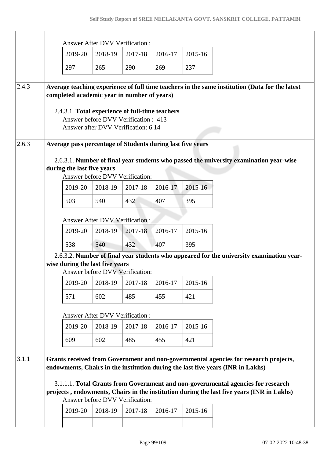|       |                            | <b>Answer After DVV Verification:</b> |                                                                                        |         |                                                                                                                                                                               |
|-------|----------------------------|---------------------------------------|----------------------------------------------------------------------------------------|---------|-------------------------------------------------------------------------------------------------------------------------------------------------------------------------------|
|       | 2019-20                    | 2018-19                               | 2017-18                                                                                | 2016-17 | 2015-16                                                                                                                                                                       |
|       | 297                        | 265                                   | 290                                                                                    | 269     | 237                                                                                                                                                                           |
| 2.4.3 |                            |                                       | completed academic year in number of years)                                            |         | Average teaching experience of full time teachers in the same institution (Data for the latest                                                                                |
|       |                            |                                       | 2.4.3.1. Total experience of full-time teachers<br>Answer before DVV Verification: 413 |         |                                                                                                                                                                               |
|       |                            |                                       | Answer after DVV Verification: 6.14                                                    |         |                                                                                                                                                                               |
| 2.6.3 |                            |                                       | Average pass percentage of Students during last five years                             |         |                                                                                                                                                                               |
|       | during the last five years |                                       | Answer before DVV Verification:                                                        |         | 2.6.3.1. Number of final year students who passed the university examination year-wise                                                                                        |
|       | 2019-20                    | 2018-19                               | 2017-18                                                                                | 2016-17 | 2015-16                                                                                                                                                                       |
|       | 503                        | 540                                   | 432                                                                                    | 407     | 395                                                                                                                                                                           |
|       |                            | Answer After DVV Verification :       |                                                                                        |         |                                                                                                                                                                               |
|       | 2019-20                    | 2018-19                               | 2017-18                                                                                | 2016-17 | 2015-16                                                                                                                                                                       |
|       | 538                        | 540                                   | 432                                                                                    | 407     | 395                                                                                                                                                                           |
|       |                            |                                       |                                                                                        |         | 2.6.3.2. Number of final year students who appeared for the university examination year-                                                                                      |
|       |                            | wise during the last five years       | Answer before DVV Verification:                                                        |         |                                                                                                                                                                               |
|       | 2019-20                    | 2018-19                               | 2017-18                                                                                | 2016-17 | 2015-16                                                                                                                                                                       |
|       | 571                        | 602                                   | 485                                                                                    | 455     | 421                                                                                                                                                                           |
|       |                            | Answer After DVV Verification :       |                                                                                        |         |                                                                                                                                                                               |
|       | 2019-20                    | 2018-19                               | 2017-18                                                                                | 2016-17 | 2015-16                                                                                                                                                                       |
|       | 609                        | 602                                   | 485                                                                                    | 455     | 421                                                                                                                                                                           |
|       |                            |                                       |                                                                                        |         |                                                                                                                                                                               |
| 3.1.1 |                            |                                       |                                                                                        |         | Grants received from Government and non-governmental agencies for research projects,<br>endowments, Chairs in the institution during the last five years (INR in Lakhs)       |
|       |                            |                                       | Answer before DVV Verification:                                                        |         | 3.1.1.1. Total Grants from Government and non-governmental agencies for research<br>projects, endowments, Chairs in the institution during the last five years (INR in Lakhs) |
|       | 2019-20                    | 2018-19                               | 2017-18                                                                                | 2016-17 | 2015-16                                                                                                                                                                       |
|       |                            |                                       |                                                                                        |         |                                                                                                                                                                               |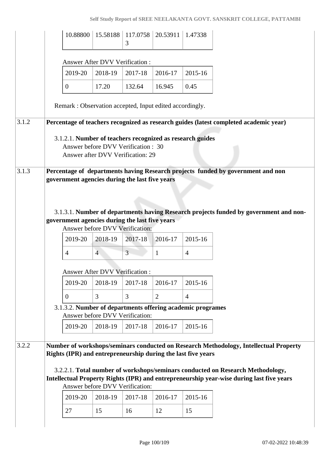|       | 10.88800                                                                                                                              |                | $\mid$ 15.58188 $\mid$ 117.0758 $\mid$ 20.53911 $\mid$ 1.47338<br>3 |                |                |                                                                                                                                                                            |
|-------|---------------------------------------------------------------------------------------------------------------------------------------|----------------|---------------------------------------------------------------------|----------------|----------------|----------------------------------------------------------------------------------------------------------------------------------------------------------------------------|
|       | <b>Answer After DVV Verification:</b>                                                                                                 |                |                                                                     |                |                |                                                                                                                                                                            |
|       | 2019-20                                                                                                                               | 2018-19        | 2017-18                                                             | 2016-17        | 2015-16        |                                                                                                                                                                            |
|       | $\mathbf{0}$                                                                                                                          | 17.20          | 132.64                                                              | 16.945         | 0.45           |                                                                                                                                                                            |
|       | Remark: Observation accepted, Input edited accordingly.                                                                               |                |                                                                     |                |                |                                                                                                                                                                            |
| 3.1.2 |                                                                                                                                       |                |                                                                     |                |                | Percentage of teachers recognized as research guides (latest completed academic year)                                                                                      |
|       | 3.1.2.1. Number of teachers recognized as research guides<br>Answer before DVV Verification : 30<br>Answer after DVV Verification: 29 |                |                                                                     |                |                |                                                                                                                                                                            |
| 3.1.3 | government agencies during the last five years                                                                                        |                |                                                                     |                |                | Percentage of departments having Research projects funded by government and non                                                                                            |
|       |                                                                                                                                       |                |                                                                     |                |                |                                                                                                                                                                            |
|       |                                                                                                                                       |                |                                                                     |                |                |                                                                                                                                                                            |
|       | government agencies during the last five years                                                                                        |                |                                                                     |                |                | 3.1.3.1. Number of departments having Research projects funded by government and non-                                                                                      |
|       | Answer before DVV Verification:                                                                                                       |                |                                                                     |                |                |                                                                                                                                                                            |
|       | 2019-20                                                                                                                               | 2018-19        | 2017-18                                                             | 2016-17        | 2015-16        |                                                                                                                                                                            |
|       | $\overline{4}$                                                                                                                        | $\overline{4}$ | $\overline{3}$                                                      | 1              | $\overline{4}$ |                                                                                                                                                                            |
|       | <b>Answer After DVV Verification:</b>                                                                                                 |                |                                                                     |                |                |                                                                                                                                                                            |
|       | 2019-20                                                                                                                               | 2018-19        | 2017-18                                                             | 2016-17        | 2015-16        |                                                                                                                                                                            |
|       | $\theta$                                                                                                                              | 3              | 3                                                                   | $\overline{2}$ | $\overline{4}$ |                                                                                                                                                                            |
|       | 3.1.3.2. Number of departments offering academic programes                                                                            |                | Answer before DVV Verification:                                     |                |                |                                                                                                                                                                            |
|       | 2019-20                                                                                                                               | 2018-19        | 2017-18                                                             | 2016-17        | 2015-16        |                                                                                                                                                                            |
| 3.2.2 | Rights (IPR) and entrepreneurship during the last five years                                                                          |                |                                                                     |                |                | Number of workshops/seminars conducted on Research Methodology, Intellectual Property                                                                                      |
|       |                                                                                                                                       |                | Answer before DVV Verification:                                     |                |                | 3.2.2.1. Total number of workshops/seminars conducted on Research Methodology,<br>Intellectual Property Rights (IPR) and entrepreneurship year-wise during last five years |
|       | 2019-20                                                                                                                               | 2018-19        | 2017-18                                                             | 2016-17        | 2015-16        |                                                                                                                                                                            |
|       | 27                                                                                                                                    | 15             | 16                                                                  | 12             | 15             |                                                                                                                                                                            |
|       |                                                                                                                                       |                |                                                                     |                |                |                                                                                                                                                                            |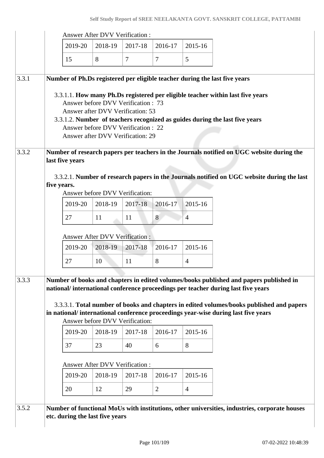|                |             |                                                                                                                                                                                                                                                                                                                                                                                                                                                           | <b>Answer After DVV Verification:</b>                                                                                                               |         |                |                |  |  |  |  |  |
|----------------|-------------|-----------------------------------------------------------------------------------------------------------------------------------------------------------------------------------------------------------------------------------------------------------------------------------------------------------------------------------------------------------------------------------------------------------------------------------------------------------|-----------------------------------------------------------------------------------------------------------------------------------------------------|---------|----------------|----------------|--|--|--|--|--|
|                |             | 2019-20                                                                                                                                                                                                                                                                                                                                                                                                                                                   | 2018-19                                                                                                                                             | 2017-18 | 2016-17        | 2015-16        |  |  |  |  |  |
|                |             | 15                                                                                                                                                                                                                                                                                                                                                                                                                                                        | 8                                                                                                                                                   | $\tau$  | $\overline{7}$ | 5              |  |  |  |  |  |
| 3.3.1<br>3.3.2 |             | Number of Ph.Ds registered per eligible teacher during the last five years<br>3.3.1.1. How many Ph.Ds registered per eligible teacher within last five years<br>3.3.1.2. Number of teachers recognized as guides during the last five years<br>Number of research papers per teachers in the Journals notified on UGC website during the<br>last five years<br>3.3.2.1. Number of research papers in the Journals notified on UGC website during the last | Answer before DVV Verification: 73<br>Answer after DVV Verification: 53<br>Answer before DVV Verification : 22<br>Answer after DVV Verification: 29 |         |                |                |  |  |  |  |  |
|                | five years. |                                                                                                                                                                                                                                                                                                                                                                                                                                                           | Answer before DVV Verification:                                                                                                                     |         |                |                |  |  |  |  |  |
|                |             | 2019-20                                                                                                                                                                                                                                                                                                                                                                                                                                                   | 2018-19                                                                                                                                             | 2017-18 | 2016-17        | 2015-16        |  |  |  |  |  |
|                |             | 27                                                                                                                                                                                                                                                                                                                                                                                                                                                        | 11                                                                                                                                                  | 11      | 8              | $\overline{4}$ |  |  |  |  |  |
|                |             | Answer After DVV Verification :                                                                                                                                                                                                                                                                                                                                                                                                                           |                                                                                                                                                     |         |                |                |  |  |  |  |  |
|                |             | 2019-20                                                                                                                                                                                                                                                                                                                                                                                                                                                   | 2018-19                                                                                                                                             | 2017-18 | 2016-17        | 2015-16        |  |  |  |  |  |
|                |             |                                                                                                                                                                                                                                                                                                                                                                                                                                                           |                                                                                                                                                     | 11      | 8              | $\overline{4}$ |  |  |  |  |  |
|                |             | 27                                                                                                                                                                                                                                                                                                                                                                                                                                                        | 10                                                                                                                                                  |         |                |                |  |  |  |  |  |
| 3.3.3          |             | Number of books and chapters in edited volumes/books published and papers published in<br>national/international conference proceedings per teacher during last five years<br>3.3.3.1. Total number of books and chapters in edited volumes/books published and papers<br>in national/international conference proceedings year-wise during last five years                                                                                               | Answer before DVV Verification:                                                                                                                     |         |                |                |  |  |  |  |  |
|                |             | 2019-20                                                                                                                                                                                                                                                                                                                                                                                                                                                   | 2018-19                                                                                                                                             | 2017-18 | 2016-17        | 2015-16        |  |  |  |  |  |
|                |             | 37                                                                                                                                                                                                                                                                                                                                                                                                                                                        | 23                                                                                                                                                  | 40      | 6              | 8              |  |  |  |  |  |
|                |             |                                                                                                                                                                                                                                                                                                                                                                                                                                                           | <b>Answer After DVV Verification:</b>                                                                                                               |         |                |                |  |  |  |  |  |
|                |             | 2019-20                                                                                                                                                                                                                                                                                                                                                                                                                                                   | 2018-19                                                                                                                                             | 2017-18 | 2016-17        | 2015-16        |  |  |  |  |  |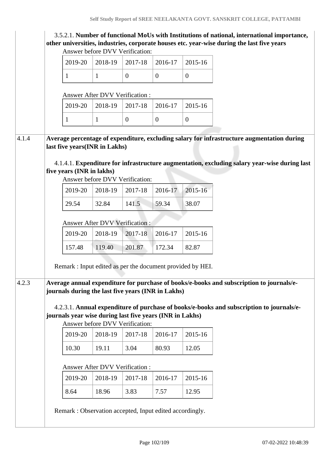|       |                                                                                                                |                                                      |                   |                   |                  | 3.5.2.1. Number of functional MoUs with Institutions of national, international importance,<br>other universities, industries, corporate houses etc. year-wise during the last five years  |  |
|-------|----------------------------------------------------------------------------------------------------------------|------------------------------------------------------|-------------------|-------------------|------------------|--------------------------------------------------------------------------------------------------------------------------------------------------------------------------------------------|--|
|       | 2019-20                                                                                                        | Answer before DVV Verification:<br>2018-19           | 2017-18           | 2016-17           | 2015-16          |                                                                                                                                                                                            |  |
|       | 1                                                                                                              | $\mathbf{1}$                                         | $\mathbf{0}$      | $\overline{0}$    | $\overline{0}$   |                                                                                                                                                                                            |  |
|       |                                                                                                                | Answer After DVV Verification:                       |                   |                   |                  |                                                                                                                                                                                            |  |
|       | 2019-20                                                                                                        | 2018-19                                              | 2017-18           | 2016-17           | 2015-16          |                                                                                                                                                                                            |  |
|       | 1                                                                                                              | $\mathbf{1}$                                         | $\overline{0}$    | $\mathbf{0}$      | $\mathbf{0}$     |                                                                                                                                                                                            |  |
| 4.1.4 | last five years(INR in Lakhs)<br>five years (INR in lakhs)                                                     |                                                      |                   |                   |                  | Average percentage of expenditure, excluding salary for infrastructure augmentation during<br>4.1.4.1. Expenditure for infrastructure augmentation, excluding salary year-wise during last |  |
|       | 2019-20                                                                                                        | Answer before DVV Verification:<br>2018-19           | 2017-18           | 2016-17           | 2015-16          |                                                                                                                                                                                            |  |
|       | 29.54                                                                                                          | 32.84                                                | 141.5             | 59.34             | 38.07            |                                                                                                                                                                                            |  |
|       | 2019-20<br>157.48<br>Remark : Input edited as per the document provided by HEI.                                | Answer After DVV Verification :<br>2018-19<br>119.40 | 2017-18<br>201.87 | 2016-17<br>172.34 | 2015-16<br>82.87 |                                                                                                                                                                                            |  |
| 4.2.3 | journals during the last five years (INR in Lakhs)<br>journals year wise during last five years (INR in Lakhs) | Answer before DVV Verification:                      |                   |                   |                  | Average annual expenditure for purchase of books/e-books and subscription to journals/e-<br>4.2.3.1. Annual expenditure of purchase of books/e-books and subscription to journals/e-       |  |
|       | 2019-20                                                                                                        | 2018-19                                              | 2017-18           | 2016-17           | 2015-16          |                                                                                                                                                                                            |  |
|       |                                                                                                                |                                                      |                   |                   |                  |                                                                                                                                                                                            |  |
|       | 10.30                                                                                                          | 19.11                                                | 3.04              | 80.93             | 12.05            |                                                                                                                                                                                            |  |
|       |                                                                                                                | Answer After DVV Verification:                       |                   |                   |                  |                                                                                                                                                                                            |  |
|       | 2019-20                                                                                                        | 2018-19                                              | 2017-18           | 2016-17           | 2015-16          |                                                                                                                                                                                            |  |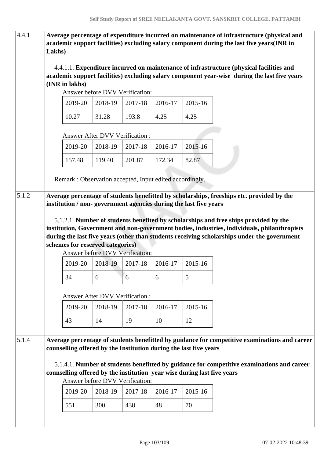| 4.4.1 | Lakhs)                                                                                 | Average percentage of expenditure incurred on maintenance of infrastructure (physical and<br>academic support facilities) excluding salary component during the last five years(INR in |         |         |         |                                                                                                                                                                                                                                                                                    |  |  |  |  |
|-------|----------------------------------------------------------------------------------------|----------------------------------------------------------------------------------------------------------------------------------------------------------------------------------------|---------|---------|---------|------------------------------------------------------------------------------------------------------------------------------------------------------------------------------------------------------------------------------------------------------------------------------------|--|--|--|--|
|       | (INR in lakhs)                                                                         |                                                                                                                                                                                        |         |         |         | 4.4.1.1. Expenditure incurred on maintenance of infrastructure (physical facilities and<br>academic support facilities) excluding salary component year-wise during the last five years                                                                                            |  |  |  |  |
|       | Answer before DVV Verification:<br>2019-20<br>2018-19<br>2016-17<br>2015-16<br>2017-18 |                                                                                                                                                                                        |         |         |         |                                                                                                                                                                                                                                                                                    |  |  |  |  |
|       |                                                                                        |                                                                                                                                                                                        |         |         |         |                                                                                                                                                                                                                                                                                    |  |  |  |  |
|       | 10.27                                                                                  | 31.28                                                                                                                                                                                  | 193.8   | 4.25    | 4.25    |                                                                                                                                                                                                                                                                                    |  |  |  |  |
|       |                                                                                        | Answer After DVV Verification:                                                                                                                                                         |         |         |         |                                                                                                                                                                                                                                                                                    |  |  |  |  |
|       | 2019-20                                                                                | 2018-19                                                                                                                                                                                | 2017-18 | 2016-17 | 2015-16 |                                                                                                                                                                                                                                                                                    |  |  |  |  |
|       | 157.48                                                                                 | 119.40                                                                                                                                                                                 | 201.87  | 172.34  | 82.87   |                                                                                                                                                                                                                                                                                    |  |  |  |  |
|       |                                                                                        | Remark: Observation accepted, Input edited accordingly.                                                                                                                                |         |         |         |                                                                                                                                                                                                                                                                                    |  |  |  |  |
| 5.1.2 |                                                                                        | institution / non-government agencies during the last five years                                                                                                                       |         |         |         | Average percentage of students benefitted by scholarships, freeships etc. provided by the                                                                                                                                                                                          |  |  |  |  |
|       |                                                                                        | schemes for reserved categories)<br>Answer before DVV Verification:                                                                                                                    |         |         |         | 5.1.2.1. Number of students benefited by scholarships and free ships provided by the<br>institution, Government and non-government bodies, industries, individuals, philanthropists<br>during the last five years (other than students receiving scholarships under the government |  |  |  |  |
|       | 2019-20                                                                                | 2018-19                                                                                                                                                                                | 2017-18 | 2016-17 | 2015-16 |                                                                                                                                                                                                                                                                                    |  |  |  |  |
|       | 34                                                                                     | 6                                                                                                                                                                                      | 6       | 6       | 5       |                                                                                                                                                                                                                                                                                    |  |  |  |  |
|       |                                                                                        | <b>Answer After DVV Verification:</b>                                                                                                                                                  |         |         |         |                                                                                                                                                                                                                                                                                    |  |  |  |  |
|       | 2019-20                                                                                | 2018-19                                                                                                                                                                                | 2017-18 | 2016-17 | 2015-16 |                                                                                                                                                                                                                                                                                    |  |  |  |  |
|       | 43                                                                                     | 14                                                                                                                                                                                     | 19      | 10      | 12      |                                                                                                                                                                                                                                                                                    |  |  |  |  |
| 5.1.4 |                                                                                        | counselling offered by the Institution during the last five years                                                                                                                      |         |         |         | Average percentage of students benefitted by guidance for competitive examinations and career                                                                                                                                                                                      |  |  |  |  |
|       |                                                                                        | counselling offered by the institution year wise during last five years                                                                                                                |         |         |         |                                                                                                                                                                                                                                                                                    |  |  |  |  |
|       | 2019-20                                                                                | 2018-19                                                                                                                                                                                | 2017-18 | 2016-17 | 2015-16 |                                                                                                                                                                                                                                                                                    |  |  |  |  |
|       | 551                                                                                    | 300                                                                                                                                                                                    | 438     | 48      | 70      |                                                                                                                                                                                                                                                                                    |  |  |  |  |
|       |                                                                                        | Answer before DVV Verification:                                                                                                                                                        |         |         |         | 5.1.4.1. Number of students benefitted by guidance for competitive examinations and career                                                                                                                                                                                         |  |  |  |  |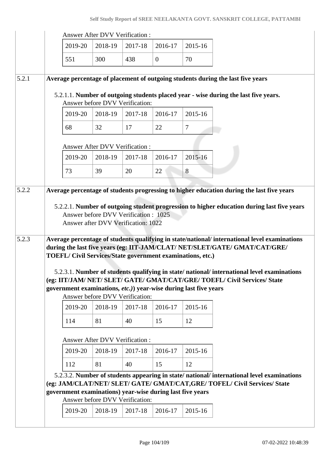|       |                                                                                                                                     | <b>Answer After DVV Verification:</b>                                       |         |                |                |                                                                                                                                                                                                                                                                                                                                                       |
|-------|-------------------------------------------------------------------------------------------------------------------------------------|-----------------------------------------------------------------------------|---------|----------------|----------------|-------------------------------------------------------------------------------------------------------------------------------------------------------------------------------------------------------------------------------------------------------------------------------------------------------------------------------------------------------|
|       | 2019-20                                                                                                                             | 2018-19                                                                     | 2017-18 | 2016-17        | 2015-16        |                                                                                                                                                                                                                                                                                                                                                       |
|       | 551                                                                                                                                 | 300                                                                         | 438     | $\overline{0}$ | 70             |                                                                                                                                                                                                                                                                                                                                                       |
| 5.2.1 |                                                                                                                                     | Answer before DVV Verification:                                             |         |                |                | Average percentage of placement of outgoing students during the last five years<br>5.2.1.1. Number of outgoing students placed year - wise during the last five years.                                                                                                                                                                                |
|       | 2019-20                                                                                                                             | 2018-19                                                                     | 2017-18 | 2016-17        | 2015-16        |                                                                                                                                                                                                                                                                                                                                                       |
|       | 68                                                                                                                                  | 32                                                                          | 17      | 22             | $\overline{7}$ |                                                                                                                                                                                                                                                                                                                                                       |
|       |                                                                                                                                     | Answer After DVV Verification :                                             |         |                |                |                                                                                                                                                                                                                                                                                                                                                       |
|       | 2019-20                                                                                                                             | 2018-19                                                                     | 2017-18 | 2016-17        | 2015-16        |                                                                                                                                                                                                                                                                                                                                                       |
|       | 73                                                                                                                                  | 39                                                                          | 20      | 22             | 8              |                                                                                                                                                                                                                                                                                                                                                       |
|       |                                                                                                                                     | Answer before DVV Verification: 1025<br>Answer after DVV Verification: 1022 |         |                |                | 5.2.2.1. Number of outgoing student progression to higher education during last five years                                                                                                                                                                                                                                                            |
| 5.2.3 |                                                                                                                                     |                                                                             |         |                |                |                                                                                                                                                                                                                                                                                                                                                       |
|       | <b>TOEFL/Civil Services/State government examinations, etc.)</b><br>government examinations, etc.) year-wise during last five years | Answer before DVV Verification:                                             |         |                |                | Average percentage of students qualifying in state/national/ international level examinations<br>during the last five years (eg: IIT-JAM/CLAT/ NET/SLET/GATE/ GMAT/CAT/GRE/<br>5.2.3.1. Number of students qualifying in state/national/international level examinations<br>(eg: IIT/JAM/ NET/ SLET/ GATE/ GMAT/CAT/GRE/ TOEFL/ Civil Services/ State |
|       | 2019-20                                                                                                                             | 2018-19                                                                     | 2017-18 | 2016-17        | 2015-16        |                                                                                                                                                                                                                                                                                                                                                       |
|       | 114                                                                                                                                 | 81                                                                          | 40      | 15             | 12             |                                                                                                                                                                                                                                                                                                                                                       |
|       |                                                                                                                                     | <b>Answer After DVV Verification:</b>                                       |         |                |                |                                                                                                                                                                                                                                                                                                                                                       |
|       | 2019-20                                                                                                                             | 2018-19                                                                     | 2017-18 | 2016-17        | 2015-16        |                                                                                                                                                                                                                                                                                                                                                       |
|       | 112                                                                                                                                 | 81                                                                          | 40      | 15             | 12             |                                                                                                                                                                                                                                                                                                                                                       |
|       | government examinations) year-wise during last five years                                                                           |                                                                             |         |                |                | 5.2.3.2. Number of students appearing in state/national/international level examinations<br>(eg: JAM/CLAT/NET/ SLET/ GATE/ GMAT/CAT, GRE/ TOFEL/ Civil Services/ State                                                                                                                                                                                |
|       | 2019-20                                                                                                                             | Answer before DVV Verification:<br>2018-19                                  | 2017-18 | 2016-17        | 2015-16        |                                                                                                                                                                                                                                                                                                                                                       |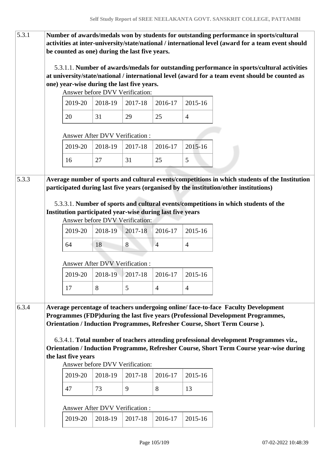| 5.3.1 | be counted as one) during the last five years.            |                                            |                     |                |                | Number of awards/medals won by students for outstanding performance in sports/cultural<br>activities at inter-university/state/national / international level (award for a team event should                                                        |
|-------|-----------------------------------------------------------|--------------------------------------------|---------------------|----------------|----------------|-----------------------------------------------------------------------------------------------------------------------------------------------------------------------------------------------------------------------------------------------------|
|       | one) year-wise during the last five years.                | Answer before DVV Verification:            |                     |                |                | 5.3.1.1. Number of awards/medals for outstanding performance in sports/cultural activities<br>at university/state/national / international level (award for a team event should be counted as                                                       |
|       | 2019-20                                                   | 2018-19                                    | 2017-18             | 2016-17        | 2015-16        |                                                                                                                                                                                                                                                     |
|       | 20                                                        | 31                                         | 29                  | 25             | $\overline{4}$ |                                                                                                                                                                                                                                                     |
|       |                                                           | <b>Answer After DVV Verification:</b>      |                     |                |                |                                                                                                                                                                                                                                                     |
|       | 2019-20                                                   | 2018-19                                    | 2017-18             | 2016-17        | 2015-16        |                                                                                                                                                                                                                                                     |
|       | 16                                                        | 27                                         | 31                  | 25             | 5              |                                                                                                                                                                                                                                                     |
| 5.3.3 |                                                           |                                            |                     |                |                | Average number of sports and cultural events/competitions in which students of the Institution<br>participated during last five years (organised by the institution/other institutions)                                                             |
|       | Institution participated year-wise during last five years | Answer before DVV Verification:            |                     |                |                | 5.3.3.1. Number of sports and cultural events/competitions in which students of the                                                                                                                                                                 |
|       | 2019-20                                                   | 2018-19                                    | 2017-18             | 2016-17        | 2015-16        |                                                                                                                                                                                                                                                     |
|       | 64                                                        | 18                                         | 8                   | $\overline{4}$ | 4              |                                                                                                                                                                                                                                                     |
|       |                                                           | <b>Answer After DVV Verification:</b>      |                     |                |                |                                                                                                                                                                                                                                                     |
|       | 2019-20                                                   |                                            | $2018-19$   2017-18 | 2016-17        | 2015-16        |                                                                                                                                                                                                                                                     |
|       | 17                                                        | 8                                          | 5                   | $\overline{4}$ | $\overline{4}$ |                                                                                                                                                                                                                                                     |
| 6.3.4 |                                                           |                                            |                     |                |                | Average percentage of teachers undergoing online/face-to-face Faculty Development<br>Programmes (FDP) during the last five years (Professional Development Programmes,<br>Orientation / Induction Programmes, Refresher Course, Short Term Course). |
|       | the last five years                                       |                                            |                     |                |                | 6.3.4.1. Total number of teachers attending professional development Programmes viz.,<br>Orientation / Induction Programme, Refresher Course, Short Term Course year-wise during                                                                    |
|       | 2019-20                                                   | Answer before DVV Verification:<br>2018-19 | 2017-18             | 2016-17        | 2015-16        |                                                                                                                                                                                                                                                     |
|       | 47                                                        | 73                                         | 9                   | 8              | 13             |                                                                                                                                                                                                                                                     |
|       |                                                           |                                            |                     |                |                |                                                                                                                                                                                                                                                     |
|       | 2019-20                                                   | Answer After DVV Verification :<br>2018-19 | 2017-18             | 2016-17        | 2015-16        |                                                                                                                                                                                                                                                     |
|       |                                                           |                                            |                     |                |                |                                                                                                                                                                                                                                                     |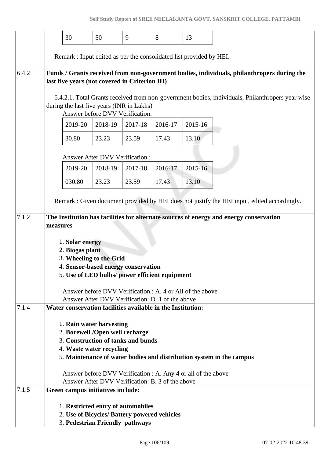|       | 30                                                                                                                                                                                                                                                                                                                                    | 50                                                                                                                                                                                                                                | 9       | 8       | 13      |                                                                                            |  |  |  |  |
|-------|---------------------------------------------------------------------------------------------------------------------------------------------------------------------------------------------------------------------------------------------------------------------------------------------------------------------------------------|-----------------------------------------------------------------------------------------------------------------------------------------------------------------------------------------------------------------------------------|---------|---------|---------|--------------------------------------------------------------------------------------------|--|--|--|--|
|       | Remark : Input edited as per the consolidated list provided by HEI.                                                                                                                                                                                                                                                                   |                                                                                                                                                                                                                                   |         |         |         |                                                                                            |  |  |  |  |
| 6.4.2 | Funds / Grants received from non-government bodies, individuals, philanthropers during the<br>last five years (not covered in Criterion III)                                                                                                                                                                                          |                                                                                                                                                                                                                                   |         |         |         |                                                                                            |  |  |  |  |
|       | 6.4.2.1. Total Grants received from non-government bodies, individuals, Philanthropers year wise<br>during the last five years (INR in Lakhs)<br>Answer before DVV Verification:                                                                                                                                                      |                                                                                                                                                                                                                                   |         |         |         |                                                                                            |  |  |  |  |
|       | 2019-20                                                                                                                                                                                                                                                                                                                               | 2018-19                                                                                                                                                                                                                           | 2017-18 | 2016-17 | 2015-16 |                                                                                            |  |  |  |  |
|       | 30.80                                                                                                                                                                                                                                                                                                                                 | 23.23                                                                                                                                                                                                                             | 23.59   | 17.43   | 13.10   |                                                                                            |  |  |  |  |
|       |                                                                                                                                                                                                                                                                                                                                       |                                                                                                                                                                                                                                   |         |         |         |                                                                                            |  |  |  |  |
|       | 2019-20                                                                                                                                                                                                                                                                                                                               | <b>Answer After DVV Verification:</b><br>2018-19                                                                                                                                                                                  | 2017-18 | 2016-17 | 2015-16 |                                                                                            |  |  |  |  |
|       | 030.80                                                                                                                                                                                                                                                                                                                                | 23.23                                                                                                                                                                                                                             | 23.59   | 17.43   | 13.10   |                                                                                            |  |  |  |  |
|       |                                                                                                                                                                                                                                                                                                                                       |                                                                                                                                                                                                                                   |         |         |         |                                                                                            |  |  |  |  |
|       |                                                                                                                                                                                                                                                                                                                                       |                                                                                                                                                                                                                                   |         |         |         | Remark: Given document provided by HEI does not justify the HEI input, edited accordingly. |  |  |  |  |
| 7.1.2 | measures                                                                                                                                                                                                                                                                                                                              |                                                                                                                                                                                                                                   |         |         |         | The Institution has facilities for alternate sources of energy and energy conservation     |  |  |  |  |
|       | 1. Solar energy<br>2. Biogas plant                                                                                                                                                                                                                                                                                                    | 3. Wheeling to the Grid<br>4. Sensor-based energy conservation<br>5. Use of LED bulbs/ power efficient equipment<br>Answer before DVV Verification : A. 4 or All of the above<br>Answer After DVV Verification: D. 1 of the above |         |         |         |                                                                                            |  |  |  |  |
| 7.1.4 | Water conservation facilities available in the Institution:<br>1. Rain water harvesting<br>2. Borewell /Open well recharge<br>3. Construction of tanks and bunds<br>4. Waste water recycling<br>5. Maintenance of water bodies and distribution system in the campus<br>Answer before DVV Verification : A. Any 4 or all of the above |                                                                                                                                                                                                                                   |         |         |         |                                                                                            |  |  |  |  |
| 7.1.5 | Green campus initiatives include:                                                                                                                                                                                                                                                                                                     | Answer After DVV Verification: B. 3 of the above<br>1. Restricted entry of automobiles<br>2. Use of Bicycles/ Battery powered vehicles<br>3. Pedestrian Friendly pathways                                                         |         |         |         |                                                                                            |  |  |  |  |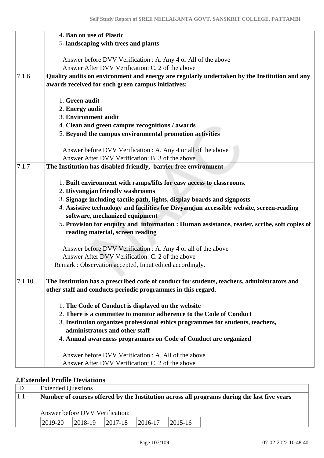|        | 4. Ban on use of Plastic                                                                                                        |
|--------|---------------------------------------------------------------------------------------------------------------------------------|
|        | 5. landscaping with trees and plants                                                                                            |
|        | Answer before DVV Verification : A. Any 4 or All of the above                                                                   |
|        | Answer After DVV Verification: C. 2 of the above                                                                                |
| 7.1.6  | Quality audits on environment and energy are regularly undertaken by the Institution and any                                    |
|        | awards received for such green campus initiatives:                                                                              |
|        | 1. Green audit                                                                                                                  |
|        | 2. Energy audit                                                                                                                 |
|        | 3. Environment audit                                                                                                            |
|        | 4. Clean and green campus recognitions / awards                                                                                 |
|        | 5. Beyond the campus environmental promotion activities                                                                         |
|        | Answer before DVV Verification : A. Any 4 or all of the above                                                                   |
|        | Answer After DVV Verification: B. 3 of the above                                                                                |
| 7.1.7  | The Institution has disabled-friendly, barrier free environment                                                                 |
|        |                                                                                                                                 |
|        | 1. Built environment with ramps/lifts for easy access to classrooms.                                                            |
|        | 2. Divyangjan friendly washrooms                                                                                                |
|        | 3. Signage including tactile path, lights, display boards and signposts                                                         |
|        | 4. Assistive technology and facilities for Divyangjan accessible website, screen-reading                                        |
|        | software, mechanized equipment                                                                                                  |
|        | 5. Provision for enquiry and information : Human assistance, reader, scribe, soft copies of<br>reading material, screen reading |
|        |                                                                                                                                 |
|        | Answer before DVV Verification : A. Any 4 or all of the above                                                                   |
|        | Answer After DVV Verification: C. 2 of the above                                                                                |
|        | Remark : Observation accepted, Input edited accordingly.                                                                        |
|        |                                                                                                                                 |
| 7.1.10 | The Institution has a prescribed code of conduct for students, teachers, administrators and                                     |
|        | other staff and conducts periodic programmes in this regard.                                                                    |
|        | 1. The Code of Conduct is displayed on the website                                                                              |
|        | 2. There is a committee to monitor adherence to the Code of Conduct                                                             |
|        | 3. Institution organizes professional ethics programmes for students, teachers,                                                 |
|        | administrators and other staff                                                                                                  |
|        | 4. Annual awareness programmes on Code of Conduct are organized                                                                 |
|        |                                                                                                                                 |
|        | Answer before DVV Verification : A. All of the above                                                                            |

## **2.Extended Profile Deviations**

| ID  | <b>Extended Questions</b>                                                                   |                                 |         |         |               |  |  |  |
|-----|---------------------------------------------------------------------------------------------|---------------------------------|---------|---------|---------------|--|--|--|
| 1.1 | Number of courses offered by the Institution across all programs during the last five years |                                 |         |         |               |  |  |  |
|     |                                                                                             |                                 |         |         |               |  |  |  |
|     |                                                                                             | Answer before DVV Verification: |         |         |               |  |  |  |
|     | $\parallel$ 2019-20                                                                         | 2018-19                         | 2017-18 | 2016-17 | $ 2015 - 16 $ |  |  |  |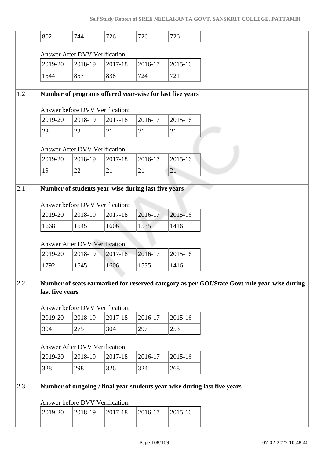|     | 802                                                      | 744                                                 | 726     | 726     | 726     |                                                                                             |  |  |  |  |  |
|-----|----------------------------------------------------------|-----------------------------------------------------|---------|---------|---------|---------------------------------------------------------------------------------------------|--|--|--|--|--|
|     |                                                          | Answer After DVV Verification:                      |         |         |         |                                                                                             |  |  |  |  |  |
|     | 2019-20                                                  | 2018-19                                             | 2017-18 | 2016-17 | 2015-16 |                                                                                             |  |  |  |  |  |
|     | 1544                                                     | 857                                                 | 838     | 724     | 721     |                                                                                             |  |  |  |  |  |
| 1.2 | Number of programs offered year-wise for last five years |                                                     |         |         |         |                                                                                             |  |  |  |  |  |
|     |                                                          | Answer before DVV Verification:                     |         |         |         |                                                                                             |  |  |  |  |  |
|     | 2019-20                                                  | 2018-19                                             | 2017-18 | 2016-17 | 2015-16 |                                                                                             |  |  |  |  |  |
|     | 23                                                       | 22                                                  | 21      | 21      | 21      |                                                                                             |  |  |  |  |  |
|     |                                                          | <b>Answer After DVV Verification:</b>               |         |         |         |                                                                                             |  |  |  |  |  |
|     | 2019-20                                                  | 2018-19                                             | 2017-18 | 2016-17 | 2015-16 |                                                                                             |  |  |  |  |  |
|     | 19                                                       | 22                                                  | 21      | 21      | 21      |                                                                                             |  |  |  |  |  |
|     |                                                          |                                                     |         |         |         |                                                                                             |  |  |  |  |  |
| 2.1 |                                                          | Number of students year-wise during last five years |         |         |         |                                                                                             |  |  |  |  |  |
|     |                                                          | Answer before DVV Verification:                     |         |         |         |                                                                                             |  |  |  |  |  |
|     | 2019-20                                                  | 2018-19                                             | 2017-18 | 2016-17 | 2015-16 |                                                                                             |  |  |  |  |  |
|     | 1668                                                     | 1645                                                | 1606    | 1535    | 1416    |                                                                                             |  |  |  |  |  |
|     |                                                          | <b>Answer After DVV Verification:</b>               |         |         |         |                                                                                             |  |  |  |  |  |
|     | 2019-20                                                  | 2018-19                                             | 2017-18 | 2016-17 | 2015-16 |                                                                                             |  |  |  |  |  |
|     | 1792                                                     | 1645                                                | 1606    | 1535    | 1416    |                                                                                             |  |  |  |  |  |
|     |                                                          |                                                     |         |         |         |                                                                                             |  |  |  |  |  |
| 2.2 | last five years                                          |                                                     |         |         |         | Number of seats earmarked for reserved category as per GOI/State Govt rule year-wise during |  |  |  |  |  |
|     |                                                          |                                                     |         |         |         |                                                                                             |  |  |  |  |  |
|     |                                                          | Answer before DVV Verification:                     |         |         |         |                                                                                             |  |  |  |  |  |
|     | 2019-20                                                  | 2018-19                                             | 2017-18 | 2016-17 | 2015-16 |                                                                                             |  |  |  |  |  |
|     | 304                                                      | 275                                                 | 304     | 297     | 253     |                                                                                             |  |  |  |  |  |
|     |                                                          | Answer After DVV Verification:                      |         |         |         |                                                                                             |  |  |  |  |  |
|     | 2019-20                                                  | 2018-19                                             | 2017-18 | 2016-17 | 2015-16 |                                                                                             |  |  |  |  |  |
|     | 328                                                      | 298                                                 | 326     | 324     | 268     |                                                                                             |  |  |  |  |  |
|     |                                                          |                                                     |         |         |         |                                                                                             |  |  |  |  |  |
| 2.3 |                                                          |                                                     |         |         |         | Number of outgoing / final year students year-wise during last five years                   |  |  |  |  |  |
|     |                                                          | Answer before DVV Verification:                     |         |         |         |                                                                                             |  |  |  |  |  |
|     | 2019-20                                                  | 2018-19                                             | 2017-18 | 2016-17 | 2015-16 |                                                                                             |  |  |  |  |  |
|     |                                                          |                                                     |         |         |         |                                                                                             |  |  |  |  |  |